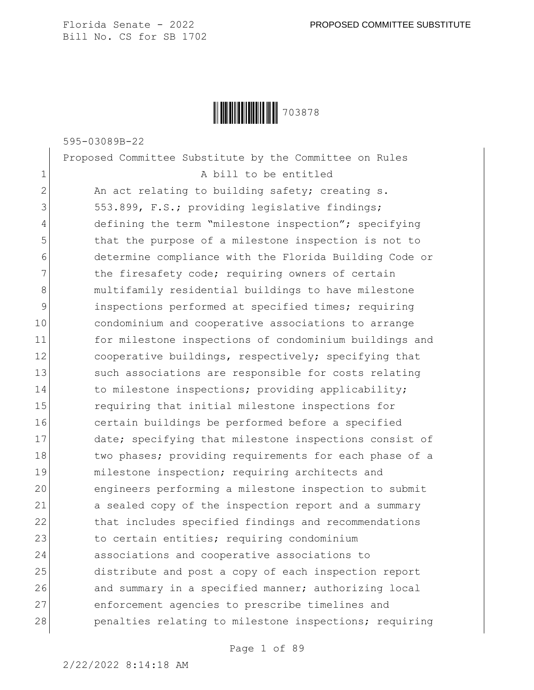

595-03089B-22

Proposed Committee Substitute by the Committee on Rules 1 a bill to be entitled 2 An act relating to building safety; creating s. 3 553.899, F.S.; providing legislative findings; 4 defining the term "milestone inspection"; specifying 5 that the purpose of a milestone inspection is not to 6 determine compliance with the Florida Building Code or 7 the firesafety code; requiring owners of certain 8 multifamily residential buildings to have milestone 9 inspections performed at specified times; requiring 10 condominium and cooperative associations to arrange 11 for milestone inspections of condominium buildings and 12 cooperative buildings, respectively; specifying that 13 Such associations are responsible for costs relating 14 to milestone inspections; providing applicability; 15 requiring that initial milestone inspections for 16 certain buildings be performed before a specified 17 date; specifying that milestone inspections consist of 18 two phases; providing requirements for each phase of a 19 milestone inspection; requiring architects and 20 engineers performing a milestone inspection to submit 21 a sealed copy of the inspection report and a summary 22 that includes specified findings and recommendations 23 to certain entities; requiring condominium 24 associations and cooperative associations to 25 distribute and post a copy of each inspection report 26 and summary in a specified manner; authorizing local 27 enforcement agencies to prescribe timelines and 28 penalties relating to milestone inspections; requiring

Page 1 of 89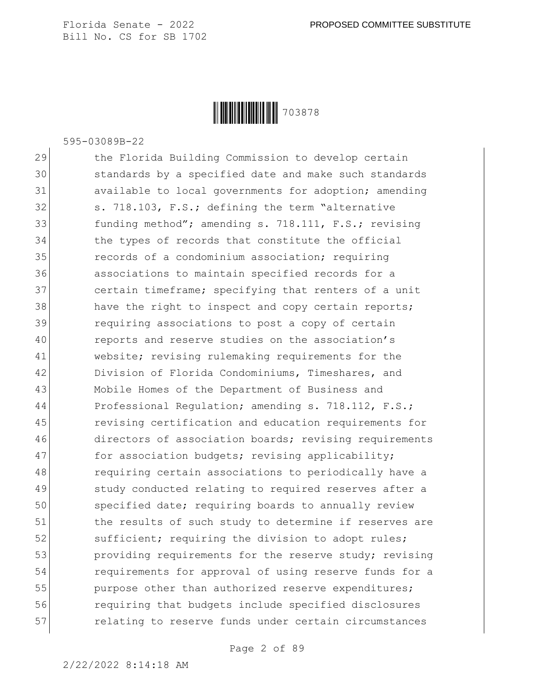

595-03089B-22

29 the Florida Building Commission to develop certain 30 standards by a specified date and make such standards 31 available to local governments for adoption; amending 32 s. 718.103, F.S.; defining the term "alternative 33 funding method"; amending s. 718.111, F.S.; revising 34 the types of records that constitute the official 35 **records of a condominium association;** requiring 36 associations to maintain specified records for a 37 certain timeframe; specifying that renters of a unit 38 have the right to inspect and copy certain reports; 39 requiring associations to post a copy of certain 40 reports and reserve studies on the association's 41 website; revising rulemaking requirements for the 42 Division of Florida Condominiums, Timeshares, and 43 Mobile Homes of the Department of Business and 44 Professional Requlation; amending s. 718.112, F.S.; 45 revising certification and education requirements for 46 directors of association boards; revising requirements 47 for association budgets; revising applicability; 48 requiring certain associations to periodically have a 49 study conducted relating to required reserves after a 50 specified date; requiring boards to annually review 51 the results of such study to determine if reserves are 52 sufficient; requiring the division to adopt rules; 53 providing requirements for the reserve study; revising 54 requirements for approval of using reserve funds for a 55 purpose other than authorized reserve expenditures; 56 requiring that budgets include specified disclosures 57 **relating to reserve funds under certain circumstances**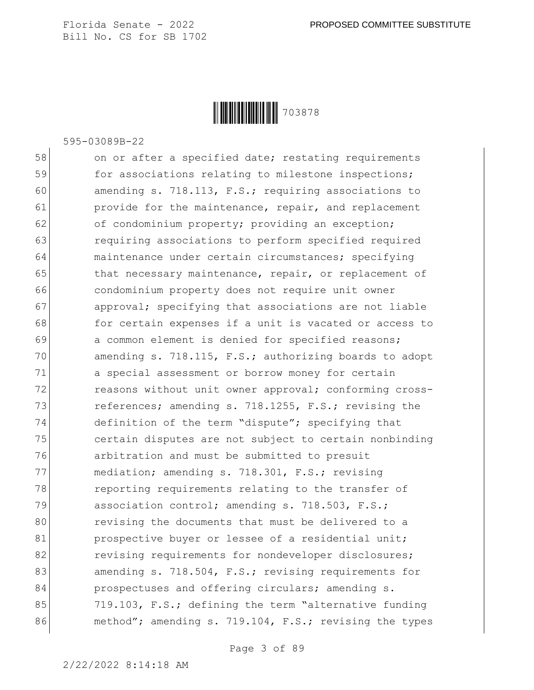

595-03089B-22

58 on or after a specified date; restating requirements 59 for associations relating to milestone inspections; 60 amending s. 718.113, F.S.; requiring associations to 61 **provide for the maintenance, repair, and replacement** 62 of condominium property; providing an exception; 63 **requiring associations to perform specified required** 64 maintenance under certain circumstances; specifying 65 that necessary maintenance, repair, or replacement of 66 condominium property does not require unit owner 67 approval; specifying that associations are not liable 68 for certain expenses if a unit is vacated or access to 69 a common element is denied for specified reasons; 70 amending s. 718.115, F.S.; authorizing boards to adopt 71 a special assessment or borrow money for certain 72 reasons without unit owner approval; conforming cross-73 references; amending s. 718.1255, F.S.; revising the 74 definition of the term "dispute"; specifying that 75 certain disputes are not subject to certain nonbinding 76 arbitration and must be submitted to presuit 77 mediation; amending s. 718.301, F.S.; revising 78 reporting requirements relating to the transfer of 79 association control; amending s. 718.503, F.S.; 80 revising the documents that must be delivered to a 81 **prospective buyer or lessee of a residential unit;** 82 revising requirements for nondeveloper disclosures; 83 amending s. 718.504, F.S.; revising requirements for 84 **prospectuses and offering circulars; amending s.** 85 719.103, F.S.; defining the term "alternative funding 86 method"; amending s. 719.104, F.S.; revising the types

Page 3 of 89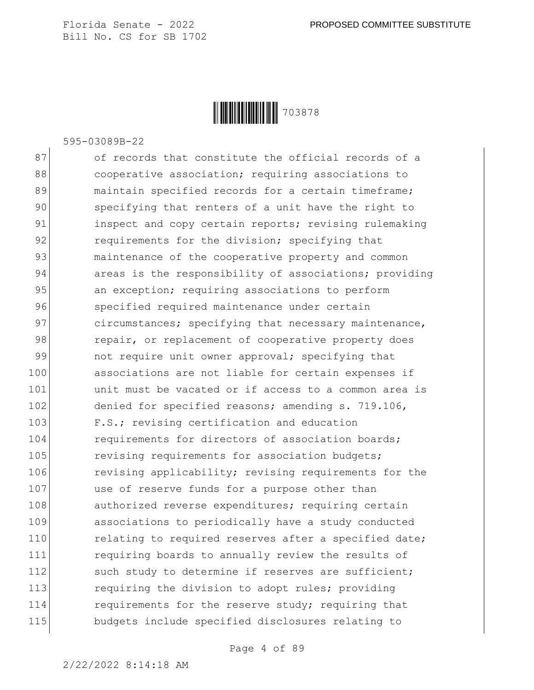

595-03089B-22

87 of records that constitute the official records of a 88 **blace cooperative association;** requiring associations to 89 maintain specified records for a certain timeframe; 90 specifying that renters of a unit have the right to 91 inspect and copy certain reports; revising rulemaking 92 **requirements for the division;** specifying that 93 maintenance of the cooperative property and common 94 areas is the responsibility of associations; providing 95 an exception; requiring associations to perform 96 specified required maintenance under certain 97 circumstances; specifying that necessary maintenance, 98 repair, or replacement of cooperative property does 99 not require unit owner approval; specifying that 100 associations are not liable for certain expenses if 101 and the vacated or if access to a common area is 102 denied for specified reasons; amending s. 719.106, 103 F.S.; revising certification and education 104 requirements for directors of association boards; 105 revising requirements for association budgets; 106 revising applicability; revising requirements for the 107 use of reserve funds for a purpose other than 108 authorized reverse expenditures; requiring certain 109 associations to periodically have a study conducted 110 relating to required reserves after a specified date; 111 requiring boards to annually review the results of 112 such study to determine if reserves are sufficient; 113 requiring the division to adopt rules; providing 114 **requirements for the reserve study; requiring that** 115 budgets include specified disclosures relating to

Page 4 of 89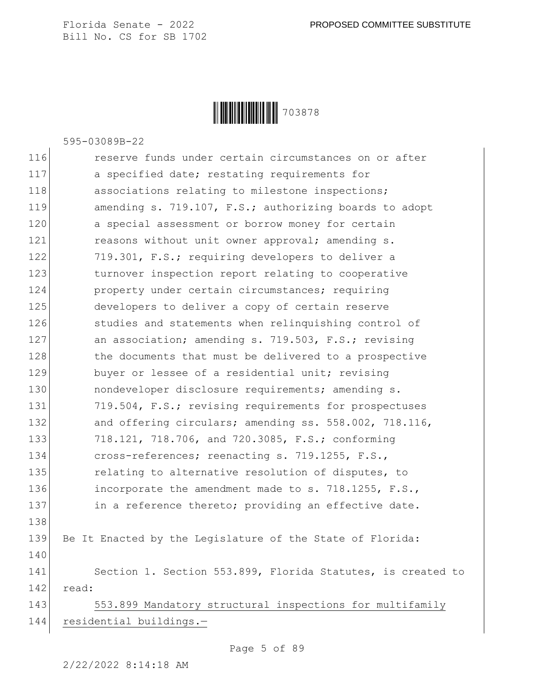

595-03089B-22

116 **reserve funds under certain circumstances on or after** 117 a specified date; restating requirements for 118 associations relating to milestone inspections; 119 **amending s. 719.107, F.S.; authorizing boards to adopt** 120 a special assessment or borrow money for certain 121 reasons without unit owner approval; amending s. 122 719.301, F.S.; requiring developers to deliver a 123 turnover inspection report relating to cooperative 124 property under certain circumstances; requiring 125 developers to deliver a copy of certain reserve 126 studies and statements when relinquishing control of 127 an association; amending s. 719.503, F.S.; revising 128 the documents that must be delivered to a prospective 129 buyer or lessee of a residential unit; revising 130 **nondeveloper disclosure requirements;** amending s. 131 719.504, F.S.; revising requirements for prospectuses 132 and offering circulars; amending ss. 558.002, 718.116, 133 718.121, 718.706, and 720.3085, F.S.; conforming 134 cross-references; reenacting s. 719.1255, F.S., 135 relating to alternative resolution of disputes, to 136 incorporate the amendment made to s. 718.1255, F.S., 137 in a reference thereto; providing an effective date. 138 139 Be It Enacted by the Legislature of the State of Florida: 140 141 Section 1. Section 553.899, Florida Statutes, is created to 142 read: 143 553.899 Mandatory structural inspections for multifamily 144 residential buildings.—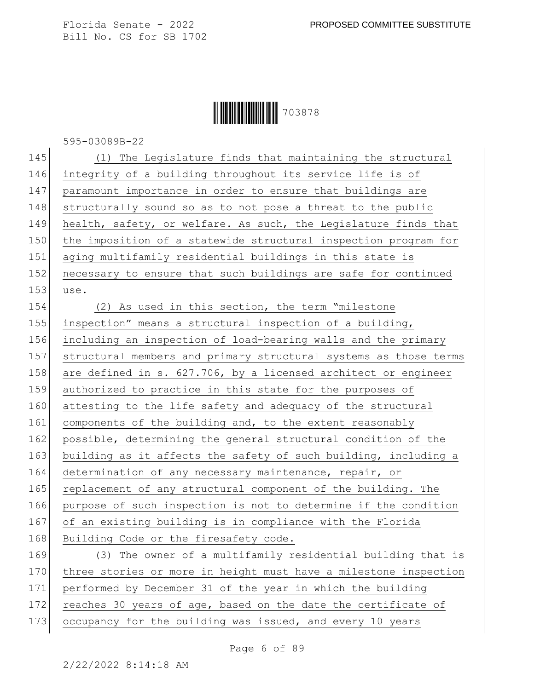### **|| || || || || || || || || || ||** 703878

595-03089B-22

| 145 | (1) The Legislature finds that maintaining the structural        |
|-----|------------------------------------------------------------------|
| 146 | integrity of a building throughout its service life is of        |
| 147 | paramount importance in order to ensure that buildings are       |
| 148 | structurally sound so as to not pose a threat to the public      |
| 149 | health, safety, or welfare. As such, the Legislature finds that  |
| 150 | the imposition of a statewide structural inspection program for  |
| 151 | aging multifamily residential buildings in this state is         |
| 152 | necessary to ensure that such buildings are safe for continued   |
| 153 | use.                                                             |
| 154 | (2) As used in this section, the term "milestone                 |
| 155 | inspection" means a structural inspection of a building,         |
| 156 | including an inspection of load-bearing walls and the primary    |
| 157 | structural members and primary structural systems as those terms |
| 158 | are defined in s. 627.706, by a licensed architect or engineer   |
| 159 | authorized to practice in this state for the purposes of         |
| 160 | attesting to the life safety and adequacy of the structural      |
| 161 | components of the building and, to the extent reasonably         |
| 162 | possible, determining the general structural condition of the    |
| 163 | building as it affects the safety of such building, including a  |
| 164 | determination of any necessary maintenance, repair, or           |
| 165 | replacement of any structural component of the building. The     |
| 166 | purpose of such inspection is not to determine if the condition  |
| 167 | of an existing building is in compliance with the Florida        |
| 168 | Building Code or the firesafety code.                            |
| 169 | (3) The owner of a multifamily residential building that is      |
| 170 | three stories or more in height must have a milestone inspection |
| 171 | performed by December 31 of the year in which the building       |
| 172 | reaches 30 years of age, based on the date the certificate of    |

173 occupancy for the building was issued, and every 10 years

Page 6 of 89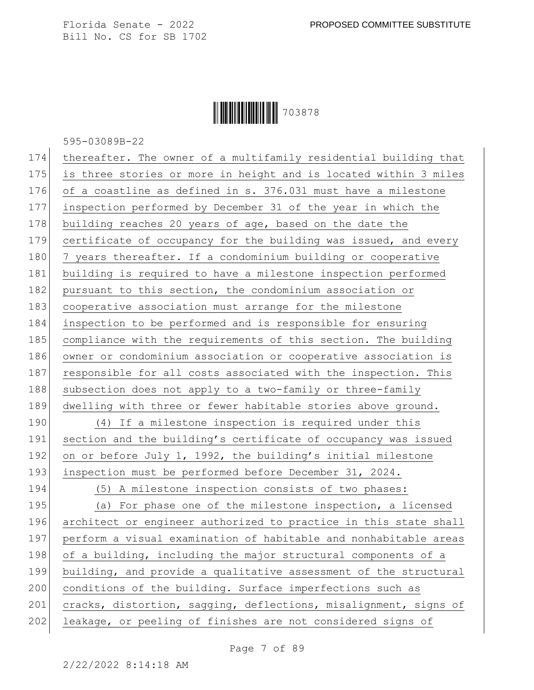# Ì703878XÎ703878

595-03089B-22

| 174 | thereafter. The owner of a multifamily residential building that |
|-----|------------------------------------------------------------------|
| 175 | is three stories or more in height and is located within 3 miles |
| 176 | of a coastline as defined in s. 376.031 must have a milestone    |
| 177 | inspection performed by December 31 of the year in which the     |
| 178 | building reaches 20 years of age, based on the date the          |
| 179 | certificate of occupancy for the building was issued, and every  |
| 180 | 7 years thereafter. If a condominium building or cooperative     |
| 181 | building is required to have a milestone inspection performed    |
| 182 | pursuant to this section, the condominium association or         |
| 183 | cooperative association must arrange for the milestone           |
| 184 | inspection to be performed and is responsible for ensuring       |
| 185 | compliance with the requirements of this section. The building   |
| 186 | owner or condominium association or cooperative association is   |
| 187 | responsible for all costs associated with the inspection. This   |
| 188 | subsection does not apply to a two-family or three-family        |
| 189 | dwelling with three or fewer habitable stories above ground.     |
| 190 | (4) If a milestone inspection is required under this             |
| 191 | section and the building's certificate of occupancy was issued   |
| 192 | on or before July 1, 1992, the building's initial milestone      |
| 193 | inspection must be performed before December 31, 2024.           |
| 194 | (5) A milestone inspection consists of two phases:               |
| 195 | (a) For phase one of the milestone inspection, a licensed        |
| 196 | architect or engineer authorized to practice in this state shall |
| 197 | perform a visual examination of habitable and nonhabitable areas |
| 198 | of a building, including the major structural components of a    |
| 199 | building, and provide a qualitative assessment of the structural |
| 200 | conditions of the building. Surface imperfections such as        |
| 201 | cracks, distortion, sagging, deflections, misalignment, signs of |
| 202 | leakage, or peeling of finishes are not considered signs of      |
|     |                                                                  |

Page 7 of 89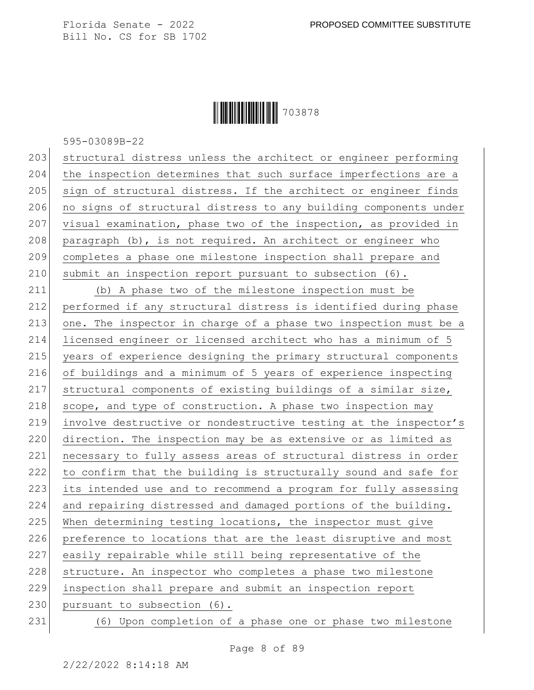**|| || || || || || || || || || ||** 703878

595-03089B-22

203 structural distress unless the architect or engineer performing 204 the inspection determines that such surface imperfections are a 205 sign of structural distress. If the architect or engineer finds 206 no signs of structural distress to any building components under 207 visual examination, phase two of the inspection, as provided in 208 paragraph (b), is not required. An architect or engineer who 209 completes a phase one milestone inspection shall prepare and 210 submit an inspection report pursuant to subsection  $(6)$ .

211 (b) A phase two of the milestone inspection must be 212 performed if any structural distress is identified during phase 213 one. The inspector in charge of a phase two inspection must be a 214 licensed engineer or licensed architect who has a minimum of 5 215 years of experience designing the primary structural components 216 of buildings and a minimum of 5 years of experience inspecting 217 structural components of existing buildings of a similar size, 218 scope, and type of construction. A phase two inspection may 219 involve destructive or nondestructive testing at the inspector's 220 direction. The inspection may be as extensive or as limited as 221 necessary to fully assess areas of structural distress in order 222 to confirm that the building is structurally sound and safe for 223 its intended use and to recommend a program for fully assessing 224 and repairing distressed and damaged portions of the building. 225 When determining testing locations, the inspector must give 226 preference to locations that are the least disruptive and most 227 easily repairable while still being representative of the 228 structure. An inspector who completes a phase two milestone 229 inspection shall prepare and submit an inspection report 230 pursuant to subsection (6).

231 (6) Upon completion of a phase one or phase two milestone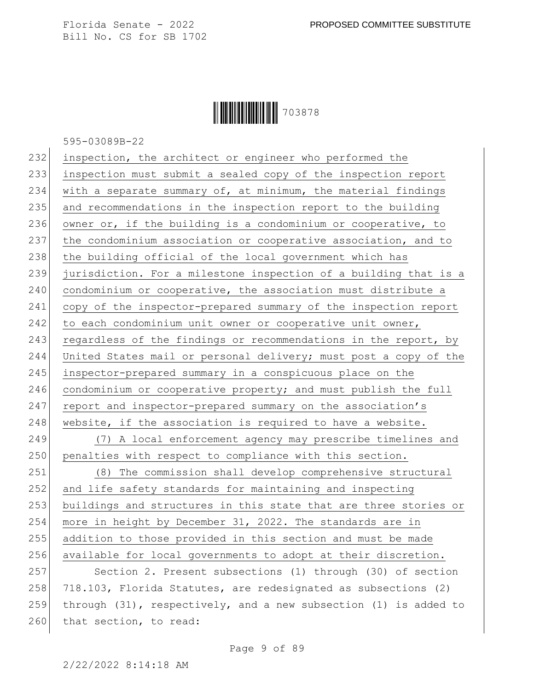## Ì703878XÎ703878

595-03089B-22

| 232 | inspection, the architect or engineer who performed the               |
|-----|-----------------------------------------------------------------------|
| 233 | inspection must submit a sealed copy of the inspection report         |
| 234 | with a separate summary of, at minimum, the material findings         |
| 235 | and recommendations in the inspection report to the building          |
| 236 | owner or, if the building is a condominium or cooperative, to         |
| 237 | the condominium association or cooperative association, and to        |
| 238 | the building official of the local government which has               |
| 239 | jurisdiction. For a milestone inspection of a building that is a      |
| 240 | condominium or cooperative, the association must distribute a         |
| 241 | copy of the inspector-prepared summary of the inspection report       |
| 242 | to each condominium unit owner or cooperative unit owner,             |
| 243 | regardless of the findings or recommendations in the report, by       |
| 244 | United States mail or personal delivery; must post a copy of the      |
| 245 | inspector-prepared summary in a conspicuous place on the              |
| 246 | condominium or cooperative property; and must publish the full        |
| 247 | report and inspector-prepared summary on the association's            |
| 248 | website, if the association is required to have a website.            |
| 249 | (7) A local enforcement agency may prescribe timelines and            |
| 250 | penalties with respect to compliance with this section.               |
| 251 | (8) The commission shall develop comprehensive structural             |
| 252 | and life safety standards for maintaining and inspecting              |
| 253 | buildings and structures in this state that are three stories or      |
| 254 | more in height by December 31, 2022. The standards are in             |
| 255 | addition to those provided in this section and must be made           |
| 256 | available for local governments to adopt at their discretion.         |
| 257 | Section 2. Present subsections (1) through (30) of section            |
| 258 | 718.103, Florida Statutes, are redesignated as subsections (2)        |
| 259 | through $(31)$ , respectively, and a new subsection $(1)$ is added to |
| 260 | that section, to read:                                                |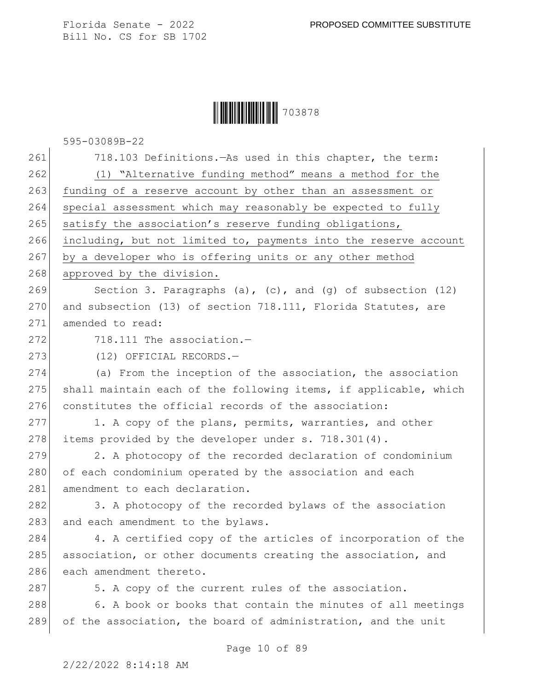### **|| || || || || || || || || || ||** 703878

595-03089B-22

Page 10 of 89 261 718.103 Definitions.—As used in this chapter, the term: 262 (1) "Alternative funding method" means a method for the 263 funding of a reserve account by other than an assessment or 264 special assessment which may reasonably be expected to fully 265 satisfy the association's reserve funding obligations, 266 including, but not limited to, payments into the reserve account 267 by a developer who is offering units or any other method 268 approved by the division. 269 Section 3. Paragraphs (a), (c), and (g) of subsection  $(12)$ 270 and subsection (13) of section 718.111, Florida Statutes, are 271 amended to read:  $272$   $718.111$  The association.  $-$ 273 (12) OFFICIAL RECORDS. 274 (a) From the inception of the association, the association 275 shall maintain each of the following items, if applicable, which 276 constitutes the official records of the association: 277 1. A copy of the plans, permits, warranties, and other 278 items provided by the developer under s. 718.301(4). 279 2. A photocopy of the recorded declaration of condominium 280 of each condominium operated by the association and each 281 amendment to each declaration. 282 3. A photocopy of the recorded bylaws of the association 283 and each amendment to the bylaws. 284 4. A certified copy of the articles of incorporation of the 285 association, or other documents creating the association, and 286 each amendment thereto. 287 5. A copy of the current rules of the association. 288 6. A book or books that contain the minutes of all meetings 289 of the association, the board of administration, and the unit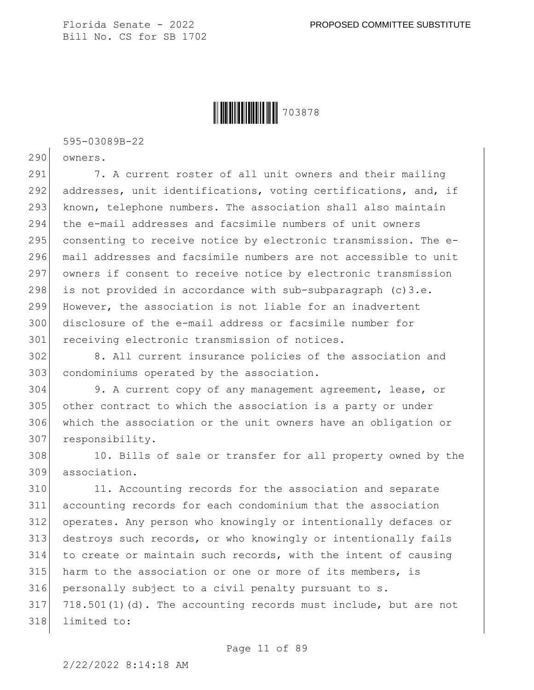Ì703878XÎ703878

595-03089B-22

290 owners.

291 7. A current roster of all unit owners and their mailing 292 addresses, unit identifications, voting certifications, and, if 293 known, telephone numbers. The association shall also maintain 294 the e-mail addresses and facsimile numbers of unit owners 295 consenting to receive notice by electronic transmission. The e-296 mail addresses and facsimile numbers are not accessible to unit 297 owners if consent to receive notice by electronic transmission 298 is not provided in accordance with sub-subparagraph  $(c)3.e.$ 299 However, the association is not liable for an inadvertent 300 disclosure of the e-mail address or facsimile number for 301 receiving electronic transmission of notices.

302 8. All current insurance policies of the association and 303 condominiums operated by the association.

 9. A current copy of any management agreement, lease, or other contract to which the association is a party or under which the association or the unit owners have an obligation or responsibility.

308 10. Bills of sale or transfer for all property owned by the 309 association.

310 11. Accounting records for the association and separate accounting records for each condominium that the association operates. Any person who knowingly or intentionally defaces or destroys such records, or who knowingly or intentionally fails to create or maintain such records, with the intent of causing harm to the association or one or more of its members, is personally subject to a civil penalty pursuant to s. 718.501(1)(d). The accounting records must include, but are not 318 limited to: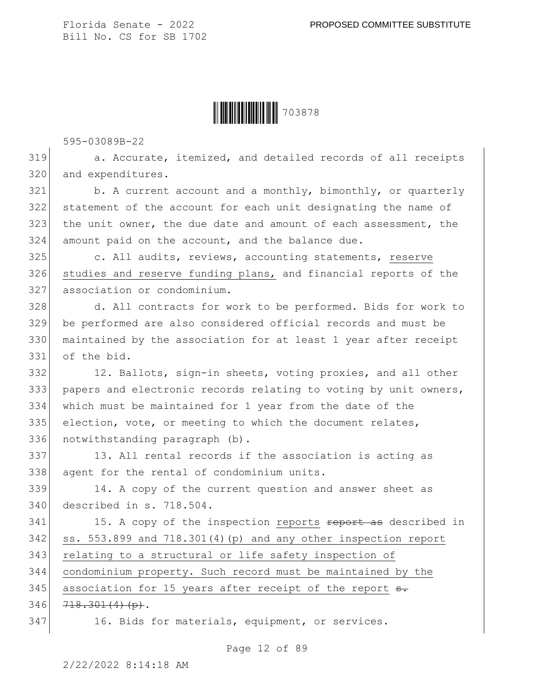

595-03089B-22

319 a. Accurate, itemized, and detailed records of all receipts 320 and expenditures.

 b. A current account and a monthly, bimonthly, or quarterly statement of the account for each unit designating the name of the unit owner, the due date and amount of each assessment, the amount paid on the account, and the balance due.

325 c. All audits, reviews, accounting statements, reserve 326 studies and reserve funding plans, and financial reports of the 327 association or condominium.

328 d. All contracts for work to be performed. Bids for work to 329 be performed are also considered official records and must be 330 maintained by the association for at least 1 year after receipt 331 of the bid.

332 12. Ballots, sign-in sheets, voting proxies, and all other 333 papers and electronic records relating to voting by unit owners, 334 which must be maintained for 1 year from the date of the 335 election, vote, or meeting to which the document relates, 336 notwithstanding paragraph (b).

337 13. All rental records if the association is acting as 338 agent for the rental of condominium units.

339 14. A copy of the current question and answer sheet as 340 described in s. 718.504.

341 15. A copy of the inspection reports <del>report as</del> described in 342 ss. 553.899 and 718.301(4)(p) and any other inspection report 343 relating to a structural or life safety inspection of 344 condominium property. Such record must be maintained by the 345 association for 15 years after receipt of the report s.  $346$   $718.301(4)(p)$ .

347 16. Bids for materials, equipment, or services.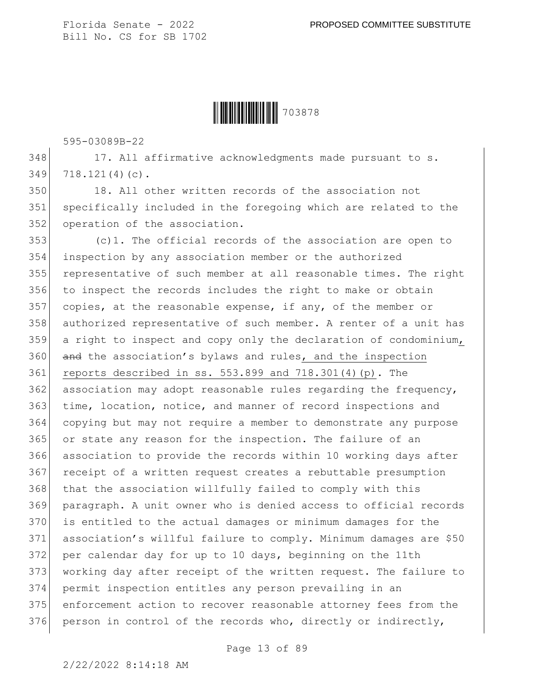

595-03089B-22

348 17. All affirmative acknowledgments made pursuant to s. 349 718.121(4)(c).

350 18. All other written records of the association not 351 specifically included in the foregoing which are related to the 352 operation of the association.

 (c)1. The official records of the association are open to inspection by any association member or the authorized representative of such member at all reasonable times. The right to inspect the records includes the right to make or obtain 357 copies, at the reasonable expense, if any, of the member or authorized representative of such member. A renter of a unit has 359 a right to inspect and copy only the declaration of condominium, 360 and the association's bylaws and rules, and the inspection reports described in ss. 553.899 and 718.301(4)(p). The association may adopt reasonable rules regarding the frequency, time, location, notice, and manner of record inspections and copying but may not require a member to demonstrate any purpose or state any reason for the inspection. The failure of an association to provide the records within 10 working days after receipt of a written request creates a rebuttable presumption 368 that the association willfully failed to comply with this paragraph. A unit owner who is denied access to official records is entitled to the actual damages or minimum damages for the association's willful failure to comply. Minimum damages are \$50 372 per calendar day for up to 10 days, beginning on the 11th 373 | working day after receipt of the written request. The failure to permit inspection entitles any person prevailing in an enforcement action to recover reasonable attorney fees from the 376 person in control of the records who, directly or indirectly,

Page 13 of 89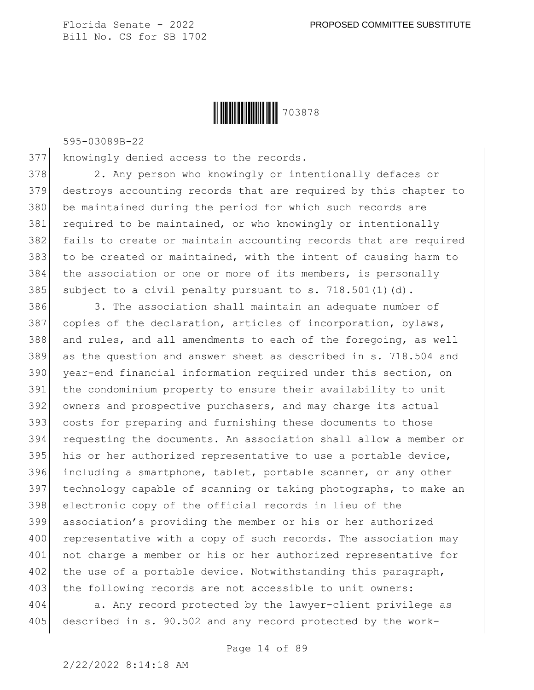

595-03089B-22

377 knowingly denied access to the records.

378 2. Any person who knowingly or intentionally defaces or 379 destroys accounting records that are required by this chapter to 380 be maintained during the period for which such records are 381 required to be maintained, or who knowingly or intentionally 382 fails to create or maintain accounting records that are required 383 to be created or maintained, with the intent of causing harm to 384 the association or one or more of its members, is personally 385 subject to a civil penalty pursuant to s.  $718.501(1)(d)$ .

386 386 3. The association shall maintain an adequate number of copies of the declaration, articles of incorporation, bylaws, and rules, and all amendments to each of the foregoing, as well as the question and answer sheet as described in s. 718.504 and year-end financial information required under this section, on the condominium property to ensure their availability to unit owners and prospective purchasers, and may charge its actual costs for preparing and furnishing these documents to those requesting the documents. An association shall allow a member or 395 his or her authorized representative to use a portable device, including a smartphone, tablet, portable scanner, or any other 397 technology capable of scanning or taking photographs, to make an electronic copy of the official records in lieu of the association's providing the member or his or her authorized 400 representative with a copy of such records. The association may 401 not charge a member or his or her authorized representative for 402 the use of a portable device. Notwithstanding this paragraph, 403 the following records are not accessible to unit owners:

404 a. Any record protected by the lawyer-client privilege as 405 described in s. 90.502 and any record protected by the work-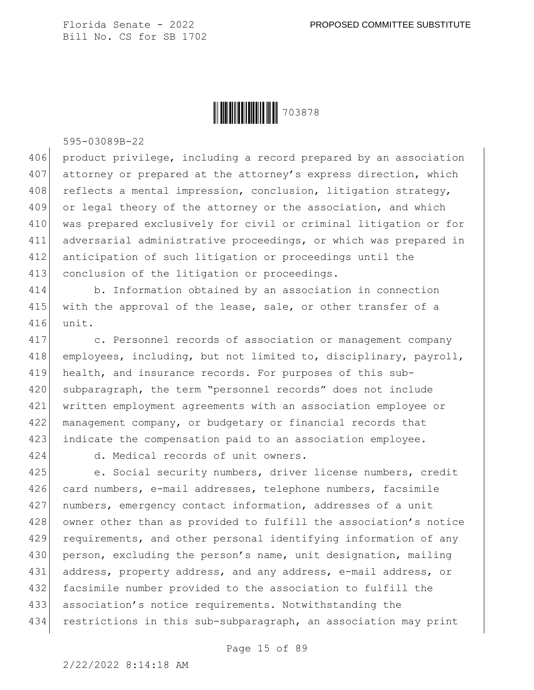

595-03089B-22

406 product privilege, including a record prepared by an association 407 attorney or prepared at the attorney's express direction, which 408 reflects a mental impression, conclusion, litigation strategy, 409 or legal theory of the attorney or the association, and which 410 was prepared exclusively for civil or criminal litigation or for 411 adversarial administrative proceedings, or which was prepared in 412 anticipation of such litigation or proceedings until the 413 conclusion of the litigation or proceedings.

414 b. Information obtained by an association in connection 415 with the approval of the lease, sale, or other transfer of a 416 unit.

417 c. Personnel records of association or management company 418 employees, including, but not limited to, disciplinary, payroll, 419 health, and insurance records. For purposes of this sub-420 subparagraph, the term "personnel records" does not include 421 written employment agreements with an association employee or 422 management company, or budgetary or financial records that 423 indicate the compensation paid to an association employee.

424 d. Medical records of unit owners.

425 e. Social security numbers, driver license numbers, credit 426 card numbers, e-mail addresses, telephone numbers, facsimile 427 | numbers, emergency contact information, addresses of a unit 428 owner other than as provided to fulfill the association's notice 429 requirements, and other personal identifying information of any 430 person, excluding the person's name, unit designation, mailing 431 address, property address, and any address, e-mail address, or 432 facsimile number provided to the association to fulfill the 433 association's notice requirements. Notwithstanding the 434 restrictions in this sub-subparagraph, an association may print

Page 15 of 89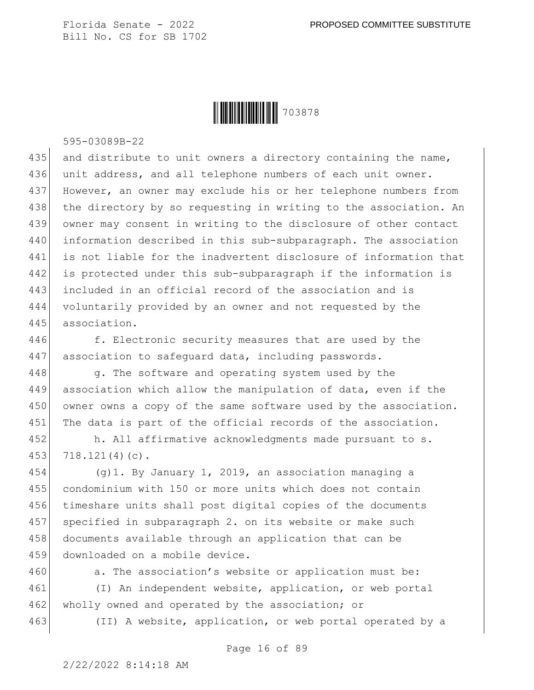

595-03089B-22

435 and distribute to unit owners a directory containing the name, 436 unit address, and all telephone numbers of each unit owner. However, an owner may exclude his or her telephone numbers from 438 the directory by so requesting in writing to the association. An owner may consent in writing to the disclosure of other contact information described in this sub-subparagraph. The association is not liable for the inadvertent disclosure of information that is protected under this sub-subparagraph if the information is included in an official record of the association and is voluntarily provided by an owner and not requested by the association.

446 f. Electronic security measures that are used by the 447 association to safeguard data, including passwords.

448 g. The software and operating system used by the 449 association which allow the manipulation of data, even if the 450 owner owns a copy of the same software used by the association. 451 The data is part of the official records of the association.

452 h. All affirmative acknowledgments made pursuant to s. 453 718.121(4)(c).

454 (g)1. By January 1, 2019, an association managing a 455 condominium with 150 or more units which does not contain 456 timeshare units shall post digital copies of the documents 457 specified in subparagraph 2. on its website or make such 458 documents available through an application that can be 459 downloaded on a mobile device.

460 a. The association's website or application must be:

461 (I) An independent website, application, or web portal 462 wholly owned and operated by the association; or

463 (II) A website, application, or web portal operated by a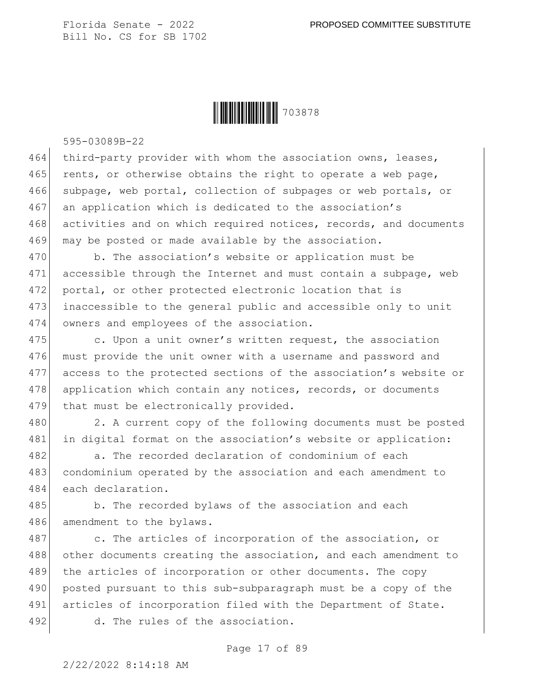**|| || || || || || || || || || ||** 703878

595-03089B-22

464 third-party provider with whom the association owns, leases, 465 rents, or otherwise obtains the right to operate a web page, 466 subpage, web portal, collection of subpages or web portals, or 467 an application which is dedicated to the association's 468 activities and on which required notices, records, and documents 469 may be posted or made available by the association.

470 b. The association's website or application must be 471 accessible through the Internet and must contain a subpage, web 472 portal, or other protected electronic location that is 473 inaccessible to the general public and accessible only to unit 474 owners and employees of the association.

475 c. Upon a unit owner's written request, the association 476 must provide the unit owner with a username and password and 477 access to the protected sections of the association's website or 478 application which contain any notices, records, or documents 479 that must be electronically provided.

480 2. A current copy of the following documents must be posted 481 in digital format on the association's website or application:

482 a. The recorded declaration of condominium of each 483 condominium operated by the association and each amendment to 484 each declaration.

485 b. The recorded bylaws of the association and each 486 amendment to the bylaws.

487 c. The articles of incorporation of the association, or 488 other documents creating the association, and each amendment to 489 the articles of incorporation or other documents. The copy 490 posted pursuant to this sub-subparagraph must be a copy of the 491 articles of incorporation filed with the Department of State. 492 d. The rules of the association.

Page 17 of 89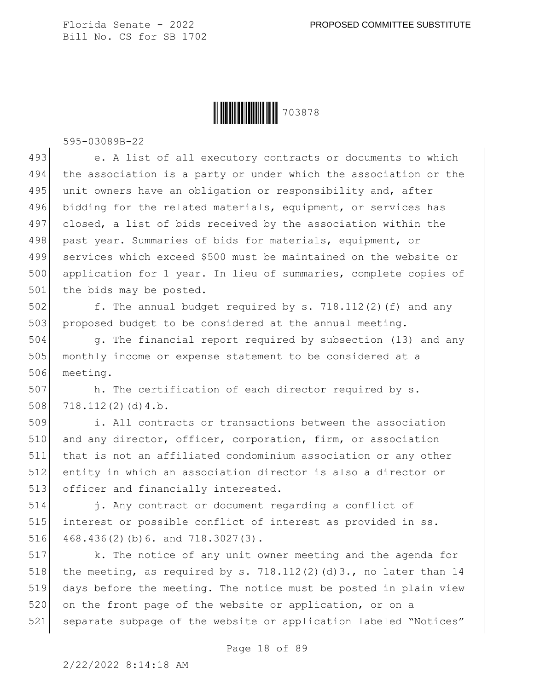

595-03089B-22

493 e. A list of all executory contracts or documents to which 494 the association is a party or under which the association or the 495 unit owners have an obligation or responsibility and, after 496 bidding for the related materials, equipment, or services has 497 closed, a list of bids received by the association within the 498 past year. Summaries of bids for materials, equipment, or 499 services which exceed \$500 must be maintained on the website or 500 application for 1 year. In lieu of summaries, complete copies of 501 the bids may be posted.

502  $\vert$  f. The annual budget required by s. 718.112(2)(f) and any 503 proposed budget to be considered at the annual meeting.

504 g. The financial report required by subsection (13) and any 505 monthly income or expense statement to be considered at a 506 meeting.

507 h. The certification of each director required by s.  $508$  718.112(2)(d)4.b.

509 i. All contracts or transactions between the association 510 and any director, officer, corporation, firm, or association 511 that is not an affiliated condominium association or any other 512 entity in which an association director is also a director or 513 officer and financially interested.

514 j. Any contract or document regarding a conflict of 515 interest or possible conflict of interest as provided in ss. 516 468.436(2)(b) 6. and  $718.3027(3)$ .

517 k. The notice of any unit owner meeting and the agenda for 518 the meeting, as required by s. 718.112(2)(d)3., no later than 14 519 days before the meeting. The notice must be posted in plain view 520 on the front page of the website or application, or on a 521 separate subpage of the website or application labeled "Notices"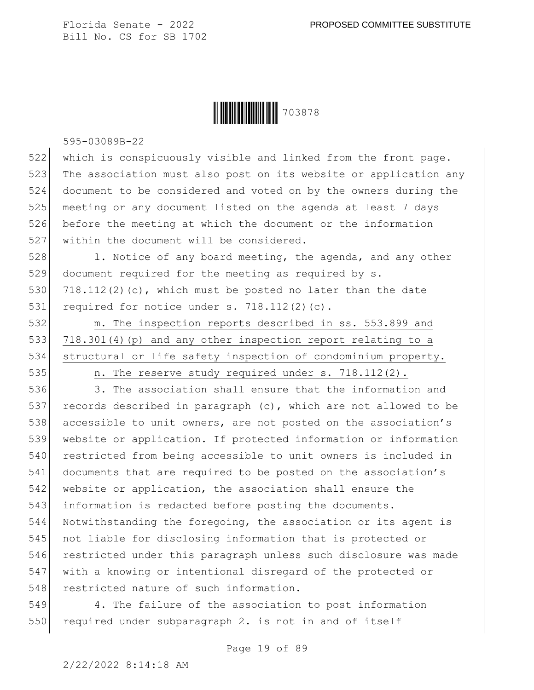

595-03089B-22

522 which is conspicuously visible and linked from the front page. 523 The association must also post on its website or application any 524 document to be considered and voted on by the owners during the 525 meeting or any document listed on the agenda at least 7 days 526 before the meeting at which the document or the information 527 within the document will be considered.

528 1. Notice of any board meeting, the agenda, and any other 529 document required for the meeting as required by s. 530 718.112(2)(c), which must be posted no later than the date 531 required for notice under s.  $718.112(2)(c)$ .

532 m. The inspection reports described in ss. 553.899 and 533 718.301(4)(p) and any other inspection report relating to a 534 structural or life safety inspection of condominium property.

535 n. The reserve study required under s. 718.112(2).

536 3. The association shall ensure that the information and 537 records described in paragraph (c), which are not allowed to be 538 accessible to unit owners, are not posted on the association's 539 website or application. If protected information or information 540 restricted from being accessible to unit owners is included in 541 documents that are required to be posted on the association's 542 website or application, the association shall ensure the 543 information is redacted before posting the documents. 544 Notwithstanding the foregoing, the association or its agent is 545 not liable for disclosing information that is protected or 546 restricted under this paragraph unless such disclosure was made 547 with a knowing or intentional disregard of the protected or 548 restricted nature of such information.

549 4. The failure of the association to post information 550 required under subparagraph 2. is not in and of itself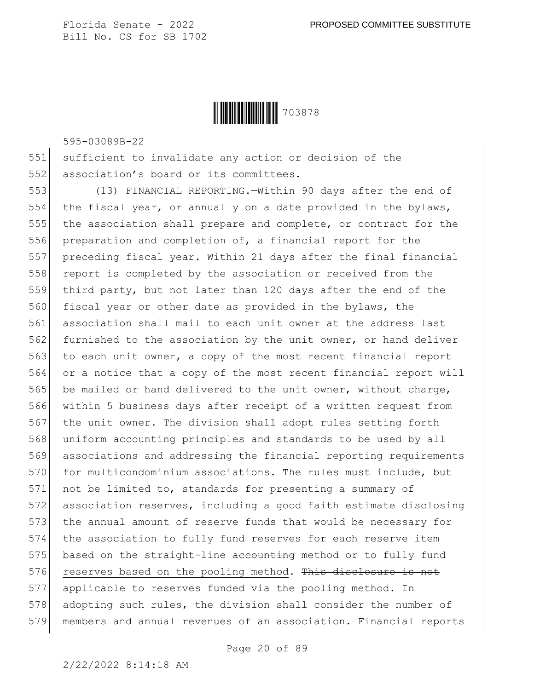

595-03089B-22

551 sufficient to invalidate any action or decision of the 552 association's board or its committees.

553 (13) FINANCIAL REPORTING.—Within 90 days after the end of 554 the fiscal year, or annually on a date provided in the bylaws, 555 the association shall prepare and complete, or contract for the 556 preparation and completion of, a financial report for the 557 preceding fiscal year. Within 21 days after the final financial 558 report is completed by the association or received from the 559 third party, but not later than 120 days after the end of the 560 fiscal year or other date as provided in the bylaws, the 561 association shall mail to each unit owner at the address last 562 furnished to the association by the unit owner, or hand deliver 563 to each unit owner, a copy of the most recent financial report 564 or a notice that a copy of the most recent financial report will 565 be mailed or hand delivered to the unit owner, without charge, 566 within 5 business days after receipt of a written request from 567 the unit owner. The division shall adopt rules setting forth 568 uniform accounting principles and standards to be used by all 569 associations and addressing the financial reporting requirements 570 for multicondominium associations. The rules must include, but 571 not be limited to, standards for presenting a summary of 572 association reserves, including a good faith estimate disclosing 573 the annual amount of reserve funds that would be necessary for 574 the association to fully fund reserves for each reserve item 575 based on the straight-line accounting method or to fully fund  $576$  reserves based on the pooling method. This disclosure is not 577 applicable to reserves funded via the pooling method. In 578 adopting such rules, the division shall consider the number of 579 members and annual revenues of an association. Financial reports

Page 20 of 89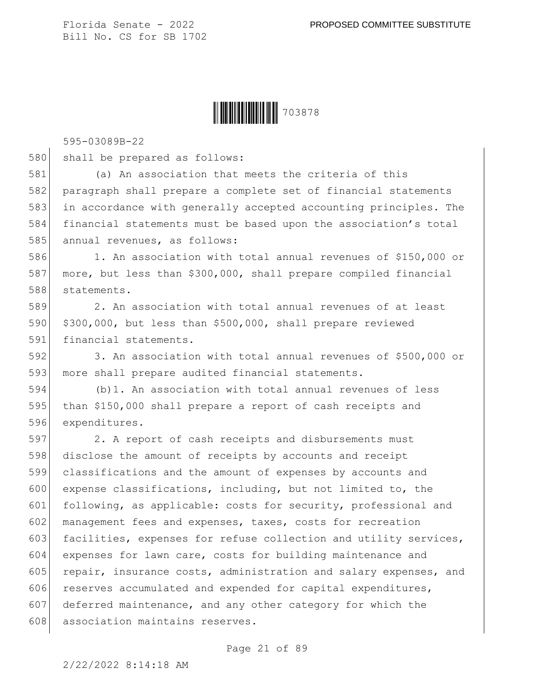

595-03089B-22

580 shall be prepared as follows:

581 (a) An association that meets the criteria of this 582 paragraph shall prepare a complete set of financial statements 583 in accordance with generally accepted accounting principles. The 584 financial statements must be based upon the association's total 585 annual revenues, as follows:

586 1. An association with total annual revenues of \$150,000 or 587 more, but less than \$300,000, shall prepare compiled financial 588 statements.

589 2. An association with total annual revenues of at least 590 \$300,000, but less than \$500,000, shall prepare reviewed 591 financial statements.

592 3. An association with total annual revenues of \$500,000 or 593 more shall prepare audited financial statements.

594 (b)1. An association with total annual revenues of less 595 than \$150,000 shall prepare a report of cash receipts and 596 expenditures.

597 2. A report of cash receipts and disbursements must 598 disclose the amount of receipts by accounts and receipt 599 classifications and the amount of expenses by accounts and 600 expense classifications, including, but not limited to, the 601 following, as applicable: costs for security, professional and 602 management fees and expenses, taxes, costs for recreation 603 facilities, expenses for refuse collection and utility services, 604 expenses for lawn care, costs for building maintenance and 605 repair, insurance costs, administration and salary expenses, and 606 reserves accumulated and expended for capital expenditures, 607 deferred maintenance, and any other category for which the 608 association maintains reserves.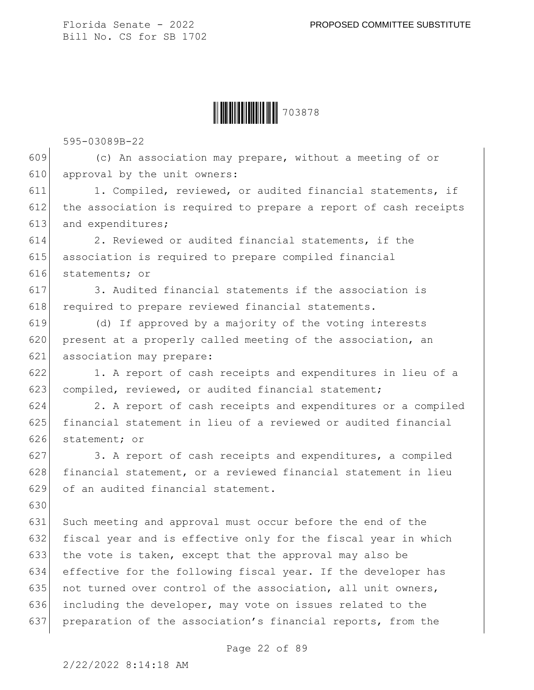

595-03089B-22

 $609$  (c) An association may prepare, without a meeting of or 610 approval by the unit owners:

611 1. Compiled, reviewed, or audited financial statements, if 612 the association is required to prepare a report of cash receipts 613 and expenditures;

614 2. Reviewed or audited financial statements, if the 615 association is required to prepare compiled financial 616 statements; or

617 3. Audited financial statements if the association is 618 required to prepare reviewed financial statements.

619 (d) If approved by a majority of the voting interests 620 present at a properly called meeting of the association, an 621 association may prepare:

622 1. A report of cash receipts and expenditures in lieu of a 623 compiled, reviewed, or audited financial statement;

624 2. A report of cash receipts and expenditures or a compiled 625 financial statement in lieu of a reviewed or audited financial 626 statement; or

627 3. A report of cash receipts and expenditures, a compiled 628 financial statement, or a reviewed financial statement in lieu 629 of an audited financial statement.

631 Such meeting and approval must occur before the end of the 632 fiscal year and is effective only for the fiscal year in which 633 the vote is taken, except that the approval may also be 634 effective for the following fiscal year. If the developer has 635 not turned over control of the association, all unit owners, 636 including the developer, may vote on issues related to the 637 preparation of the association's financial reports, from the

Page 22 of 89

630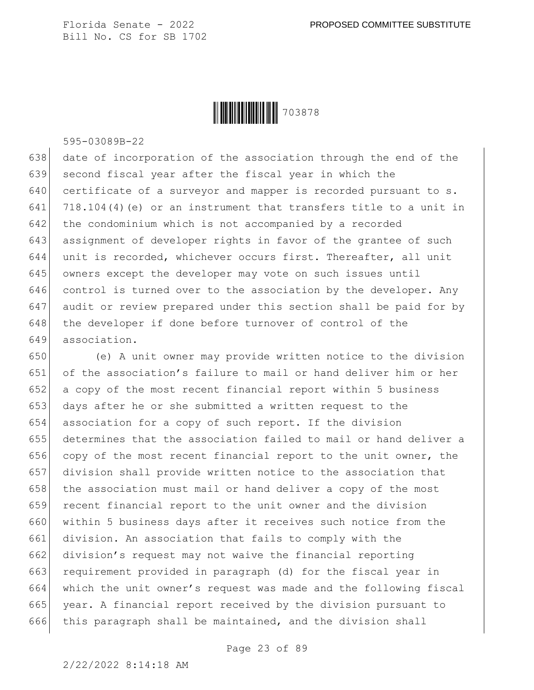

595-03089B-22

638 date of incorporation of the association through the end of the 639 second fiscal year after the fiscal year in which the  $640$  certificate of a surveyor and mapper is recorded pursuant to s. 641 718.104(4) (e) or an instrument that transfers title to a unit in 642 the condominium which is not accompanied by a recorded 643 assignment of developer rights in favor of the grantee of such 644 unit is recorded, whichever occurs first. Thereafter, all unit 645 owners except the developer may vote on such issues until 646 control is turned over to the association by the developer. Any 647 audit or review prepared under this section shall be paid for by 648 the developer if done before turnover of control of the 649 association.

 (e) A unit owner may provide written notice to the division of the association's failure to mail or hand deliver him or her a copy of the most recent financial report within 5 business days after he or she submitted a written request to the association for a copy of such report. If the division determines that the association failed to mail or hand deliver a copy of the most recent financial report to the unit owner, the division shall provide written notice to the association that 658 the association must mail or hand deliver a copy of the most 659 recent financial report to the unit owner and the division 660 within 5 business days after it receives such notice from the division. An association that fails to comply with the division's request may not waive the financial reporting requirement provided in paragraph (d) for the fiscal year in which the unit owner's request was made and the following fiscal year. A financial report received by the division pursuant to 666 this paragraph shall be maintained, and the division shall

Page 23 of 89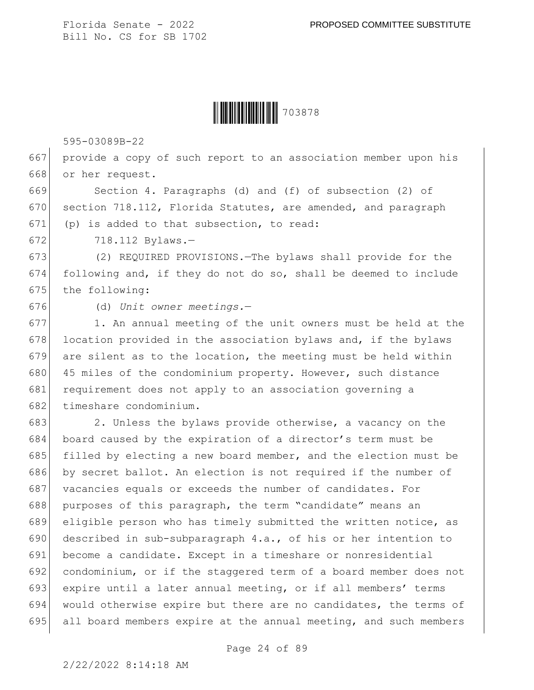

595-03089B-22

667 provide a copy of such report to an association member upon his 668 or her request.

669 Section 4. Paragraphs (d) and (f) of subsection (2) of 670 section 718.112, Florida Statutes, are amended, and paragraph 671 (p) is added to that subsection, to read:

672 718.112 Bylaws.-

673 (2) REQUIRED PROVISIONS.—The bylaws shall provide for the 674 following and, if they do not do so, shall be deemed to include 675 the following:

676 (d) *Unit owner meetings.*—

677 1. An annual meeting of the unit owners must be held at the 678 location provided in the association bylaws and, if the bylaws  $679$  are silent as to the location, the meeting must be held within 680 45 miles of the condominium property. However, such distance 681 requirement does not apply to an association governing a 682 timeshare condominium.

683 2. Unless the bylaws provide otherwise, a vacancy on the board caused by the expiration of a director's term must be filled by electing a new board member, and the election must be by secret ballot. An election is not required if the number of 687 vacancies equals or exceeds the number of candidates. For purposes of this paragraph, the term "candidate" means an eligible person who has timely submitted the written notice, as 690 described in sub-subparagraph  $4.a.,$  of his or her intention to become a candidate. Except in a timeshare or nonresidential condominium, or if the staggered term of a board member does not expire until a later annual meeting, or if all members' terms would otherwise expire but there are no candidates, the terms of all board members expire at the annual meeting, and such members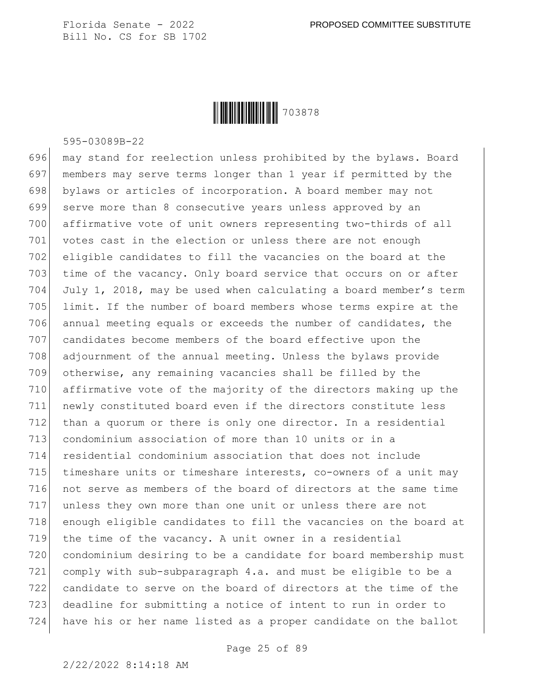

595-03089B-22

 may stand for reelection unless prohibited by the bylaws. Board members may serve terms longer than 1 year if permitted by the 698 bylaws or articles of incorporation. A board member may not serve more than 8 consecutive years unless approved by an affirmative vote of unit owners representing two-thirds of all 701 votes cast in the election or unless there are not enough eligible candidates to fill the vacancies on the board at the 703 time of the vacancy. Only board service that occurs on or after July 1, 2018, may be used when calculating a board member's term 705 limit. If the number of board members whose terms expire at the annual meeting equals or exceeds the number of candidates, the 707 candidates become members of the board effective upon the adjournment of the annual meeting. Unless the bylaws provide otherwise, any remaining vacancies shall be filled by the affirmative vote of the majority of the directors making up the newly constituted board even if the directors constitute less than a quorum or there is only one director. In a residential condominium association of more than 10 units or in a residential condominium association that does not include timeshare units or timeshare interests, co-owners of a unit may 716 not serve as members of the board of directors at the same time unless they own more than one unit or unless there are not 718 enough eligible candidates to fill the vacancies on the board at the time of the vacancy. A unit owner in a residential condominium desiring to be a candidate for board membership must comply with sub-subparagraph 4.a. and must be eligible to be a candidate to serve on the board of directors at the time of the deadline for submitting a notice of intent to run in order to have his or her name listed as a proper candidate on the ballot

Page 25 of 89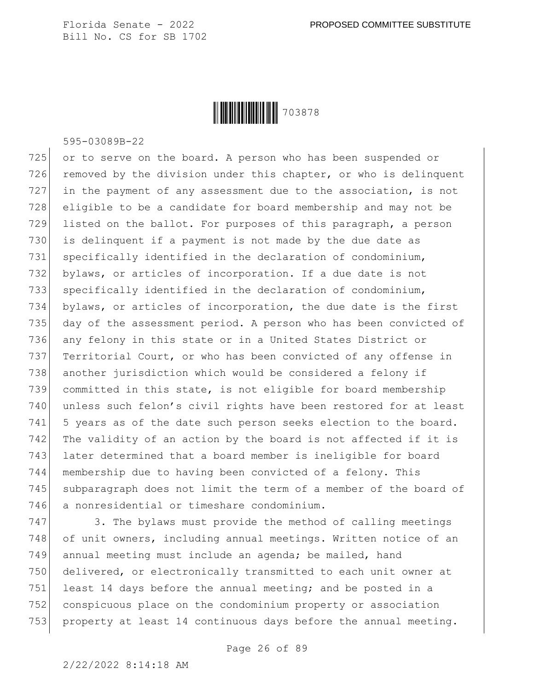

595-03089B-22

725 or to serve on the board. A person who has been suspended or 726 removed by the division under this chapter, or who is delinquent 727 in the payment of any assessment due to the association, is not 728 eligible to be a candidate for board membership and may not be 729 listed on the ballot. For purposes of this paragraph, a person 730 is delinquent if a payment is not made by the due date as 731 specifically identified in the declaration of condominium, 732 bylaws, or articles of incorporation. If a due date is not 733 specifically identified in the declaration of condominium, 734 bylaws, or articles of incorporation, the due date is the first 735 day of the assessment period. A person who has been convicted of 736 any felony in this state or in a United States District or 737 Territorial Court, or who has been convicted of any offense in 738 another jurisdiction which would be considered a felony if 739 committed in this state, is not eligible for board membership 740 unless such felon's civil rights have been restored for at least 741 5 years as of the date such person seeks election to the board. 742 The validity of an action by the board is not affected if it is 743 later determined that a board member is ineligible for board 744 membership due to having been convicted of a felony. This 745 subparagraph does not limit the term of a member of the board of 746 a nonresidential or timeshare condominium.

747 3. The bylaws must provide the method of calling meetings 748 of unit owners, including annual meetings. Written notice of an 749 annual meeting must include an agenda; be mailed, hand 750 delivered, or electronically transmitted to each unit owner at 751 least 14 days before the annual meeting; and be posted in a 752 conspicuous place on the condominium property or association 753 property at least 14 continuous days before the annual meeting.

Page 26 of 89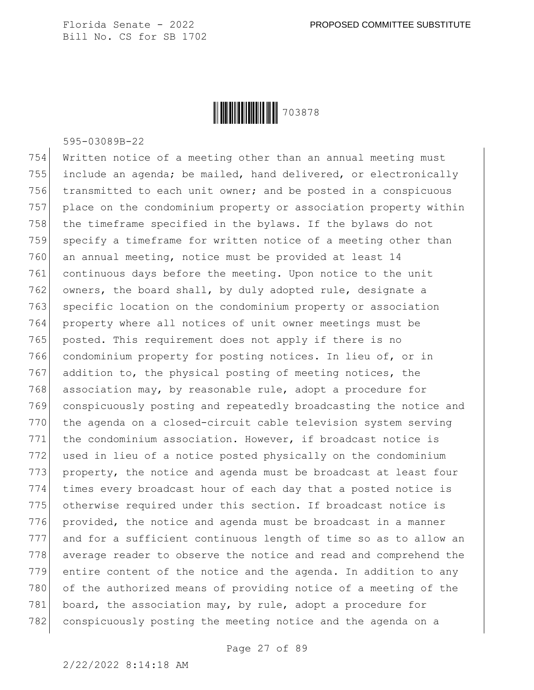

595-03089B-22

 Written notice of a meeting other than an annual meeting must include an agenda; be mailed, hand delivered, or electronically 756 transmitted to each unit owner; and be posted in a conspicuous place on the condominium property or association property within the timeframe specified in the bylaws. If the bylaws do not 759 specify a timeframe for written notice of a meeting other than an annual meeting, notice must be provided at least 14 continuous days before the meeting. Upon notice to the unit 762 owners, the board shall, by duly adopted rule, designate a 763 specific location on the condominium property or association property where all notices of unit owner meetings must be 765 posted. This requirement does not apply if there is no condominium property for posting notices. In lieu of, or in 767 addition to, the physical posting of meeting notices, the 768 association may, by reasonable rule, adopt a procedure for conspicuously posting and repeatedly broadcasting the notice and the agenda on a closed-circuit cable television system serving the condominium association. However, if broadcast notice is used in lieu of a notice posted physically on the condominium property, the notice and agenda must be broadcast at least four 774 times every broadcast hour of each day that a posted notice is otherwise required under this section. If broadcast notice is provided, the notice and agenda must be broadcast in a manner and for a sufficient continuous length of time so as to allow an 778 average reader to observe the notice and read and comprehend the entire content of the notice and the agenda. In addition to any 780 of the authorized means of providing notice of a meeting of the 781 board, the association may, by rule, adopt a procedure for conspicuously posting the meeting notice and the agenda on a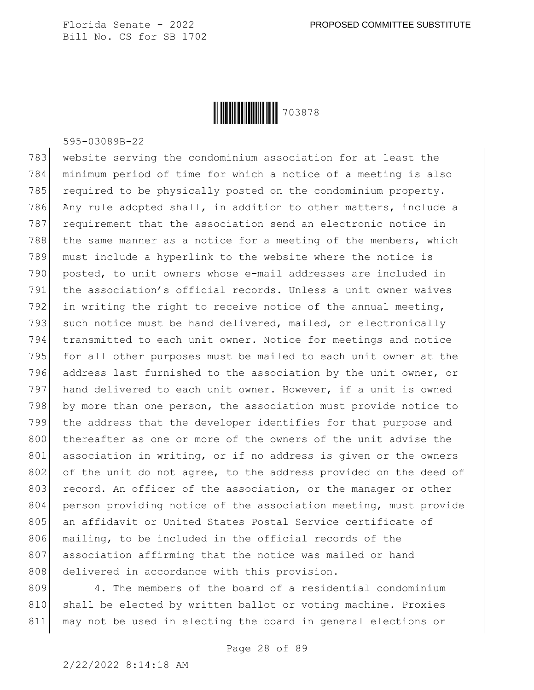

595-03089B-22

783 website serving the condominium association for at least the 784 minimum period of time for which a notice of a meeting is also 785 required to be physically posted on the condominium property. 786 Any rule adopted shall, in addition to other matters, include a 787 requirement that the association send an electronic notice in 788 the same manner as a notice for a meeting of the members, which 789 must include a hyperlink to the website where the notice is 790 posted, to unit owners whose e-mail addresses are included in 791 the association's official records. Unless a unit owner waives 792 in writing the right to receive notice of the annual meeting, 793 such notice must be hand delivered, mailed, or electronically 794 transmitted to each unit owner. Notice for meetings and notice 795 for all other purposes must be mailed to each unit owner at the 796 address last furnished to the association by the unit owner, or 797 hand delivered to each unit owner. However, if a unit is owned 798 by more than one person, the association must provide notice to 799 the address that the developer identifies for that purpose and 800 thereafter as one or more of the owners of the unit advise the 801 association in writing, or if no address is given or the owners 802 of the unit do not agree, to the address provided on the deed of 803 record. An officer of the association, or the manager or other 804 person providing notice of the association meeting, must provide 805 an affidavit or United States Postal Service certificate of 806 mailing, to be included in the official records of the 807 association affirming that the notice was mailed or hand 808 delivered in accordance with this provision.

809 4. The members of the board of a residential condominium 810 shall be elected by written ballot or voting machine. Proxies 811 may not be used in electing the board in general elections or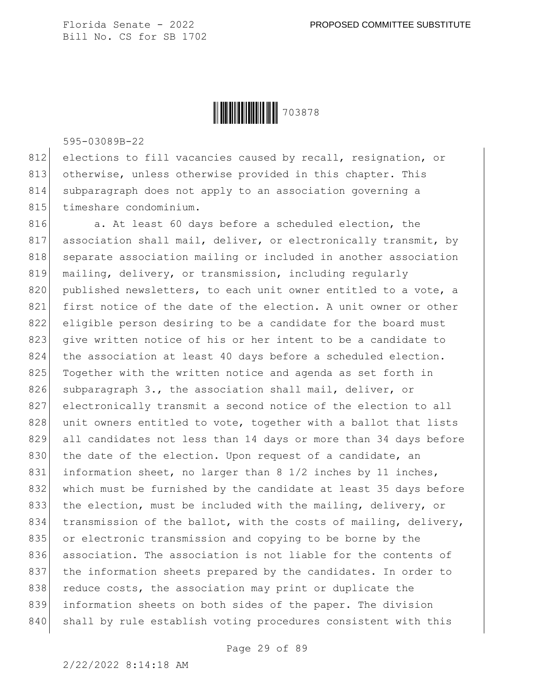

595-03089B-22

812 elections to fill vacancies caused by recall, resignation, or 813 otherwise, unless otherwise provided in this chapter. This 814 subparagraph does not apply to an association governing a 815 timeshare condominium.

816 a. At least 60 days before a scheduled election, the 817 association shall mail, deliver, or electronically transmit, by 818 separate association mailing or included in another association 819 mailing, delivery, or transmission, including regularly 820 published newsletters, to each unit owner entitled to a vote, a 821 first notice of the date of the election. A unit owner or other 822 eligible person desiring to be a candidate for the board must 823 give written notice of his or her intent to be a candidate to 824 the association at least 40 days before a scheduled election. 825 Together with the written notice and agenda as set forth in 826 subparagraph 3., the association shall mail, deliver, or 827 electronically transmit a second notice of the election to all 828 unit owners entitled to vote, together with a ballot that lists 829 all candidates not less than 14 days or more than 34 days before 830 the date of the election. Upon request of a candidate, an 831 information sheet, no larger than 8 1/2 inches by 11 inches, 832 which must be furnished by the candidate at least 35 days before 833 the election, must be included with the mailing, delivery, or 834 transmission of the ballot, with the costs of mailing, delivery, 835 or electronic transmission and copying to be borne by the 836 association. The association is not liable for the contents of 837 the information sheets prepared by the candidates. In order to 838 reduce costs, the association may print or duplicate the 839 information sheets on both sides of the paper. The division 840 shall by rule establish voting procedures consistent with this

Page 29 of 89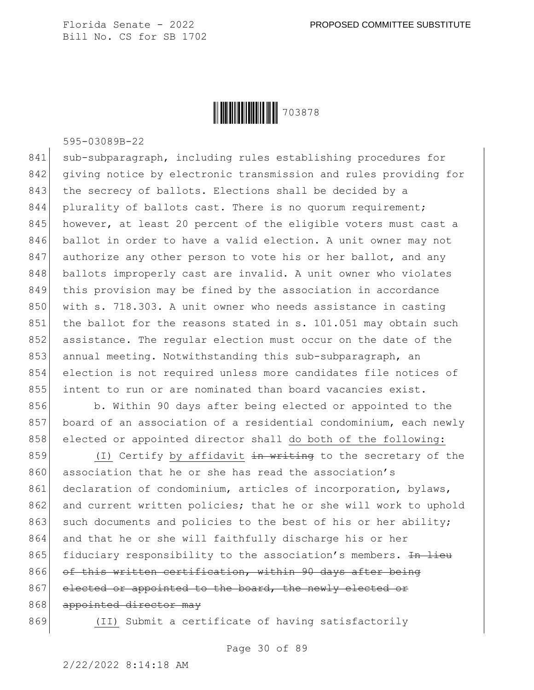

595-03089B-22

841 sub-subparagraph, including rules establishing procedures for 842 giving notice by electronic transmission and rules providing for 843 the secrecy of ballots. Elections shall be decided by a 844 plurality of ballots cast. There is no quorum requirement; 845 however, at least 20 percent of the eligible voters must cast a 846 ballot in order to have a valid election. A unit owner may not 847 authorize any other person to vote his or her ballot, and any 848 ballots improperly cast are invalid. A unit owner who violates 849 this provision may be fined by the association in accordance 850 with s. 718.303. A unit owner who needs assistance in casting 851 the ballot for the reasons stated in s. 101.051 may obtain such 852 assistance. The regular election must occur on the date of the 853 annual meeting. Notwithstanding this sub-subparagraph, an 854 election is not required unless more candidates file notices of 855 intent to run or are nominated than board vacancies exist.

856 b. Within 90 days after being elected or appointed to the 857 board of an association of a residential condominium, each newly 858 elected or appointed director shall do both of the following:

859  $(1)$  Certify by affidavit in writing to the secretary of the 860 association that he or she has read the association's 861 declaration of condominium, articles of incorporation, bylaws, 862 and current written policies; that he or she will work to uphold 863 such documents and policies to the best of his or her ability; 864 and that he or she will faithfully discharge his or her 865 fiduciary responsibility to the association's members.  $\overline{In\text{ line}}$ 866 of this written certification, within 90 days after being 867 elected or appointed to the board, the newly elected or 868 appointed director may

869 (II) Submit a certificate of having satisfactorily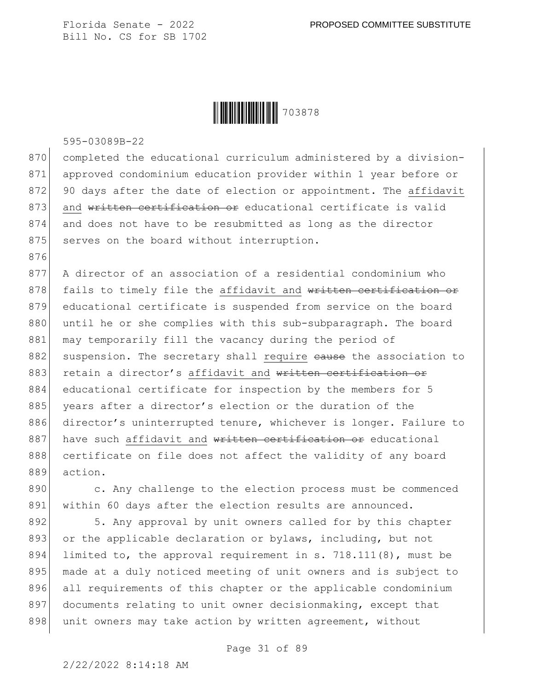

595-03089B-22

876

870 completed the educational curriculum administered by a division-871 approved condominium education provider within 1 year before or 872 90 days after the date of election or appointment. The affidavit 873 and written certification or educational certificate is valid 874 and does not have to be resubmitted as long as the director 875 serves on the board without interruption.

877 A director of an association of a residential condominium who 878 fails to timely file the affidavit and written certification or 879 educational certificate is suspended from service on the board 880 until he or she complies with this sub-subparagraph. The board 881 may temporarily fill the vacancy during the period of 882 suspension. The secretary shall require eause the association to 883 retain a director's affidavit and written certification or 884 educational certificate for inspection by the members for 5 885 years after a director's election or the duration of the 886 director's uninterrupted tenure, whichever is longer. Failure to 887 have such affidavit and written certification or educational 888 certificate on file does not affect the validity of any board 889 action.

890 c. Any challenge to the election process must be commenced 891 within 60 days after the election results are announced.

892 5. Any approval by unit owners called for by this chapter 893 or the applicable declaration or bylaws, including, but not 894 limited to, the approval requirement in s. 718.111(8), must be 895 made at a duly noticed meeting of unit owners and is subject to 896 all requirements of this chapter or the applicable condominium 897 documents relating to unit owner decisionmaking, except that 898 unit owners may take action by written agreement, without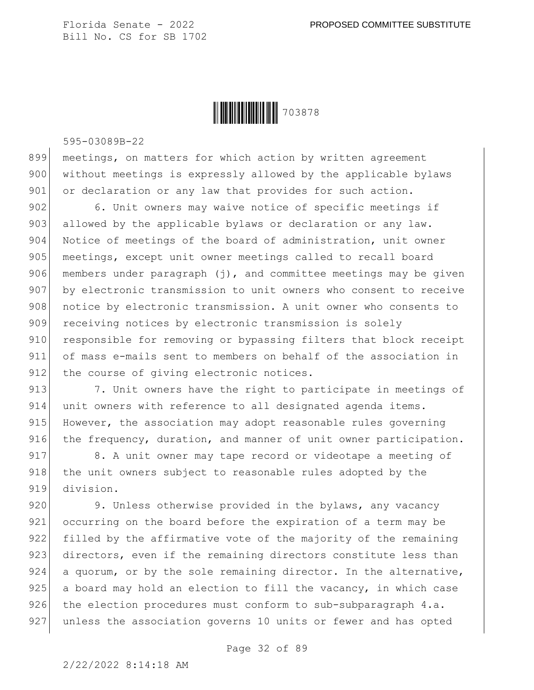

595-03089B-22

899 meetings, on matters for which action by written agreement 900 without meetings is expressly allowed by the applicable bylaws 901 or declaration or any law that provides for such action.

902 6. Unit owners may waive notice of specific meetings if 903 allowed by the applicable bylaws or declaration or any law. 904 Notice of meetings of the board of administration, unit owner 905 meetings, except unit owner meetings called to recall board 906 members under paragraph  $(j)$ , and committee meetings may be given 907 by electronic transmission to unit owners who consent to receive 908 notice by electronic transmission. A unit owner who consents to 909 receiving notices by electronic transmission is solely 910 responsible for removing or bypassing filters that block receipt 911 of mass e-mails sent to members on behalf of the association in 912 the course of giving electronic notices.

913 7. Unit owners have the right to participate in meetings of 914 unit owners with reference to all designated agenda items. 915 However, the association may adopt reasonable rules governing 916 the frequency, duration, and manner of unit owner participation.

917 8. A unit owner may tape record or videotape a meeting of 918 the unit owners subject to reasonable rules adopted by the 919 division.

920 9. Unless otherwise provided in the bylaws, any vacancy 921 occurring on the board before the expiration of a term may be 922 filled by the affirmative vote of the majority of the remaining 923 directors, even if the remaining directors constitute less than 924 a quorum, or by the sole remaining director. In the alternative,  $925$  a board may hold an election to fill the vacancy, in which case  $926$  the election procedures must conform to sub-subparagraph 4.a. 927 unless the association governs 10 units or fewer and has opted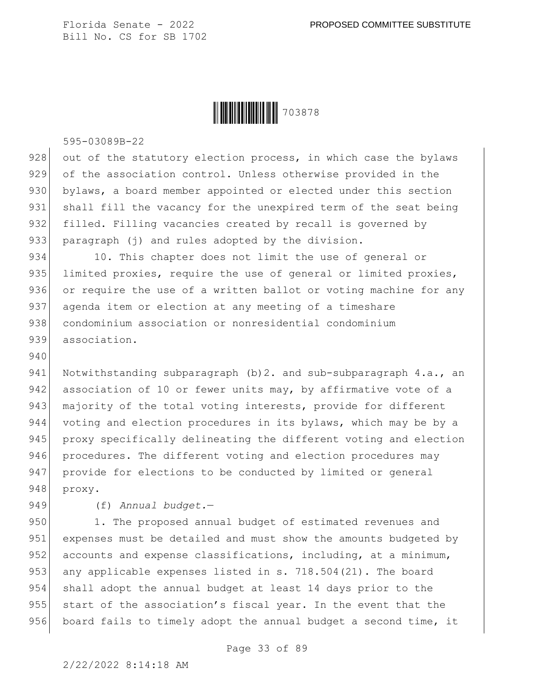

595-03089B-22

 $928$  out of the statutory election process, in which case the bylaws 929 of the association control. Unless otherwise provided in the 930 bylaws, a board member appointed or elected under this section 931 shall fill the vacancy for the unexpired term of the seat being 932 filled. Filling vacancies created by recall is governed by 933 paragraph (j) and rules adopted by the division.

934 10. This chapter does not limit the use of general or 935 limited proxies, require the use of general or limited proxies, 936 or require the use of a written ballot or voting machine for any 937 agenda item or election at any meeting of a timeshare 938 condominium association or nonresidential condominium 939 association.

941 Notwithstanding subparagraph (b) 2. and sub-subparagraph 4.a., an 942 association of 10 or fewer units may, by affirmative vote of a 943 majority of the total voting interests, provide for different 944 voting and election procedures in its bylaws, which may be by a 945 proxy specifically delineating the different voting and election 946 procedures. The different voting and election procedures may 947 provide for elections to be conducted by limited or general 948 proxy.

949 (f) *Annual budget.*—

940

950 1. The proposed annual budget of estimated revenues and 951 expenses must be detailed and must show the amounts budgeted by 952 accounts and expense classifications, including, at a minimum, 953 any applicable expenses listed in s. 718.504(21). The board 954 shall adopt the annual budget at least 14 days prior to the 955 start of the association's fiscal year. In the event that the 956 board fails to timely adopt the annual budget a second time, it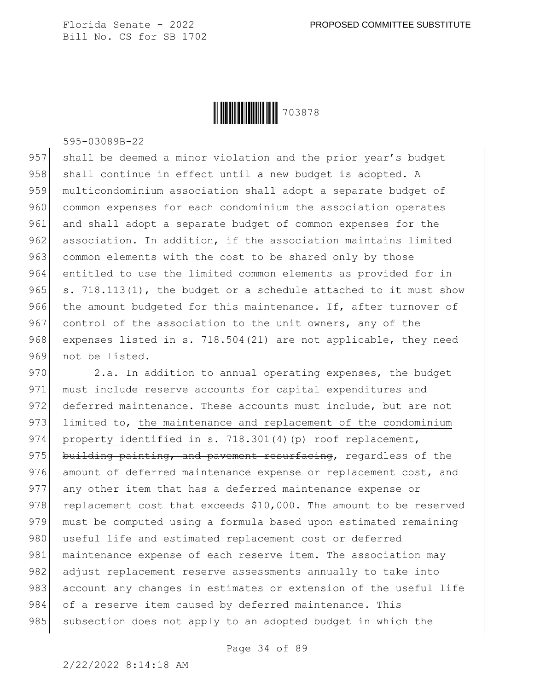

595-03089B-22

957 shall be deemed a minor violation and the prior year's budget 958 shall continue in effect until a new budget is adopted. A 959 multicondominium association shall adopt a separate budget of 960 common expenses for each condominium the association operates 961 and shall adopt a separate budget of common expenses for the 962 association. In addition, if the association maintains limited 963 common elements with the cost to be shared only by those 964 entitled to use the limited common elements as provided for in 965 s. 718.113(1), the budget or a schedule attached to it must show 966 the amount budgeted for this maintenance. If, after turnover of 967 control of the association to the unit owners, any of the 968 expenses listed in s. 718.504(21) are not applicable, they need 969 not be listed.

970 2.a. In addition to annual operating expenses, the budget 971 must include reserve accounts for capital expenditures and 972 deferred maintenance. These accounts must include, but are not 973 limited to, the maintenance and replacement of the condominium 974 property identified in s. 718.301(4)(p) roof replacement, 975 building painting, and pavement resurfacing, regardless of the 976 amount of deferred maintenance expense or replacement cost, and 977 any other item that has a deferred maintenance expense or  $978$  replacement cost that exceeds \$10,000. The amount to be reserved 979 must be computed using a formula based upon estimated remaining 980 useful life and estimated replacement cost or deferred 981 maintenance expense of each reserve item. The association may 982 adjust replacement reserve assessments annually to take into 983 account any changes in estimates or extension of the useful life 984 of a reserve item caused by deferred maintenance. This 985 subsection does not apply to an adopted budget in which the

Page 34 of 89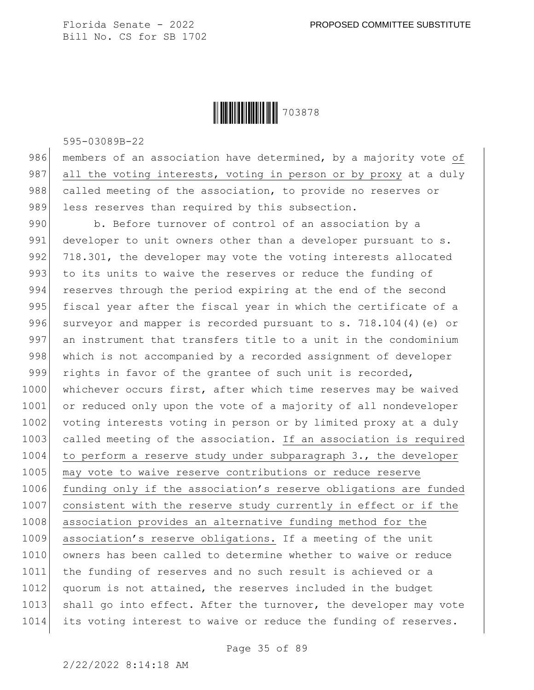

595-03089B-22

986 members of an association have determined, by a majority vote of 987 all the voting interests, voting in person or by proxy at a duly 988 called meeting of the association, to provide no reserves or 989 less reserves than required by this subsection.

990 b. Before turnover of control of an association by a 991 developer to unit owners other than a developer pursuant to s. 992 718.301, the developer may vote the voting interests allocated 993 to its units to waive the reserves or reduce the funding of 994 reserves through the period expiring at the end of the second 995 fiscal year after the fiscal year in which the certificate of a 996 surveyor and mapper is recorded pursuant to s.  $718.104(4)$  (e) or 997 an instrument that transfers title to a unit in the condominium 998 which is not accompanied by a recorded assignment of developer 999 rights in favor of the grantee of such unit is recorded, 1000 whichever occurs first, after which time reserves may be waived 1001 or reduced only upon the vote of a majority of all nondeveloper 1002 voting interests voting in person or by limited proxy at a duly 1003 called meeting of the association. If an association is required  $1004$  to perform a reserve study under subparagraph 3., the developer 1005 may vote to waive reserve contributions or reduce reserve 1006 funding only if the association's reserve obligations are funded 1007 consistent with the reserve study currently in effect or if the 1008 association provides an alternative funding method for the 1009 association's reserve obligations. If a meeting of the unit 1010 owners has been called to determine whether to waive or reduce 1011 the funding of reserves and no such result is achieved or a 1012 quorum is not attained, the reserves included in the budget 1013 shall go into effect. After the turnover, the developer may vote 1014 its voting interest to waive or reduce the funding of reserves.

Page 35 of 89

2/22/2022 8:14:18 AM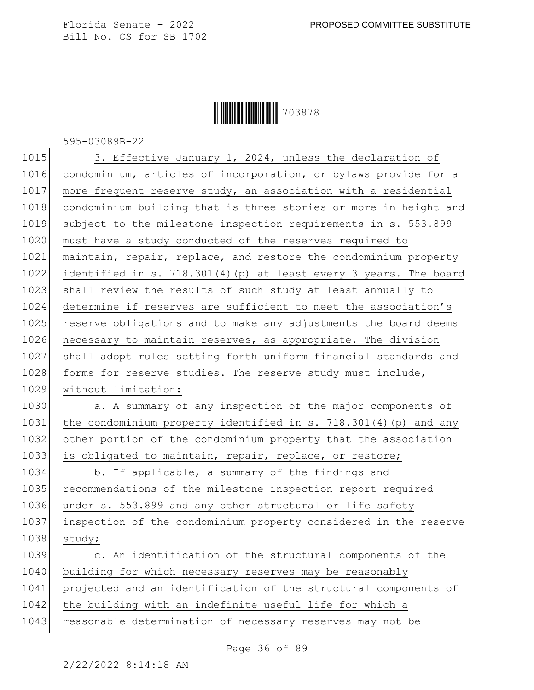#### **|| || || || || || || || || || ||** 703878

595-03089B-22

1015 3. Effective January 1, 2024, unless the declaration of 1016 condominium, articles of incorporation, or bylaws provide for a 1017 more frequent reserve study, an association with a residential 1018 condominium building that is three stories or more in height and 1019 subject to the milestone inspection requirements in s. 553.899 1020 must have a study conducted of the reserves required to 1021 maintain, repair, replace, and restore the condominium property 1022 identified in s. 718.301(4)(p) at least every 3 years. The board 1023 shall review the results of such study at least annually to 1024 determine if reserves are sufficient to meet the association's 1025 reserve obligations and to make any adjustments the board deems 1026 necessary to maintain reserves, as appropriate. The division 1027 shall adopt rules setting forth uniform financial standards and 1028 forms for reserve studies. The reserve study must include, 1029 without limitation: 1030 a. A summary of any inspection of the major components of 1031 the condominium property identified in s. 718.301(4)(p) and any 1032 other portion of the condominium property that the association 1033 is obligated to maintain, repair, replace, or restore; 1034 b. If applicable, a summary of the findings and 1035 recommendations of the milestone inspection report required 1036 under s. 553.899 and any other structural or life safety 1037 inspection of the condominium property considered in the reserve 1038 study; 1039 c. An identification of the structural components of the 1040 building for which necessary reserves may be reasonably 1041 projected and an identification of the structural components of 1042 the building with an indefinite useful life for which a 1043 reasonable determination of necessary reserves may not be

Page 36 of 89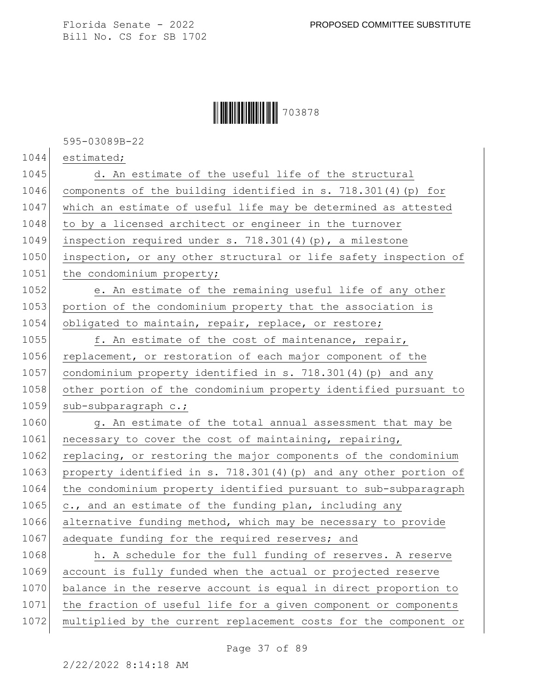#### Ì703878XÎ703878

595-03089B-22

1044 estimated;

1045 d. An estimate of the useful life of the structural 1046 components of the building identified in s. 718.301(4)(p) for 1047 which an estimate of useful life may be determined as attested 1048 to by a licensed architect or engineer in the turnover 1049 inspection required under s. 718.301(4)(p), a milestone 1050 inspection, or any other structural or life safety inspection of 1051 the condominium property;

1052 e. An estimate of the remaining useful life of any other 1053 portion of the condominium property that the association is 1054 obligated to maintain, repair, replace, or restore;

1055 f. An estimate of the cost of maintenance, repair, 1056 replacement, or restoration of each major component of the 1057 condominium property identified in s. 718.301(4)(p) and any 1058 other portion of the condominium property identified pursuant to 1059 sub-subparagraph c.;

1060 g. An estimate of the total annual assessment that may be 1061 necessary to cover the cost of maintaining, repairing, 1062 replacing, or restoring the major components of the condominium 1063 property identified in s. 718.301(4)(p) and any other portion of 1064 the condominium property identified pursuant to sub-subparagraph  $1065$  c., and an estimate of the funding plan, including any 1066 alternative funding method, which may be necessary to provide 1067 adequate funding for the required reserves; and

1068 h. A schedule for the full funding of reserves. A reserve 1069 account is fully funded when the actual or projected reserve 1070 balance in the reserve account is equal in direct proportion to 1071 the fraction of useful life for a given component or components 1072 multiplied by the current replacement costs for the component or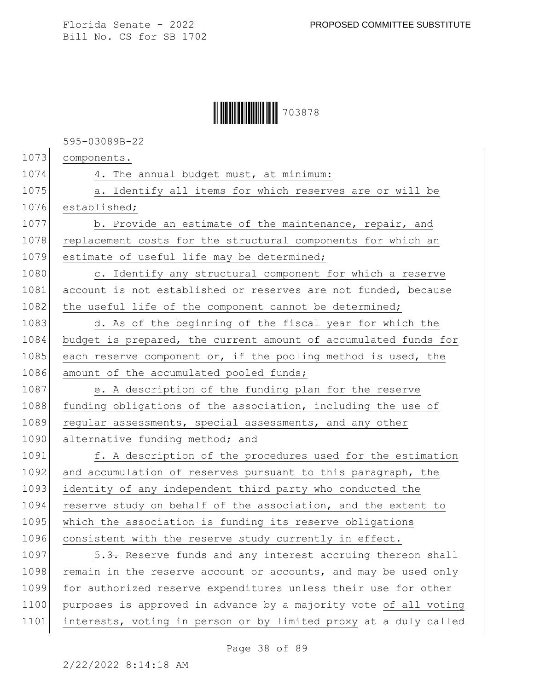#### Ì703878XÎ703878

595-03089B-22

1073 components.

1074 4. The annual budget must, at minimum: 1075 a. Identify all items for which reserves are or will be 1076 established; 1077 b. Provide an estimate of the maintenance, repair, and 1078 replacement costs for the structural components for which an 1079 estimate of useful life may be determined; 1080 c. Identify any structural component for which a reserve 1081 account is not established or reserves are not funded, because 1082 the useful life of the component cannot be determined; 1083 d. As of the beginning of the fiscal year for which the 1084 budget is prepared, the current amount of accumulated funds for 1085 each reserve component or, if the pooling method is used, the 1086 amount of the accumulated pooled funds; 1087 e. A description of the funding plan for the reserve 1088 funding obligations of the association, including the use of 1089 regular assessments, special assessments, and any other 1090 alternative funding method; and 1091 f. A description of the procedures used for the estimation 1092 and accumulation of reserves pursuant to this paragraph, the 1093 identity of any independent third party who conducted the 1094 reserve study on behalf of the association, and the extent to 1095 which the association is funding its reserve obligations 1096 consistent with the reserve study currently in effect. 1097 5.3. Reserve funds and any interest accruing thereon shall 1098 remain in the reserve account or accounts, and may be used only 1099 for authorized reserve expenditures unless their use for other 1100 purposes is approved in advance by a majority vote of all voting

1101 interests, voting in person or by limited proxy at a duly called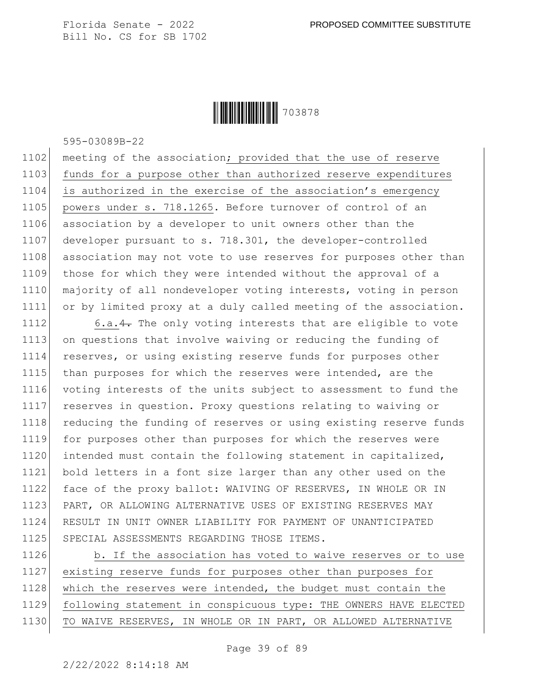

595-03089B-22

1102 meeting of the association; provided that the use of reserve 1103 funds for a purpose other than authorized reserve expenditures 1104 is authorized in the exercise of the association's emergency 1105 powers under s. 718.1265. Before turnover of control of an 1106 association by a developer to unit owners other than the 1107 developer pursuant to s. 718.301, the developer-controlled 1108 association may not vote to use reserves for purposes other than 1109 those for which they were intended without the approval of a 1110 majority of all nondeveloper voting interests, voting in person 1111 or by limited proxy at a duly called meeting of the association.

1112 6.a.4. The only voting interests that are eligible to vote 1113 on questions that involve waiving or reducing the funding of 1114 reserves, or using existing reserve funds for purposes other 1115 than purposes for which the reserves were intended, are the 1116 voting interests of the units subject to assessment to fund the 1117 reserves in question. Proxy questions relating to waiving or 1118 reducing the funding of reserves or using existing reserve funds 1119 for purposes other than purposes for which the reserves were 1120 intended must contain the following statement in capitalized, 1121 bold letters in a font size larger than any other used on the 1122 face of the proxy ballot: WAIVING OF RESERVES, IN WHOLE OR IN 1123 PART, OR ALLOWING ALTERNATIVE USES OF EXISTING RESERVES MAY 1124 RESULT IN UNIT OWNER LIABILITY FOR PAYMENT OF UNANTICIPATED 1125 SPECIAL ASSESSMENTS REGARDING THOSE ITEMS.

1126 b. If the association has voted to waive reserves or to use 1127 existing reserve funds for purposes other than purposes for 1128 which the reserves were intended, the budget must contain the 1129 following statement in conspicuous type: THE OWNERS HAVE ELECTED 1130 TO WAIVE RESERVES, IN WHOLE OR IN PART, OR ALLOWED ALTERNATIVE

Page 39 of 89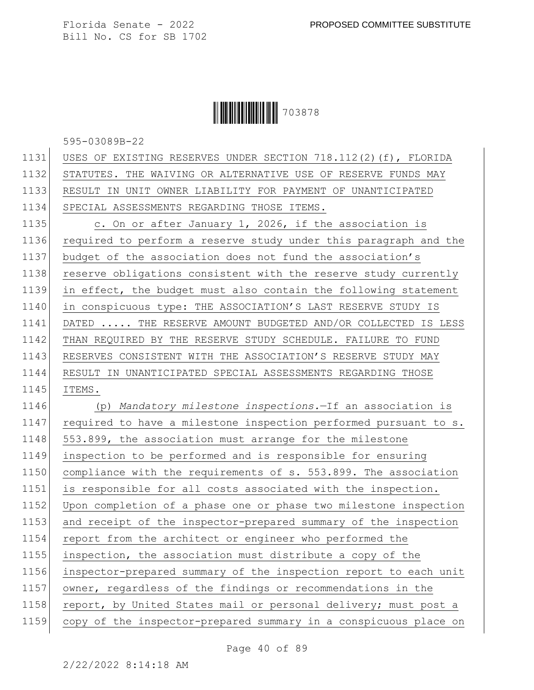## **|| || || || || || || || || || ||** 703878

595-03089B-22

| USES OF EXISTING RESERVES UNDER SECTION 718.112(2)(f), FLORIDA   |
|------------------------------------------------------------------|
| STATUTES. THE WAIVING OR ALTERNATIVE USE OF RESERVE FUNDS MAY    |
| RESULT IN UNIT OWNER LIABILITY FOR PAYMENT OF UNANTICIPATED      |
| SPECIAL ASSESSMENTS REGARDING THOSE ITEMS.                       |
| c. On or after January 1, 2026, if the association is            |
| required to perform a reserve study under this paragraph and the |
| budget of the association does not fund the association's        |
| reserve obligations consistent with the reserve study currently  |
| in effect, the budget must also contain the following statement  |
| in conspicuous type: THE ASSOCIATION'S LAST RESERVE STUDY IS     |
| DATED  THE RESERVE AMOUNT BUDGETED AND/OR COLLECTED IS LESS      |
| THAN REQUIRED BY THE RESERVE STUDY SCHEDULE. FAILURE TO FUND     |
| RESERVES CONSISTENT WITH THE ASSOCIATION'S RESERVE STUDY MAY     |
| RESULT IN UNANTICIPATED SPECIAL ASSESSMENTS REGARDING THOSE      |
| ITEMS.                                                           |
| (p) Mandatory milestone inspections.-If an association is        |
| required to have a milestone inspection performed pursuant to s. |
| 553.899, the association must arrange for the milestone          |
| inspection to be performed and is responsible for ensuring       |
| compliance with the requirements of s. 553.899. The association  |
| is responsible for all costs associated with the inspection.     |
| Upon completion of a phase one or phase two milestone inspection |
| and receipt of the inspector-prepared summary of the inspection  |
| report from the architect or engineer who performed the          |
| inspection, the association must distribute a copy of the        |
| inspector-prepared summary of the inspection report to each unit |
| owner, regardless of the findings or recommendations in the      |
| report, by United States mail or personal delivery; must post a  |
| copy of the inspector-prepared summary in a conspicuous place on |
|                                                                  |

Page 40 of 89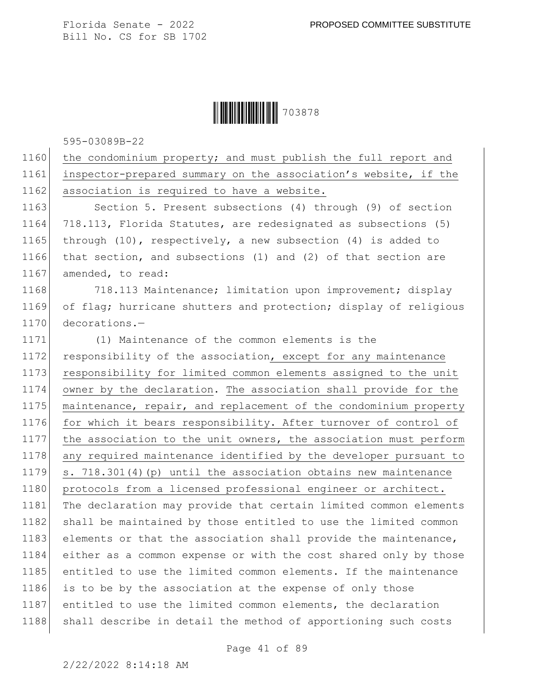#### **|| || || || || || || || || || ||** 703878

595-03089B-22

1160 the condominium property; and must publish the full report and 1161 inspector-prepared summary on the association's website, if the 1162 association is required to have a website.

1163 Section 5. Present subsections (4) through (9) of section 1164 718.113, Florida Statutes, are redesignated as subsections (5) 1165 through (10), respectively, a new subsection (4) is added to 1166 that section, and subsections (1) and (2) of that section are 1167 amended, to read:

1168 718.113 Maintenance; limitation upon improvement; display 1169 of flag; hurricane shutters and protection; display of religious 1170 decorations.-

1171 (1) Maintenance of the common elements is the 1172 responsibility of the association, except for any maintenance 1173 responsibility for limited common elements assigned to the unit 1174 owner by the declaration. The association shall provide for the 1175 maintenance, repair, and replacement of the condominium property 1176 for which it bears responsibility. After turnover of control of 1177 the association to the unit owners, the association must perform 1178 any required maintenance identified by the developer pursuant to 1179 s. 718.301(4)(p) until the association obtains new maintenance 1180 protocols from a licensed professional engineer or architect. 1181 The declaration may provide that certain limited common elements 1182 shall be maintained by those entitled to use the limited common 1183 elements or that the association shall provide the maintenance, 1184 either as a common expense or with the cost shared only by those 1185 entitled to use the limited common elements. If the maintenance 1186 is to be by the association at the expense of only those 1187 entitled to use the limited common elements, the declaration 1188 | shall describe in detail the method of apportioning such costs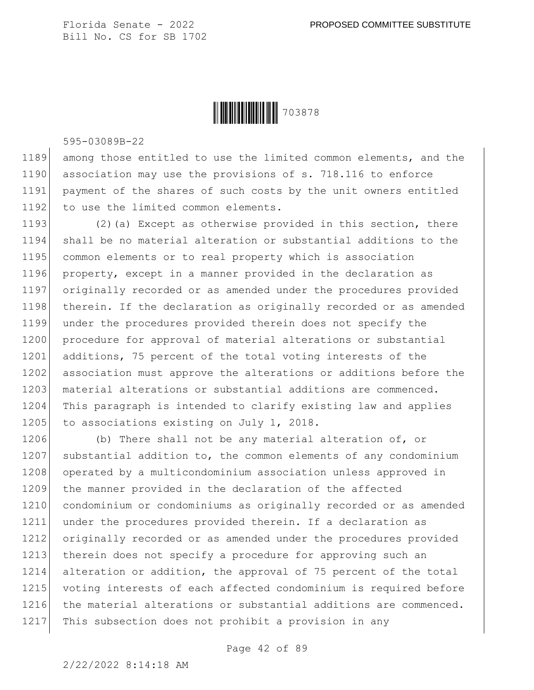

595-03089B-22

1189 among those entitled to use the limited common elements, and the 1190 association may use the provisions of s. 718.116 to enforce 1191 payment of the shares of such costs by the unit owners entitled 1192 to use the limited common elements.

1193 (2)(a) Except as otherwise provided in this section, there 1194 shall be no material alteration or substantial additions to the 1195 common elements or to real property which is association 1196 property, except in a manner provided in the declaration as 1197 originally recorded or as amended under the procedures provided 1198 therein. If the declaration as originally recorded or as amended 1199 under the procedures provided therein does not specify the 1200 procedure for approval of material alterations or substantial 1201 additions, 75 percent of the total voting interests of the 1202 association must approve the alterations or additions before the 1203 material alterations or substantial additions are commenced. 1204 This paragraph is intended to clarify existing law and applies 1205 to associations existing on July 1, 2018.

1206 (b) There shall not be any material alteration of, or 1207 substantial addition to, the common elements of any condominium 1208 operated by a multicondominium association unless approved in 1209 the manner provided in the declaration of the affected 1210 condominium or condominiums as originally recorded or as amended 1211 under the procedures provided therein. If a declaration as 1212 originally recorded or as amended under the procedures provided 1213 therein does not specify a procedure for approving such an 1214 alteration or addition, the approval of 75 percent of the total 1215 voting interests of each affected condominium is required before 1216 the material alterations or substantial additions are commenced. 1217 This subsection does not prohibit a provision in any

Page 42 of 89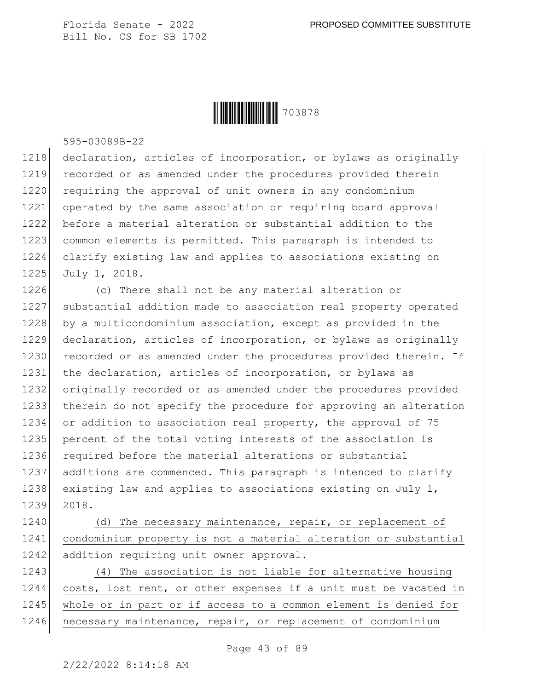

595-03089B-22

1218 declaration, articles of incorporation, or bylaws as originally 1219 recorded or as amended under the procedures provided therein 1220 requiring the approval of unit owners in any condominium 1221 operated by the same association or requiring board approval 1222 before a material alteration or substantial addition to the 1223 common elements is permitted. This paragraph is intended to 1224 clarify existing law and applies to associations existing on 1225 July 1, 2018.

1226 (c) There shall not be any material alteration or 1227 substantial addition made to association real property operated 1228 by a multicondominium association, except as provided in the 1229 declaration, articles of incorporation, or bylaws as originally 1230 recorded or as amended under the procedures provided therein. If 1231 the declaration, articles of incorporation, or bylaws as 1232 originally recorded or as amended under the procedures provided 1233 therein do not specify the procedure for approving an alteration 1234 or addition to association real property, the approval of 75 1235 percent of the total voting interests of the association is 1236 required before the material alterations or substantial 1237 additions are commenced. This paragraph is intended to clarify 1238 existing law and applies to associations existing on July 1, 1239 2018.

1240 (d) The necessary maintenance, repair, or replacement of 1241 condominium property is not a material alteration or substantial 1242 addition requiring unit owner approval.

1243 (4) The association is not liable for alternative housing 1244 costs, lost rent, or other expenses if a unit must be vacated in 1245 whole or in part or if access to a common element is denied for 1246 necessary maintenance, repair, or replacement of condominium

Page 43 of 89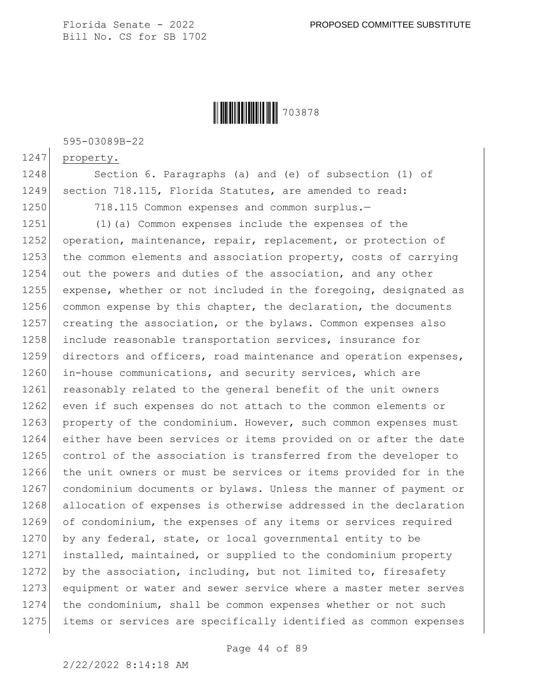

595-03089B-22

1247 property.

1248 Section 6. Paragraphs (a) and (e) of subsection (1) of 1249 section 718.115, Florida Statutes, are amended to read:

1250 718.115 Common expenses and common surplus.-

1251 (1)(a) Common expenses include the expenses of the 1252 operation, maintenance, repair, replacement, or protection of 1253 the common elements and association property, costs of carrying 1254 out the powers and duties of the association, and any other 1255 expense, whether or not included in the foregoing, designated as 1256 common expense by this chapter, the declaration, the documents 1257 creating the association, or the bylaws. Common expenses also 1258 include reasonable transportation services, insurance for 1259 directors and officers, road maintenance and operation expenses, 1260 in-house communications, and security services, which are 1261 reasonably related to the general benefit of the unit owners 1262 even if such expenses do not attach to the common elements or 1263 property of the condominium. However, such common expenses must 1264 either have been services or items provided on or after the date 1265 control of the association is transferred from the developer to 1266 the unit owners or must be services or items provided for in the 1267 condominium documents or bylaws. Unless the manner of payment or 1268 allocation of expenses is otherwise addressed in the declaration 1269 of condominium, the expenses of any items or services required 1270 by any federal, state, or local governmental entity to be 1271 installed, maintained, or supplied to the condominium property 1272 by the association, including, but not limited to, firesafety 1273 equipment or water and sewer service where a master meter serves 1274 the condominium, shall be common expenses whether or not such 1275 items or services are specifically identified as common expenses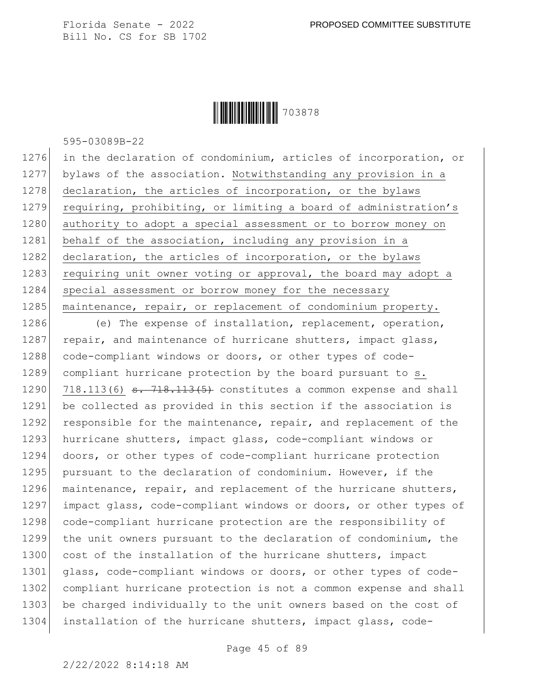**|| || || || || || || || || || ||** 703878

595-03089B-22

1276 in the declaration of condominium, articles of incorporation, or 1277 bylaws of the association. Notwithstanding any provision in a 1278 declaration, the articles of incorporation, or the bylaws 1279 requiring, prohibiting, or limiting a board of administration's 1280 authority to adopt a special assessment or to borrow money on 1281 behalf of the association, including any provision in a 1282 declaration, the articles of incorporation, or the bylaws 1283 requiring unit owner voting or approval, the board may adopt a 1284 special assessment or borrow money for the necessary 1285 maintenance, repair, or replacement of condominium property.

1286 (e) The expense of installation, replacement, operation, 1287 repair, and maintenance of hurricane shutters, impact glass, 1288 code-compliant windows or doors, or other types of code-1289 compliant hurricane protection by the board pursuant to s. 1290 718.113(6)  $\epsilon$ . 718.113(5) constitutes a common expense and shall 1291 be collected as provided in this section if the association is 1292 responsible for the maintenance, repair, and replacement of the 1293 hurricane shutters, impact glass, code-compliant windows or 1294 doors, or other types of code-compliant hurricane protection 1295 pursuant to the declaration of condominium. However, if the 1296 maintenance, repair, and replacement of the hurricane shutters, 1297 impact glass, code-compliant windows or doors, or other types of 1298 code-compliant hurricane protection are the responsibility of 1299 the unit owners pursuant to the declaration of condominium, the 1300 cost of the installation of the hurricane shutters, impact 1301 glass, code-compliant windows or doors, or other types of code-1302 compliant hurricane protection is not a common expense and shall 1303 be charged individually to the unit owners based on the cost of 1304 installation of the hurricane shutters, impact glass, code-

Page 45 of 89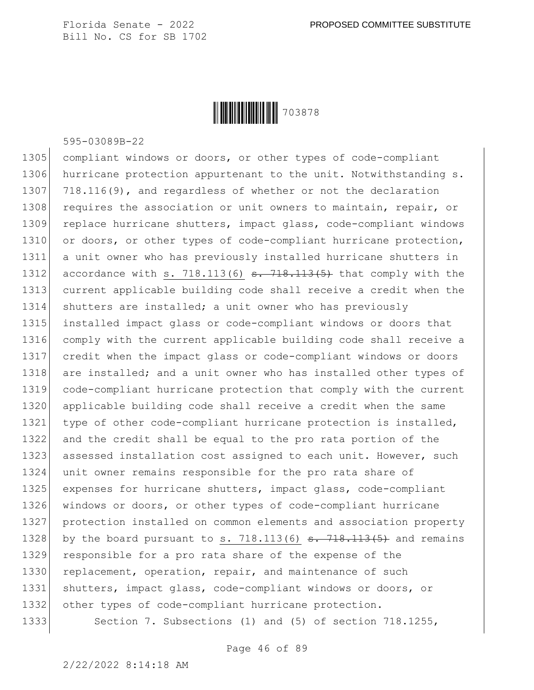

595-03089B-22

1305 compliant windows or doors, or other types of code-compliant 1306 hurricane protection appurtenant to the unit. Notwithstanding s. 1307 718.116(9), and regardless of whether or not the declaration 1308 requires the association or unit owners to maintain, repair, or 1309 replace hurricane shutters, impact glass, code-compliant windows 1310 or doors, or other types of code-compliant hurricane protection, 1311 a unit owner who has previously installed hurricane shutters in 1312 accordance with s. 718.113(6)  $s. 718.113(5)$  that comply with the 1313 current applicable building code shall receive a credit when the 1314 shutters are installed; a unit owner who has previously 1315 installed impact glass or code-compliant windows or doors that 1316 comply with the current applicable building code shall receive a 1317 credit when the impact glass or code-compliant windows or doors 1318 are installed; and a unit owner who has installed other types of 1319 code-compliant hurricane protection that comply with the current 1320 applicable building code shall receive a credit when the same 1321 type of other code-compliant hurricane protection is installed, 1322 and the credit shall be equal to the pro rata portion of the 1323 assessed installation cost assigned to each unit. However, such 1324 unit owner remains responsible for the pro rata share of 1325 expenses for hurricane shutters, impact glass, code-compliant 1326 windows or doors, or other types of code-compliant hurricane 1327 protection installed on common elements and association property 1328 by the board pursuant to s. 718.113(6)  $s. 718.113(5)$  and remains 1329 responsible for a pro rata share of the expense of the 1330 replacement, operation, repair, and maintenance of such 1331 shutters, impact glass, code-compliant windows or doors, or 1332 other types of code-compliant hurricane protection. 1333 Section 7. Subsections (1) and (5) of section 718.1255,

Page 46 of 89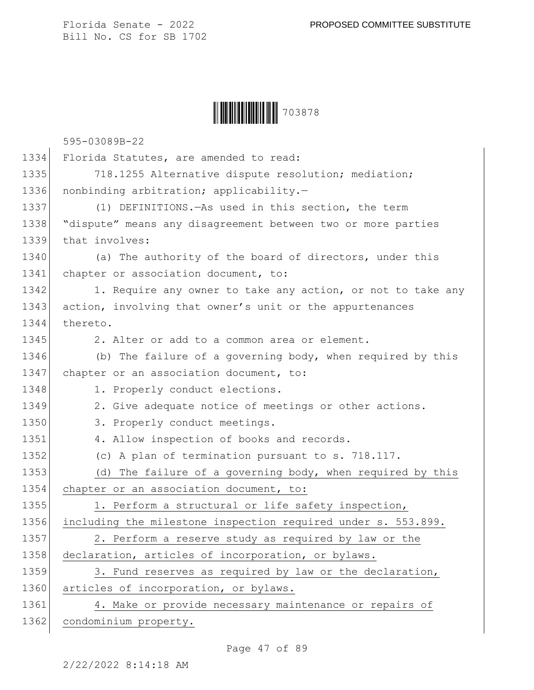| 703878 |
|--------|
|--------|

595-03089B-22

|      | UUUUJI 44                                                     |
|------|---------------------------------------------------------------|
| 1334 | Florida Statutes, are amended to read:                        |
| 1335 | 718.1255 Alternative dispute resolution; mediation;           |
| 1336 | nonbinding arbitration; applicability.-                       |
| 1337 | (1) DEFINITIONS. As used in this section, the term            |
| 1338 | "dispute" means any disagreement between two or more parties  |
| 1339 | that involves:                                                |
| 1340 | (a) The authority of the board of directors, under this       |
| 1341 | chapter or association document, to:                          |
| 1342 | 1. Require any owner to take any action, or not to take any   |
| 1343 | action, involving that owner's unit or the appurtenances      |
| 1344 | thereto.                                                      |
| 1345 | 2. Alter or add to a common area or element.                  |
| 1346 | (b) The failure of a governing body, when required by this    |
| 1347 | chapter or an association document, to:                       |
| 1348 | 1. Properly conduct elections.                                |
| 1349 | 2. Give adequate notice of meetings or other actions.         |
| 1350 | 3. Properly conduct meetings.                                 |
| 1351 | 4. Allow inspection of books and records.                     |
| 1352 | (c) A plan of termination pursuant to s. 718.117.             |
| 1353 | (d) The failure of a governing body, when required by this    |
| 1354 | chapter or an association document, to:                       |
| 1355 | 1. Perform a structural or life safety inspection,            |
| 1356 | including the milestone inspection required under s. 553.899. |
| 1357 | 2. Perform a reserve study as required by law or the          |
| 1358 | declaration, articles of incorporation, or bylaws.            |
| 1359 | 3. Fund reserves as required by law or the declaration,       |
| 1360 | articles of incorporation, or bylaws.                         |
| 1361 | 4. Make or provide necessary maintenance or repairs of        |
| 1362 | condominium property.                                         |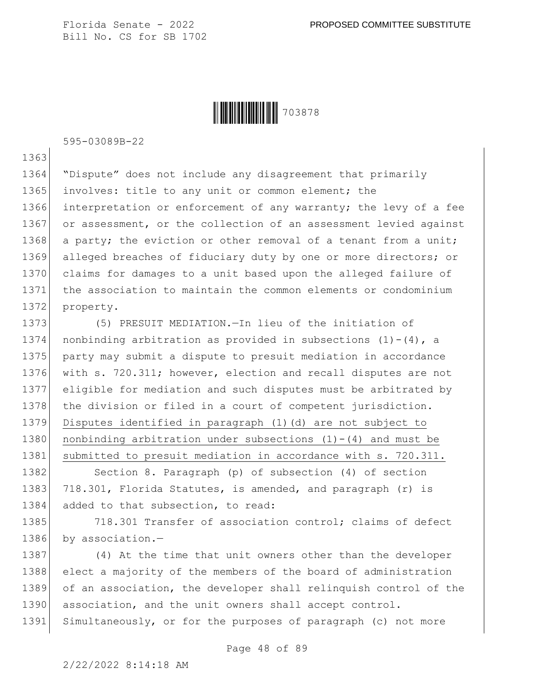**|| ||| ||| ||| ||| ||| ||| || ||** 703878

595-03089B-22

1363

1364 "Dispute" does not include any disagreement that primarily 1365 involves: title to any unit or common element; the 1366 interpretation or enforcement of any warranty; the levy of a fee 1367 or assessment, or the collection of an assessment levied against 1368 a party; the eviction or other removal of a tenant from a unit; 1369 alleged breaches of fiduciary duty by one or more directors; or 1370 claims for damages to a unit based upon the alleged failure of 1371 the association to maintain the common elements or condominium 1372 property.

1373 (5) PRESUIT MEDIATION.—In lieu of the initiation of 1374 nonbinding arbitration as provided in subsections  $(1)-(4)$ , a 1375 party may submit a dispute to presuit mediation in accordance 1376 with s. 720.311; however, election and recall disputes are not 1377 eligible for mediation and such disputes must be arbitrated by 1378 the division or filed in a court of competent jurisdiction. 1379 Disputes identified in paragraph (1)(d) are not subject to 1380 nonbinding arbitration under subsections  $(1)-(4)$  and must be 1381 submitted to presuit mediation in accordance with s. 720.311.

1382 Section 8. Paragraph (p) of subsection (4) of section 1383 718.301, Florida Statutes, is amended, and paragraph (r) is 1384 added to that subsection, to read:

1385 718.301 Transfer of association control; claims of defect 1386 by association.-

1387 (4) At the time that unit owners other than the developer 1388 elect a majority of the members of the board of administration 1389 of an association, the developer shall relinquish control of the 1390 association, and the unit owners shall accept control. 1391 Simultaneously, or for the purposes of paragraph (c) not more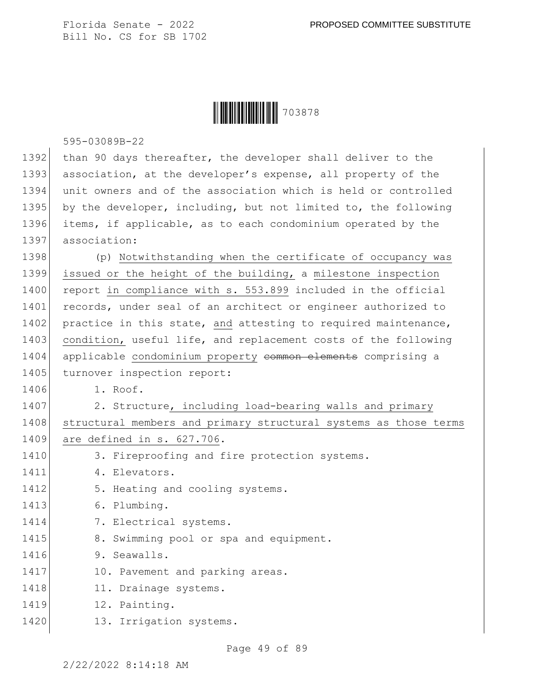|  | 703878 |
|--|--------|
|--|--------|

595-03089B-22

| 1392 | than 90 days thereafter, the developer shall deliver to the      |
|------|------------------------------------------------------------------|
| 1393 | association, at the developer's expense, all property of the     |
| 1394 | unit owners and of the association which is held or controlled   |
| 1395 | by the developer, including, but not limited to, the following   |
| 1396 | items, if applicable, as to each condominium operated by the     |
| 1397 | association:                                                     |
| 1398 | (p) Notwithstanding when the certificate of occupancy was        |
| 1399 | issued or the height of the building, a milestone inspection     |
| 1400 | report in compliance with s. 553.899 included in the official    |
| 1401 | records, under seal of an architect or engineer authorized to    |
| 1402 | practice in this state, and attesting to required maintenance,   |
| 1403 | condition, useful life, and replacement costs of the following   |
| 1404 | applicable condominium property common elements comprising a     |
| 1405 | turnover inspection report:                                      |
| 1406 | 1. Roof.                                                         |
| 1407 | 2. Structure, including load-bearing walls and primary           |
| 1408 | structural members and primary structural systems as those terms |
| 1409 | are defined in s. 627.706.                                       |
| 1410 | 3. Fireproofing and fire protection systems.                     |
| 1411 | 4. Elevators.                                                    |
| 1412 | 5. Heating and cooling systems.                                  |
| 1413 | 6. Plumbing.                                                     |
| 1414 | 7. Electrical systems.                                           |
| 1415 | 8. Swimming pool or spa and equipment.                           |
| 1416 | 9. Seawalls.                                                     |
| 1417 | 10. Pavement and parking areas.                                  |
| 1418 | 11. Drainage systems.                                            |
| 1419 | 12. Painting.                                                    |
| 1420 | 13. Irrigation systems.                                          |
|      |                                                                  |

2/22/2022 8:14:18 AM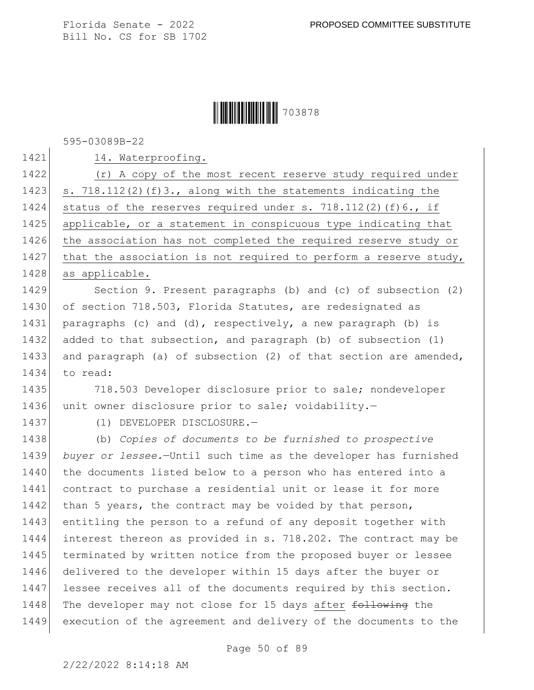#### **|| || || || || || || || || || ||** 703878

595-03089B-22

1421 14. Waterproofing.

1422 (r) A copy of the most recent reserve study required under 1423 s. 718.112(2)(f)3., along with the statements indicating the 1424 status of the reserves required under s. 718.112(2)(f)6., if 1425 applicable, or a statement in conspicuous type indicating that 1426 the association has not completed the required reserve study or 1427 that the association is not required to perform a reserve study, 1428 as applicable.

1429 Section 9. Present paragraphs (b) and (c) of subsection (2) 1430 of section 718.503, Florida Statutes, are redesignated as 1431 paragraphs (c) and (d), respectively, a new paragraph (b) is 1432 added to that subsection, and paragraph (b) of subsection (1) 1433 and paragraph (a) of subsection (2) of that section are amended, 1434 to read:

1435 718.503 Developer disclosure prior to sale; nondeveloper 1436 unit owner disclosure prior to sale; voidability.-

1437 (1) DEVELOPER DISCLOSURE.

1438 (b) *Copies of documents to be furnished to prospective*  1439 *buyer or lessee.*—Until such time as the developer has furnished 1440 the documents listed below to a person who has entered into a 1441 contract to purchase a residential unit or lease it for more 1442 than 5 years, the contract may be voided by that person, 1443 entitling the person to a refund of any deposit together with 1444 interest thereon as provided in s. 718.202. The contract may be 1445 terminated by written notice from the proposed buyer or lessee 1446 delivered to the developer within 15 days after the buyer or 1447 lessee receives all of the documents required by this section. 1448 The developer may not close for 15 days after following the 1449 execution of the agreement and delivery of the documents to the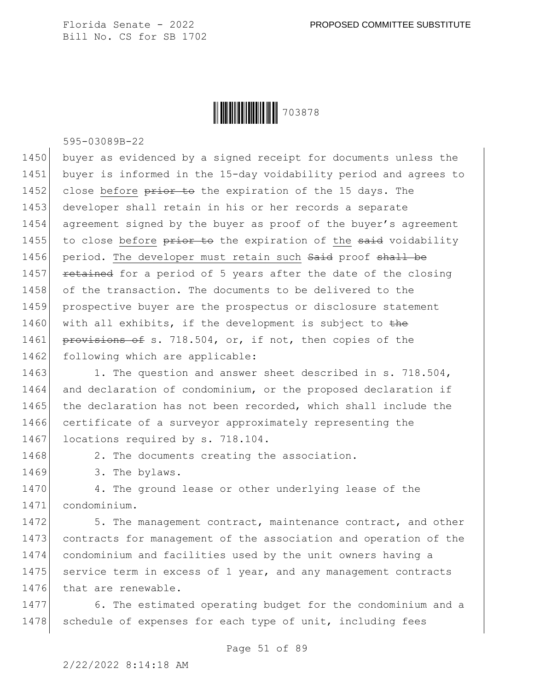

595-03089B-22

1450 buyer as evidenced by a signed receipt for documents unless the 1451 buyer is informed in the 15-day voidability period and agrees to 1452 close before prior to the expiration of the 15 days. The 1453 developer shall retain in his or her records a separate 1454 agreement signed by the buyer as proof of the buyer's agreement 1455 to close before  $\frac{1455}{145}$  to the expiration of the said voidability 1456 period. The developer must retain such Said proof shall be 1457 retained for a period of 5 years after the date of the closing 1458 of the transaction. The documents to be delivered to the 1459 prospective buyer are the prospectus or disclosure statement 1460 with all exhibits, if the development is subject to the 1461 provisions of s. 718.504, or, if not, then copies of the 1462 following which are applicable:

1463 1. The question and answer sheet described in s. 718.504, 1464 and declaration of condominium, or the proposed declaration if 1465 the declaration has not been recorded, which shall include the 1466 certificate of a surveyor approximately representing the 1467 locations required by s. 718.104.

1468 2. The documents creating the association.

1469 3. The bylaws.

1470 4. The ground lease or other underlying lease of the 1471 condominium.

1472 5. The management contract, maintenance contract, and other 1473 contracts for management of the association and operation of the 1474 condominium and facilities used by the unit owners having a 1475 service term in excess of 1 year, and any management contracts 1476 that are renewable.

1477 6. The estimated operating budget for the condominium and a 1478 schedule of expenses for each type of unit, including fees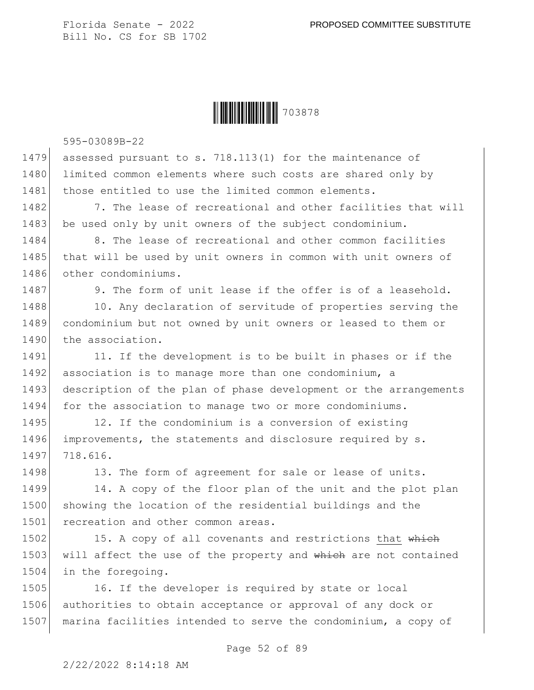

595-03089B-22

1479 assessed pursuant to s. 718.113(1) for the maintenance of 1480 limited common elements where such costs are shared only by 1481 those entitled to use the limited common elements.

1482 7. The lease of recreational and other facilities that will 1483 be used only by unit owners of the subject condominium.

1484 8. The lease of recreational and other common facilities 1485 that will be used by unit owners in common with unit owners of 1486 other condominiums.

1487 9. The form of unit lease if the offer is of a leasehold.

1488 10. Any declaration of servitude of properties serving the 1489 condominium but not owned by unit owners or leased to them or 1490 the association.

1491 11. If the development is to be built in phases or if the 1492 association is to manage more than one condominium, a 1493 description of the plan of phase development or the arrangements 1494 for the association to manage two or more condominiums.

1495 12. If the condominium is a conversion of existing 1496 improvements, the statements and disclosure required by s. 1497 718.616.

1498 13. The form of agreement for sale or lease of units.

1499 14. A copy of the floor plan of the unit and the plot plan 1500 showing the location of the residential buildings and the 1501 recreation and other common areas.

1502 15. A copy of all covenants and restrictions that which 1503 will affect the use of the property and which are not contained 1504 in the foregoing.

1505 16. If the developer is required by state or local 1506 authorities to obtain acceptance or approval of any dock or 1507 marina facilities intended to serve the condominium, a copy of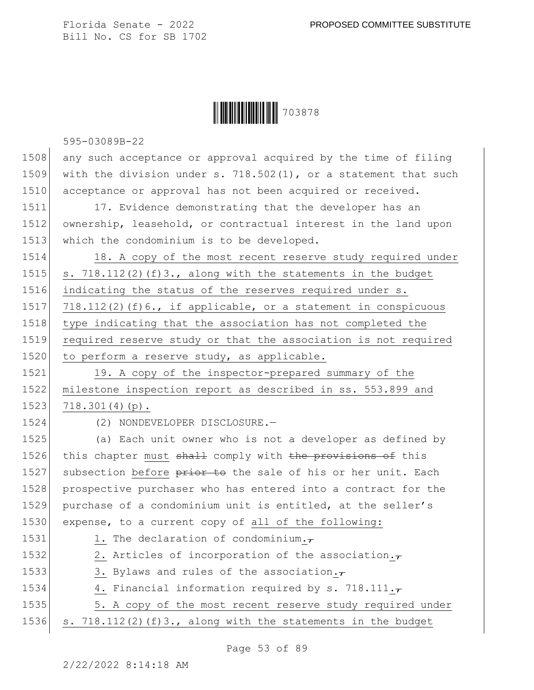### **|| || || || || || || || || || ||** 703878

595-03089B-22

1508 any such acceptance or approval acquired by the time of filing 1509 with the division under s. 718.502(1), or a statement that such 1510 acceptance or approval has not been acquired or received.

1511 17. Evidence demonstrating that the developer has an 1512 ownership, leasehold, or contractual interest in the land upon 1513 which the condominium is to be developed.

1514 18. A copy of the most recent reserve study required under 1515 s.  $718.112(2)$  (f)3., along with the statements in the budget 1516 indicating the status of the reserves required under s. 1517 718.112(2)(f)6., if applicable, or a statement in conspicuous 1518 type indicating that the association has not completed the 1519 required reserve study or that the association is not required 1520 to perform a reserve study, as applicable.

1521 19. A copy of the inspector-prepared summary of the 1522 milestone inspection report as described in ss. 553.899 and  $1523$  718.301(4)(p).

1524 (2) NONDEVELOPER DISCLOSURE.—

1525 (a) Each unit owner who is not a developer as defined by 1526 this chapter must shall comply with the provisions of this 1527 subsection before prior to the sale of his or her unit. Each 1528 prospective purchaser who has entered into a contract for the 1529 purchase of a condominium unit is entitled, at the seller's 1530 expense, to a current copy of all of the following:

1531 1. The declaration of condominium. $\tau$ 1532 2. Articles of incorporation of the association. $\tau$ 1533 3. Bylaws and rules of the association. $\tau$ 1534 4. Financial information required by s. 718.111. $\tau$ 1535 5. A copy of the most recent reserve study required under

1536  $\vert$  s. 718.112(2)(f)3., along with the statements in the budget

Page 53 of 89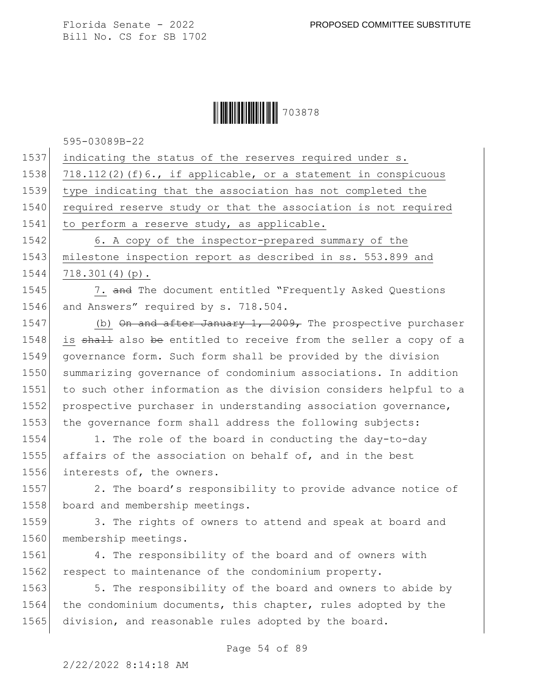

595-03089B-22

1537 indicating the status of the reserves required under s.

1538 718.112(2)(f)6., if applicable, or a statement in conspicuous

1539 type indicating that the association has not completed the

1540 required reserve study or that the association is not required 1541 to perform a reserve study, as applicable.

1542 6. A copy of the inspector-prepared summary of the 1543 milestone inspection report as described in ss. 553.899 and 1544 718.301(4)(p).

1545 7. and The document entitled "Frequently Asked Questions 1546 and Answers" required by s. 718.504.

1547 (b) On and after January 1, 2009, The prospective purchaser 1548 is shall also be entitled to receive from the seller a copy of a 1549 governance form. Such form shall be provided by the division 1550 summarizing governance of condominium associations. In addition 1551 to such other information as the division considers helpful to a 1552 prospective purchaser in understanding association governance, 1553 the governance form shall address the following subjects:

1554 1. The role of the board in conducting the day-to-day 1555 affairs of the association on behalf of, and in the best 1556 interests of, the owners.

1557 2. The board's responsibility to provide advance notice of 1558 board and membership meetings.

1559 3. The rights of owners to attend and speak at board and 1560 membership meetings.

1561 4. The responsibility of the board and of owners with 1562 respect to maintenance of the condominium property.

1563 5. The responsibility of the board and owners to abide by 1564 the condominium documents, this chapter, rules adopted by the 1565 division, and reasonable rules adopted by the board.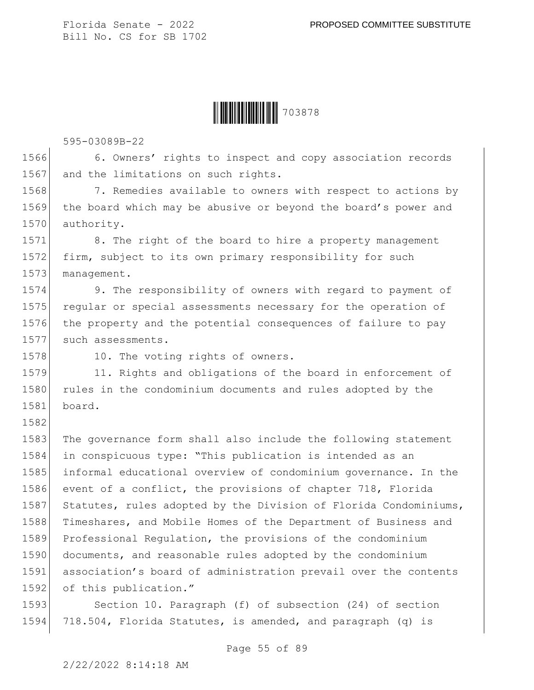

595-03089B-22

1566 6. Owners' rights to inspect and copy association records 1567 and the limitations on such rights.

1568 7. Remedies available to owners with respect to actions by 1569 the board which may be abusive or beyond the board's power and 1570 authority.

1571 8. The right of the board to hire a property management 1572 firm, subject to its own primary responsibility for such 1573 management.

1574 9. The responsibility of owners with regard to payment of 1575 reqular or special assessments necessary for the operation of 1576 the property and the potential consequences of failure to pay 1577 such assessments.

1582

1578 10. The voting rights of owners.

1579 11. Rights and obligations of the board in enforcement of 1580 rules in the condominium documents and rules adopted by the 1581 board.

1583 The governance form shall also include the following statement 1584 in conspicuous type: "This publication is intended as an 1585 informal educational overview of condominium governance. In the 1586 event of a conflict, the provisions of chapter 718, Florida 1587 Statutes, rules adopted by the Division of Florida Condominiums, 1588 Timeshares, and Mobile Homes of the Department of Business and 1589 Professional Regulation, the provisions of the condominium 1590 documents, and reasonable rules adopted by the condominium 1591 association's board of administration prevail over the contents 1592 of this publication."

1593 Section 10. Paragraph (f) of subsection (24) of section 1594 718.504, Florida Statutes, is amended, and paragraph (q) is

2/22/2022 8:14:18 AM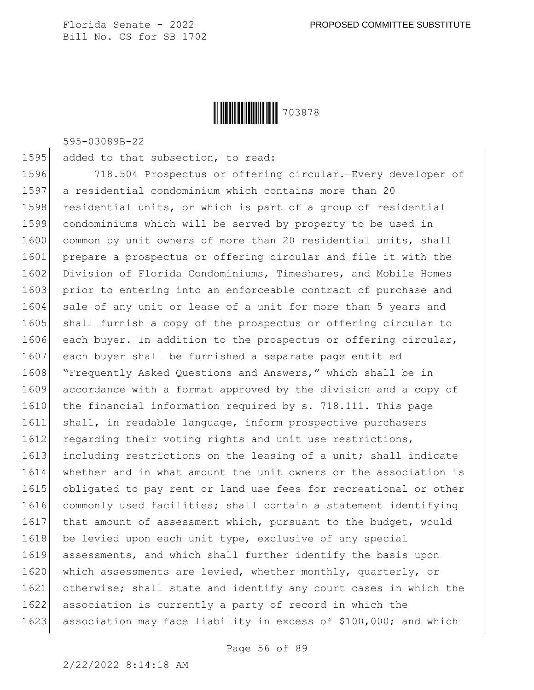

595-03089B-22

1595 added to that subsection, to read:

1596 718.504 Prospectus or offering circular.—Every developer of 1597 a residential condominium which contains more than 20 1598 residential units, or which is part of a group of residential 1599 condominiums which will be served by property to be used in 1600 common by unit owners of more than 20 residential units, shall 1601 prepare a prospectus or offering circular and file it with the 1602 Division of Florida Condominiums, Timeshares, and Mobile Homes 1603 prior to entering into an enforceable contract of purchase and 1604 sale of any unit or lease of a unit for more than 5 years and 1605 shall furnish a copy of the prospectus or offering circular to 1606 each buyer. In addition to the prospectus or offering circular, 1607 each buyer shall be furnished a separate page entitled 1608 "Frequently Asked Questions and Answers," which shall be in 1609 accordance with a format approved by the division and a copy of 1610 the financial information required by s. 718.111. This page 1611 shall, in readable language, inform prospective purchasers 1612 regarding their voting rights and unit use restrictions, 1613 including restrictions on the leasing of a unit; shall indicate 1614 whether and in what amount the unit owners or the association is 1615 obligated to pay rent or land use fees for recreational or other 1616 commonly used facilities; shall contain a statement identifying 1617 that amount of assessment which, pursuant to the budget, would 1618 be levied upon each unit type, exclusive of any special 1619 assessments, and which shall further identify the basis upon 1620 which assessments are levied, whether monthly, quarterly, or 1621 otherwise; shall state and identify any court cases in which the 1622 association is currently a party of record in which the 1623 association may face liability in excess of \$100,000; and which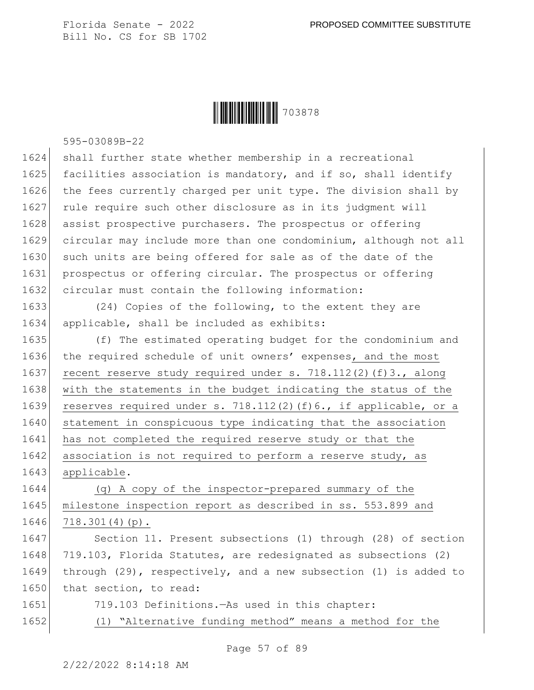**|| || || || || || || || || || || || ||** 703878

595-03089B-22

1624 shall further state whether membership in a recreational 1625 facilities association is mandatory, and if so, shall identify 1626 the fees currently charged per unit type. The division shall by 1627 rule require such other disclosure as in its judgment will 1628 assist prospective purchasers. The prospectus or offering 1629 circular may include more than one condominium, although not all 1630 such units are being offered for sale as of the date of the 1631 prospectus or offering circular. The prospectus or offering 1632 circular must contain the following information:

1633 (24) Copies of the following, to the extent they are 1634 applicable, shall be included as exhibits:

1635 (f) The estimated operating budget for the condominium and 1636 the required schedule of unit owners' expenses, and the most 1637 recent reserve study required under s. 718.112(2)(f)3., along 1638 with the statements in the budget indicating the status of the 1639 reserves required under s. 718.112(2)(f)6., if applicable, or a 1640 statement in conspicuous type indicating that the association 1641 has not completed the required reserve study or that the  $1642$  association is not required to perform a reserve study, as 1643 applicable.

1644 (q) A copy of the inspector-prepared summary of the 1645 milestone inspection report as described in ss. 553.899 and 1646 718.301(4)(p).

1647 Section 11. Present subsections (1) through (28) of section 1648 719.103, Florida Statutes, are redesignated as subsections (2) 1649 through (29), respectively, and a new subsection (1) is added to 1650 that section, to read:

- 1651 719.103 Definitions.—As used in this chapter:
- 1652 (1) "Alternative funding method" means a method for the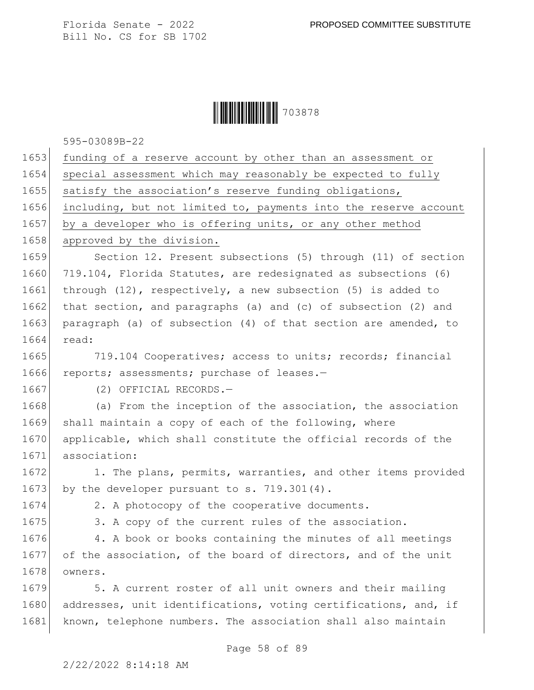# **|| ||| |||||||||||||||||||||**|| 703878

595-03089B-22

| 1653 | funding of a reserve account by other than an assessment or       |
|------|-------------------------------------------------------------------|
| 1654 | special assessment which may reasonably be expected to fully      |
| 1655 | satisfy the association's reserve funding obligations,            |
| 1656 | including, but not limited to, payments into the reserve account  |
| 1657 | by a developer who is offering units, or any other method         |
| 1658 | approved by the division.                                         |
| 1659 | Section 12. Present subsections (5) through (11) of section       |
| 1660 | 719.104, Florida Statutes, are redesignated as subsections (6)    |
| 1661 | through $(12)$ , respectively, a new subsection $(5)$ is added to |
| 1662 | that section, and paragraphs (a) and (c) of subsection (2) and    |
| 1663 | paragraph (a) of subsection (4) of that section are amended, to   |
| 1664 | read:                                                             |
| 1665 | 719.104 Cooperatives; access to units; records; financial         |
| 1666 | reports; assessments; purchase of leases.-                        |
| 1667 | (2) OFFICIAL RECORDS.-                                            |
| 1668 | (a) From the inception of the association, the association        |
| 1669 | shall maintain a copy of each of the following, where             |
| 1670 | applicable, which shall constitute the official records of the    |
| 1671 | association:                                                      |
| 1672 | 1. The plans, permits, warranties, and other items provided       |
| 1673 | by the developer pursuant to s. 719.301(4).                       |
| 1674 | 2. A photocopy of the cooperative documents.                      |
| 1675 | 3. A copy of the current rules of the association.                |
| 1676 | 4. A book or books containing the minutes of all meetings         |
| 1677 | of the association, of the board of directors, and of the unit    |
| 1678 | owners.                                                           |
| 1679 | 5. A current roster of all unit owners and their mailing          |
| 1680 | addresses, unit identifications, voting certifications, and, if   |
| 1681 | known, telephone numbers. The association shall also maintain     |
|      |                                                                   |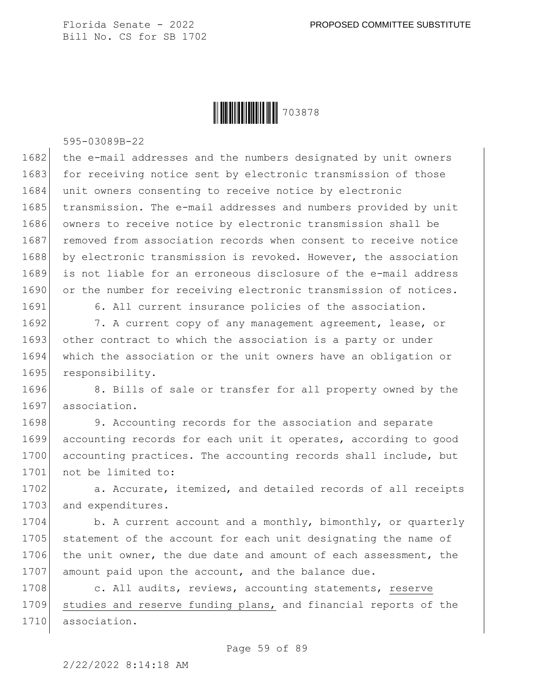

595-03089B-22

1682 the e-mail addresses and the numbers designated by unit owners 1683 for receiving notice sent by electronic transmission of those 1684 unit owners consenting to receive notice by electronic 1685 transmission. The e-mail addresses and numbers provided by unit 1686 owners to receive notice by electronic transmission shall be 1687 removed from association records when consent to receive notice 1688 by electronic transmission is revoked. However, the association 1689 is not liable for an erroneous disclosure of the e-mail address 1690 or the number for receiving electronic transmission of notices.

1691 6. All current insurance policies of the association.

1692 7. A current copy of any management agreement, lease, or 1693 other contract to which the association is a party or under 1694 which the association or the unit owners have an obligation or 1695 responsibility.

1696 8. Bills of sale or transfer for all property owned by the 1697 association.

1698 9. Accounting records for the association and separate 1699 accounting records for each unit it operates, according to good 1700 accounting practices. The accounting records shall include, but 1701 not be limited to:

1702 a. Accurate, itemized, and detailed records of all receipts 1703 and expenditures.

1704 b. A current account and a monthly, bimonthly, or quarterly 1705 statement of the account for each unit designating the name of 1706 the unit owner, the due date and amount of each assessment, the 1707 amount paid upon the account, and the balance due.

1708 c. All audits, reviews, accounting statements, reserve 1709 studies and reserve funding plans, and financial reports of the 1710 association.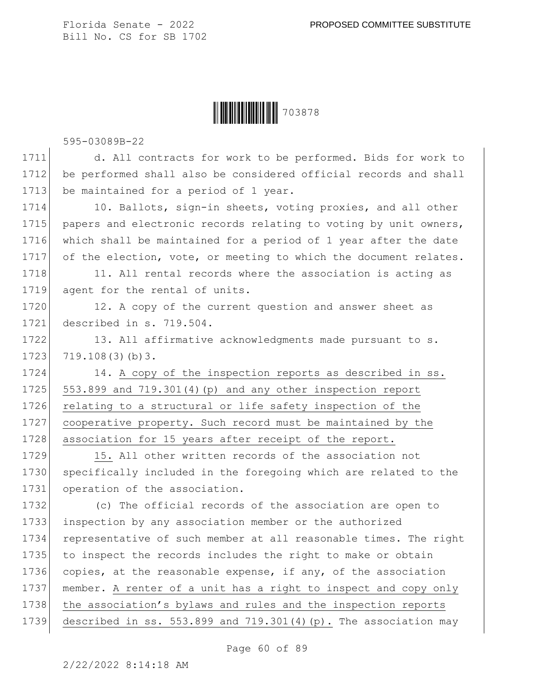#### **|| || || || || || || || || || ||** 703878

595-03089B-22

1711 d. All contracts for work to be performed. Bids for work to 1712 be performed shall also be considered official records and shall 1713 be maintained for a period of 1 year.

1714 10. Ballots, sign-in sheets, voting proxies, and all other 1715 papers and electronic records relating to voting by unit owners, 1716 which shall be maintained for a period of 1 year after the date 1717 of the election, vote, or meeting to which the document relates.

1718 11. All rental records where the association is acting as 1719 agent for the rental of units.

1720 12. A copy of the current question and answer sheet as 1721 described in s. 719.504.

1722 13. All affirmative acknowledgments made pursuant to s.  $1723$  719.108(3)(b)3.

1724 14. A copy of the inspection reports as described in ss. 1725  $553.899$  and  $719.301(4)$  (p) and any other inspection report 1726 relating to a structural or life safety inspection of the 1727 cooperative property. Such record must be maintained by the 1728 association for 15 years after receipt of the report.

1729 15. All other written records of the association not 1730 specifically included in the foregoing which are related to the 1731 operation of the association.

 (c) The official records of the association are open to inspection by any association member or the authorized representative of such member at all reasonable times. The right to inspect the records includes the right to make or obtain 1736 copies, at the reasonable expense, if any, of the association member. A renter of a unit has a right to inspect and copy only 1738 the association's bylaws and rules and the inspection reports described in ss. 553.899 and 719.301(4)(p). The association may

Page 60 of 89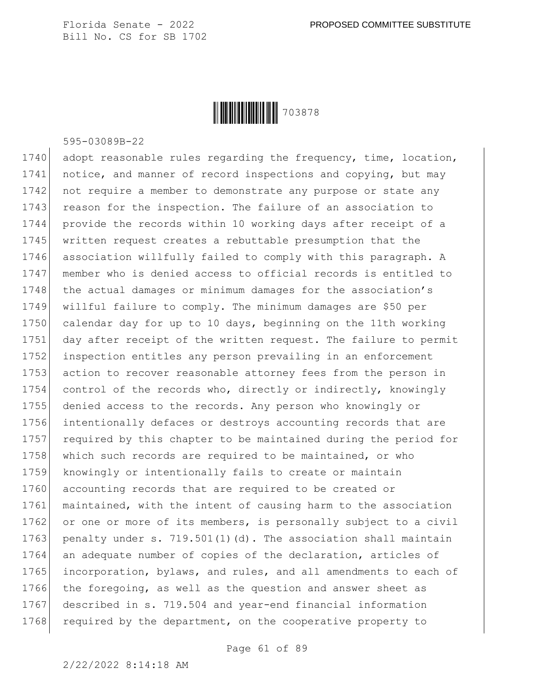

595-03089B-22

1740 adopt reasonable rules regarding the frequency, time, location, 1741 notice, and manner of record inspections and copying, but may 1742 not require a member to demonstrate any purpose or state any 1743 reason for the inspection. The failure of an association to 1744 provide the records within 10 working days after receipt of a 1745 written request creates a rebuttable presumption that the 1746 association willfully failed to comply with this paragraph. A 1747 member who is denied access to official records is entitled to 1748 the actual damages or minimum damages for the association's 1749 willful failure to comply. The minimum damages are \$50 per 1750 calendar day for up to 10 days, beginning on the 11th working 1751 day after receipt of the written request. The failure to permit 1752 inspection entitles any person prevailing in an enforcement 1753 action to recover reasonable attorney fees from the person in 1754 control of the records who, directly or indirectly, knowingly 1755 denied access to the records. Any person who knowingly or 1756 intentionally defaces or destroys accounting records that are 1757 required by this chapter to be maintained during the period for 1758 which such records are required to be maintained, or who 1759 knowingly or intentionally fails to create or maintain 1760 accounting records that are required to be created or 1761 maintained, with the intent of causing harm to the association 1762 or one or more of its members, is personally subject to a civil 1763 penalty under s. 719.501(1)(d). The association shall maintain 1764 an adequate number of copies of the declaration, articles of 1765 incorporation, bylaws, and rules, and all amendments to each of 1766 the foregoing, as well as the question and answer sheet as 1767 described in s. 719.504 and year-end financial information 1768 required by the department, on the cooperative property to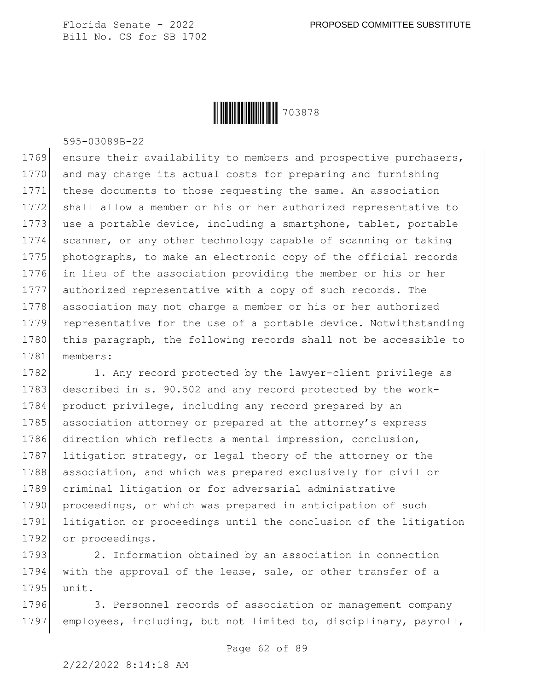

595-03089B-22

1769 ensure their availability to members and prospective purchasers, and may charge its actual costs for preparing and furnishing these documents to those requesting the same. An association shall allow a member or his or her authorized representative to 1773 use a portable device, including a smartphone, tablet, portable scanner, or any other technology capable of scanning or taking 1775 photographs, to make an electronic copy of the official records in lieu of the association providing the member or his or her authorized representative with a copy of such records. The association may not charge a member or his or her authorized representative for the use of a portable device. Notwithstanding 1780 this paragraph, the following records shall not be accessible to 1781 members:

1782 1. Any record protected by the lawyer-client privilege as 1783 described in s. 90.502 and any record protected by the work-1784 product privilege, including any record prepared by an 1785 association attorney or prepared at the attorney's express 1786 direction which reflects a mental impression, conclusion, 1787 litigation strategy, or legal theory of the attorney or the 1788 association, and which was prepared exclusively for civil or 1789 criminal litigation or for adversarial administrative 1790 proceedings, or which was prepared in anticipation of such 1791 litigation or proceedings until the conclusion of the litigation 1792 or proceedings.

1793 2. Information obtained by an association in connection 1794 with the approval of the lease, sale, or other transfer of a 1795 unit.

1796 3. Personnel records of association or management company 1797 employees, including, but not limited to, disciplinary, payroll,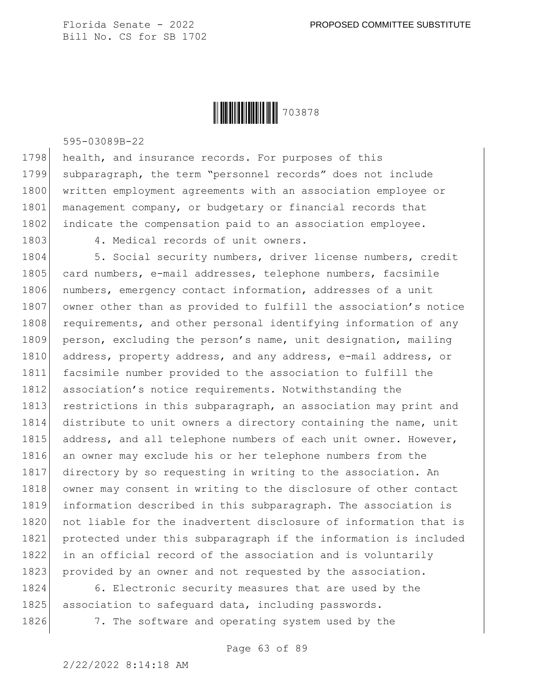

595-03089B-22

1798 health, and insurance records. For purposes of this 1799 subparagraph, the term "personnel records" does not include 1800 written employment agreements with an association employee or 1801 management company, or budgetary or financial records that 1802 indicate the compensation paid to an association employee.

1803 4. Medical records of unit owners.

1804 5. Social security numbers, driver license numbers, credit 1805 card numbers, e-mail addresses, telephone numbers, facsimile 1806 numbers, emergency contact information, addresses of a unit 1807 owner other than as provided to fulfill the association's notice 1808 requirements, and other personal identifying information of any 1809 person, excluding the person's name, unit designation, mailing 1810 address, property address, and any address, e-mail address, or 1811 facsimile number provided to the association to fulfill the 1812 association's notice requirements. Notwithstanding the 1813 restrictions in this subparagraph, an association may print and 1814 distribute to unit owners a directory containing the name, unit 1815 address, and all telephone numbers of each unit owner. However, 1816 an owner may exclude his or her telephone numbers from the 1817 directory by so requesting in writing to the association. An 1818 owner may consent in writing to the disclosure of other contact 1819 information described in this subparagraph. The association is 1820 not liable for the inadvertent disclosure of information that is 1821 protected under this subparagraph if the information is included 1822 in an official record of the association and is voluntarily 1823 provided by an owner and not requested by the association.

1824 6. Electronic security measures that are used by the 1825 association to safequard data, including passwords.

1826 7. The software and operating system used by the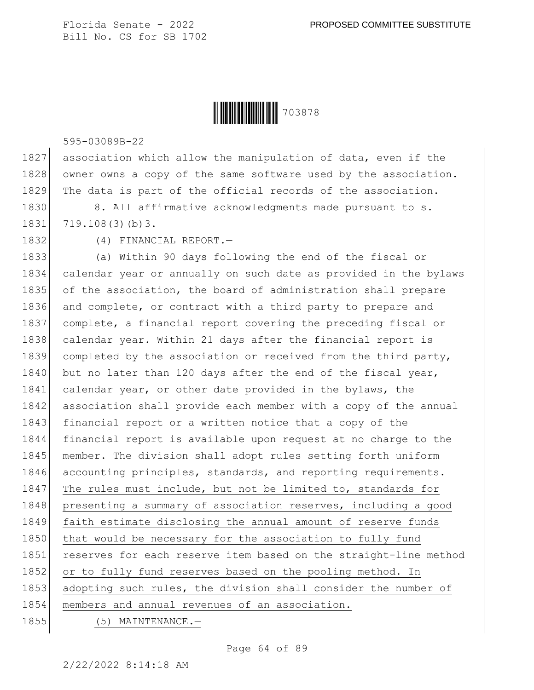

595-03089B-22

1827 association which allow the manipulation of data, even if the 1828 owner owns a copy of the same software used by the association. 1829 The data is part of the official records of the association.

1830 8. All affirmative acknowledgments made pursuant to s. 1831 719.108(3)(b) 3.

1832 (4) FINANCIAL REPORT.—

1833 (a) Within 90 days following the end of the fiscal or 1834 calendar year or annually on such date as provided in the bylaws 1835 of the association, the board of administration shall prepare 1836 and complete, or contract with a third party to prepare and 1837 complete, a financial report covering the preceding fiscal or 1838 calendar year. Within 21 days after the financial report is 1839 completed by the association or received from the third party, 1840 but no later than 120 days after the end of the fiscal year, 1841 calendar year, or other date provided in the bylaws, the 1842 association shall provide each member with a copy of the annual 1843 financial report or a written notice that a copy of the 1844 financial report is available upon request at no charge to the 1845 member. The division shall adopt rules setting forth uniform 1846 accounting principles, standards, and reporting requirements. 1847 The rules must include, but not be limited to, standards for 1848 | presenting a summary of association reserves, including a good 1849 faith estimate disclosing the annual amount of reserve funds 1850 that would be necessary for the association to fully fund 1851 reserves for each reserve item based on the straight-line method 1852 or to fully fund reserves based on the pooling method. In 1853 adopting such rules, the division shall consider the number of 1854 members and annual revenues of an association. 1855 (5) MAINTENANCE.

Page 64 of 89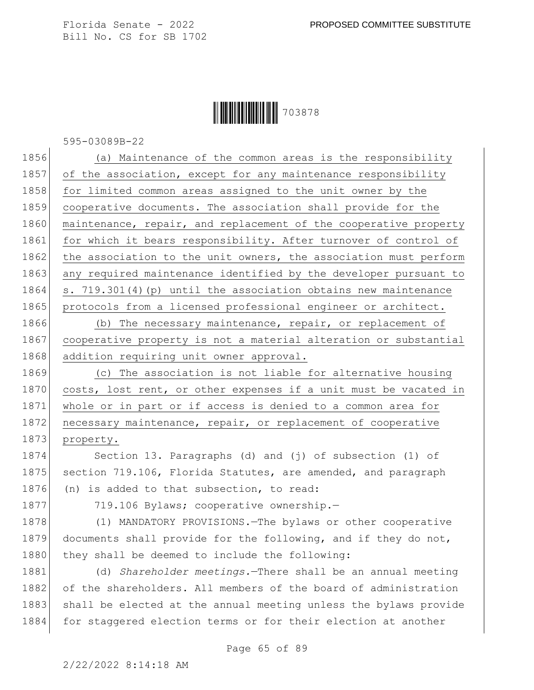#### **|| || || || || || || || || || ||** 703878

595-03089B-22

1856 (a) Maintenance of the common areas is the responsibility 1857 of the association, except for any maintenance responsibility 1858 for limited common areas assigned to the unit owner by the 1859 cooperative documents. The association shall provide for the 1860 maintenance, repair, and replacement of the cooperative property 1861 for which it bears responsibility. After turnover of control of 1862 the association to the unit owners, the association must perform 1863 any required maintenance identified by the developer pursuant to 1864 s. 719.301(4)(p) until the association obtains new maintenance 1865 protocols from a licensed professional engineer or architect.

1866 (b) The necessary maintenance, repair, or replacement of 1867 cooperative property is not a material alteration or substantial 1868 addition requiring unit owner approval.

1869 (c) The association is not liable for alternative housing 1870 costs, lost rent, or other expenses if a unit must be vacated in 1871 whole or in part or if access is denied to a common area for 1872 necessary maintenance, repair, or replacement of cooperative 1873 property.

1874 Section 13. Paragraphs (d) and (j) of subsection (1) of 1875 section 719.106, Florida Statutes, are amended, and paragraph 1876 (n) is added to that subsection, to read:

1877 719.106 Bylaws; cooperative ownership.

1878 (1) MANDATORY PROVISIONS. - The bylaws or other cooperative 1879 documents shall provide for the following, and if they do not, 1880 they shall be deemed to include the following:

1881 (d) *Shareholder meetings.*—There shall be an annual meeting 1882 of the shareholders. All members of the board of administration 1883 shall be elected at the annual meeting unless the bylaws provide 1884 for staggered election terms or for their election at another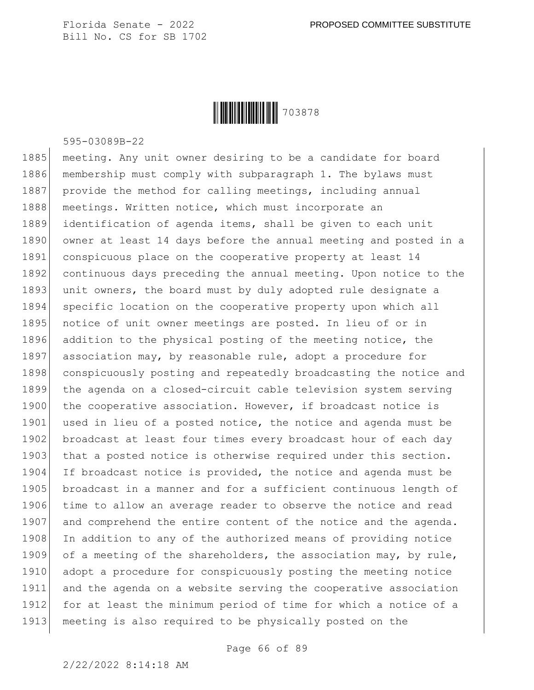

595-03089B-22

1885 meeting. Any unit owner desiring to be a candidate for board 1886 membership must comply with subparagraph 1. The bylaws must 1887 provide the method for calling meetings, including annual 1888 meetings. Written notice, which must incorporate an 1889 identification of agenda items, shall be given to each unit 1890 owner at least 14 days before the annual meeting and posted in a 1891 conspicuous place on the cooperative property at least 14 1892 continuous days preceding the annual meeting. Upon notice to the 1893 unit owners, the board must by duly adopted rule designate a 1894 specific location on the cooperative property upon which all 1895 notice of unit owner meetings are posted. In lieu of or in 1896 addition to the physical posting of the meeting notice, the 1897 association may, by reasonable rule, adopt a procedure for 1898 conspicuously posting and repeatedly broadcasting the notice and 1899 the agenda on a closed-circuit cable television system serving 1900 the cooperative association. However, if broadcast notice is 1901 used in lieu of a posted notice, the notice and agenda must be 1902 broadcast at least four times every broadcast hour of each day 1903 that a posted notice is otherwise required under this section. 1904 If broadcast notice is provided, the notice and agenda must be 1905 broadcast in a manner and for a sufficient continuous length of 1906 time to allow an average reader to observe the notice and read 1907 and comprehend the entire content of the notice and the agenda. 1908 In addition to any of the authorized means of providing notice 1909 of a meeting of the shareholders, the association may, by rule, 1910 adopt a procedure for conspicuously posting the meeting notice 1911 and the agenda on a website serving the cooperative association 1912 for at least the minimum period of time for which a notice of a 1913 meeting is also required to be physically posted on the

Page 66 of 89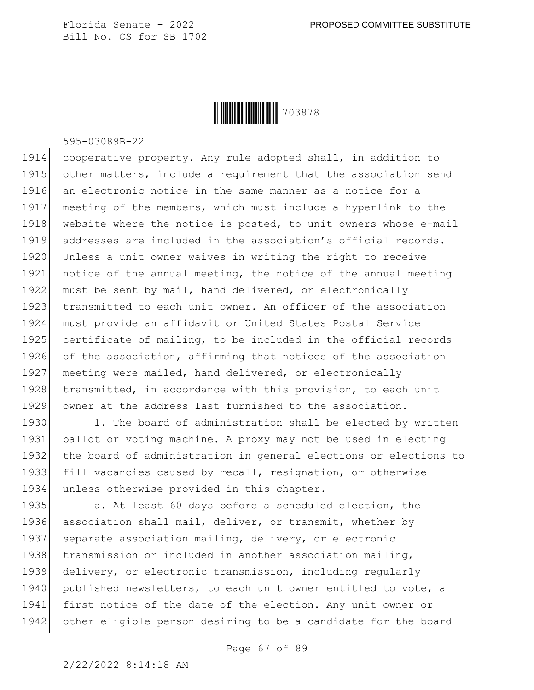

595-03089B-22

 cooperative property. Any rule adopted shall, in addition to 1915 other matters, include a requirement that the association send 1916 an electronic notice in the same manner as a notice for a meeting of the members, which must include a hyperlink to the 1918 website where the notice is posted, to unit owners whose e-mail addresses are included in the association's official records. 1920 Unless a unit owner waives in writing the right to receive notice of the annual meeting, the notice of the annual meeting must be sent by mail, hand delivered, or electronically transmitted to each unit owner. An officer of the association must provide an affidavit or United States Postal Service certificate of mailing, to be included in the official records of the association, affirming that notices of the association 1927 meeting were mailed, hand delivered, or electronically 1928 transmitted, in accordance with this provision, to each unit owner at the address last furnished to the association.

1930 1. The board of administration shall be elected by written ballot or voting machine. A proxy may not be used in electing the board of administration in general elections or elections to fill vacancies caused by recall, resignation, or otherwise unless otherwise provided in this chapter.

1935 a. At least 60 days before a scheduled election, the 1936 association shall mail, deliver, or transmit, whether by 1937 separate association mailing, delivery, or electronic 1938 transmission or included in another association mailing, 1939 delivery, or electronic transmission, including regularly 1940 published newsletters, to each unit owner entitled to vote, a 1941 first notice of the date of the election. Any unit owner or 1942 other eligible person desiring to be a candidate for the board

2/22/2022 8:14:18 AM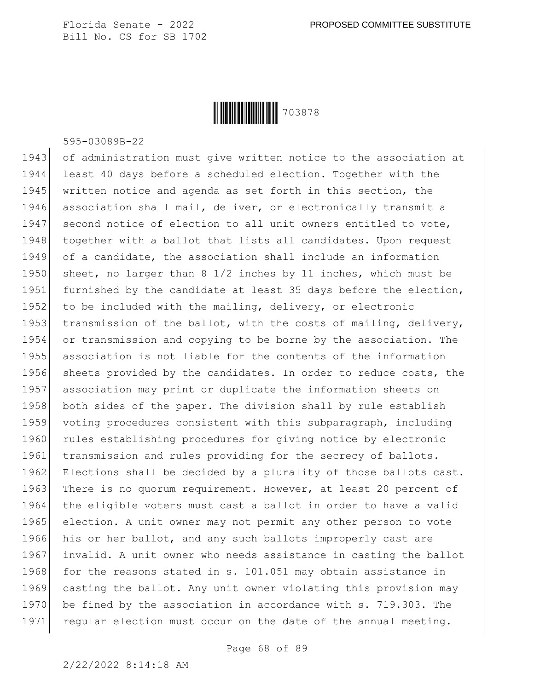

595-03089B-22

1943 of administration must give written notice to the association at 1944 least 40 days before a scheduled election. Together with the 1945 written notice and agenda as set forth in this section, the 1946 association shall mail, deliver, or electronically transmit a 1947 second notice of election to all unit owners entitled to vote, 1948 together with a ballot that lists all candidates. Upon request 1949 of a candidate, the association shall include an information 1950 sheet, no larger than 8 1/2 inches by 11 inches, which must be 1951 furnished by the candidate at least 35 days before the election, 1952 to be included with the mailing, delivery, or electronic 1953 transmission of the ballot, with the costs of mailing, delivery, 1954 or transmission and copying to be borne by the association. The 1955 association is not liable for the contents of the information 1956 sheets provided by the candidates. In order to reduce costs, the 1957 association may print or duplicate the information sheets on 1958 both sides of the paper. The division shall by rule establish 1959 voting procedures consistent with this subparagraph, including 1960 rules establishing procedures for giving notice by electronic 1961 transmission and rules providing for the secrecy of ballots. 1962 Elections shall be decided by a plurality of those ballots cast. 1963 There is no quorum requirement. However, at least 20 percent of 1964 the eligible voters must cast a ballot in order to have a valid 1965 election. A unit owner may not permit any other person to vote 1966 his or her ballot, and any such ballots improperly cast are 1967 invalid. A unit owner who needs assistance in casting the ballot 1968 for the reasons stated in s. 101.051 may obtain assistance in 1969 casting the ballot. Any unit owner violating this provision may 1970 be fined by the association in accordance with s. 719.303. The 1971 regular election must occur on the date of the annual meeting.

Page 68 of 89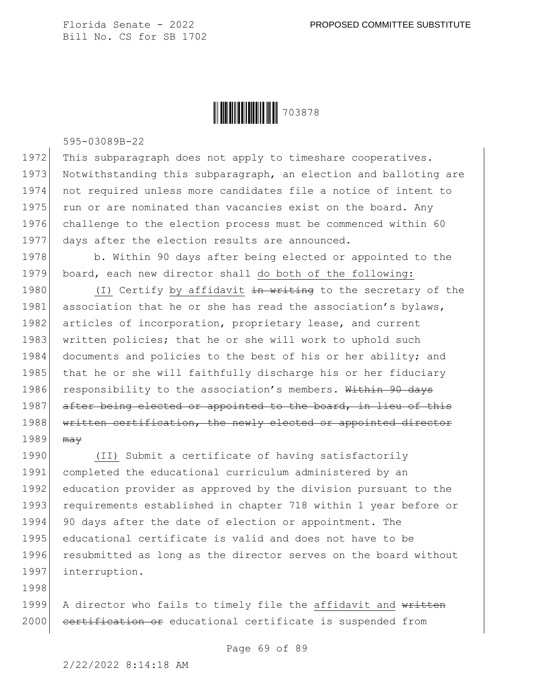

595-03089B-22

1972 This subparagraph does not apply to timeshare cooperatives. 1973 Notwithstanding this subparagraph, an election and balloting are 1974 not required unless more candidates file a notice of intent to 1975 run or are nominated than vacancies exist on the board. Any 1976 challenge to the election process must be commenced within 60 1977 days after the election results are announced.

1978 b. Within 90 days after being elected or appointed to the 1979 board, each new director shall do both of the following:

1980  $(1)$  Certify by affidavit  $\frac{1}{2}$  writing to the secretary of the 1981 association that he or she has read the association's bylaws, 1982 articles of incorporation, proprietary lease, and current 1983 written policies; that he or she will work to uphold such 1984 documents and policies to the best of his or her ability; and 1985 that he or she will faithfully discharge his or her fiduciary 1986 responsibility to the association's members. Within 90 days 1987 after being elected or appointed to the board, in lieu of this 1988 written certification, the newly elected or appointed director  $1989$  may

1990 (II) Submit a certificate of having satisfactorily 1991 completed the educational curriculum administered by an 1992 education provider as approved by the division pursuant to the 1993 requirements established in chapter 718 within 1 year before or 1994 90 days after the date of election or appointment. The 1995 educational certificate is valid and does not have to be 1996 resubmitted as long as the director serves on the board without 1997 interruption.

1999 A director who fails to timely file the affidavit and written 2000 certification or educational certificate is suspended from

1998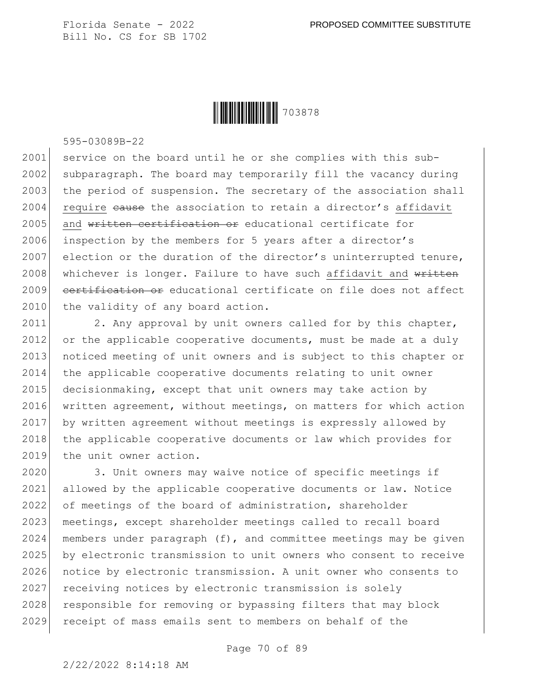

595-03089B-22

2001 service on the board until he or she complies with this sub-2002 subparagraph. The board may temporarily fill the vacancy during 2003 the period of suspension. The secretary of the association shall 2004 require cause the association to retain a director's affidavit 2005 and written certification or educational certificate for 2006 inspection by the members for 5 years after a director's 2007 election or the duration of the director's uninterrupted tenure, 2008 whichever is longer. Failure to have such affidavit and written 2009 certification or educational certificate on file does not affect 2010 the validity of any board action.

2011 2. Any approval by unit owners called for by this chapter, 2012 or the applicable cooperative documents, must be made at a duly 2013 noticed meeting of unit owners and is subject to this chapter or 2014 the applicable cooperative documents relating to unit owner 2015 decisionmaking, except that unit owners may take action by 2016 written agreement, without meetings, on matters for which action 2017 by written agreement without meetings is expressly allowed by 2018 the applicable cooperative documents or law which provides for 2019 the unit owner action.

2020 3. Unit owners may waive notice of specific meetings if 2021 allowed by the applicable cooperative documents or law. Notice 2022 of meetings of the board of administration, shareholder 2023 | meetings, except shareholder meetings called to recall board 2024 members under paragraph  $(f)$ , and committee meetings may be given 2025 by electronic transmission to unit owners who consent to receive 2026 notice by electronic transmission. A unit owner who consents to 2027 receiving notices by electronic transmission is solely 2028 responsible for removing or bypassing filters that may block 2029 receipt of mass emails sent to members on behalf of the

Page 70 of 89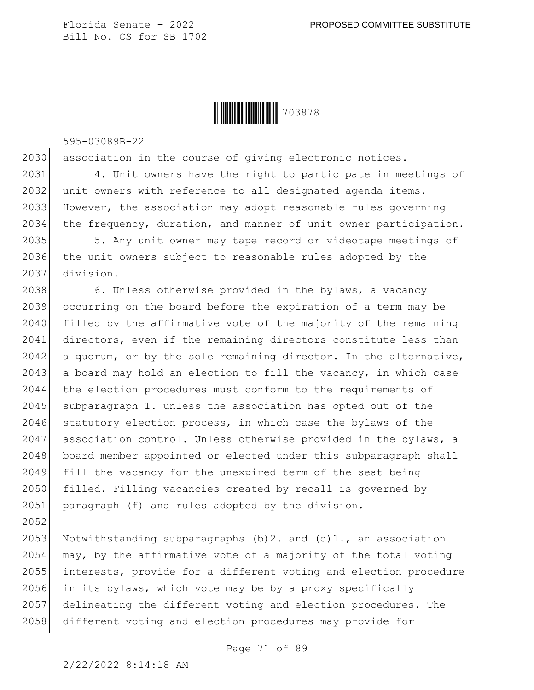

595-03089B-22

2030 association in the course of giving electronic notices.

 4. Unit owners have the right to participate in meetings of 2032 unit owners with reference to all designated agenda items. However, the association may adopt reasonable rules governing the frequency, duration, and manner of unit owner participation.

2035 5. Any unit owner may tape record or videotape meetings of 2036 the unit owners subject to reasonable rules adopted by the 2037 division.

2038 6. Unless otherwise provided in the bylaws, a vacancy 2039 occurring on the board before the expiration of a term may be 2040 filled by the affirmative vote of the majority of the remaining 2041 directors, even if the remaining directors constitute less than  $2042$  a quorum, or by the sole remaining director. In the alternative, 2043 a board may hold an election to fill the vacancy, in which case 2044 the election procedures must conform to the requirements of 2045 subparagraph 1. unless the association has opted out of the 2046 statutory election process, in which case the bylaws of the 2047 association control. Unless otherwise provided in the bylaws, a 2048 board member appointed or elected under this subparagraph shall 2049 fill the vacancy for the unexpired term of the seat being 2050 filled. Filling vacancies created by recall is governed by 2051 paragraph (f) and rules adopted by the division.

2053 Notwithstanding subparagraphs  $(b)$  2. and  $(d)$  1., an association  $\mid$  may, by the affirmative vote of a majority of the total voting interests, provide for a different voting and election procedure in its bylaws, which vote may be by a proxy specifically delineating the different voting and election procedures. The 2058 different voting and election procedures may provide for

Page 71 of 89

2052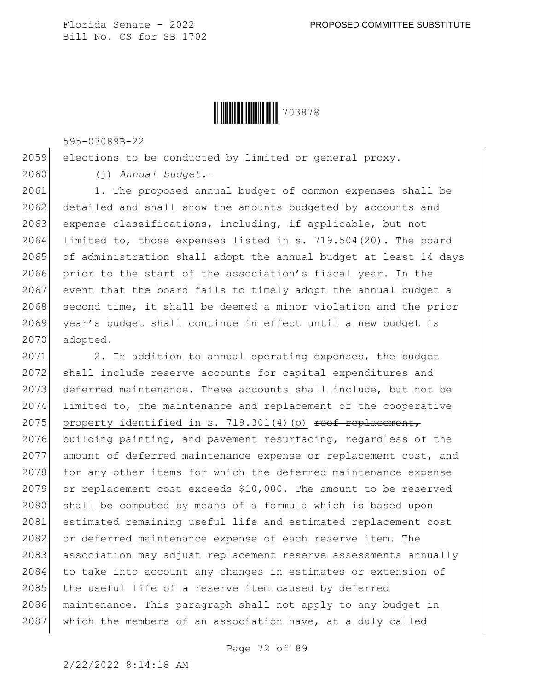**|| || || || || || || || || || ||** 703878

595-03089B-22

2059 elections to be conducted by limited or general proxy.

2060 (j) *Annual budget.*—

2061 1. The proposed annual budget of common expenses shall be 2062 detailed and shall show the amounts budgeted by accounts and 2063 expense classifications, including, if applicable, but not 2064 limited to, those expenses listed in s. 719.504(20). The board 2065 of administration shall adopt the annual budget at least 14 days 2066 prior to the start of the association's fiscal year. In the 2067 event that the board fails to timely adopt the annual budget a 2068 second time, it shall be deemed a minor violation and the prior 2069 year's budget shall continue in effect until a new budget is 2070 adopted.

2071 2. In addition to annual operating expenses, the budget 2072 shall include reserve accounts for capital expenditures and 2073 deferred maintenance. These accounts shall include, but not be 2074 limited to, the maintenance and replacement of the cooperative 2075 property identified in s. 719.301(4)(p) roof replacement, 2076 building painting, and pavement resurfacing, regardless of the 2077 amount of deferred maintenance expense or replacement cost, and 2078 for any other items for which the deferred maintenance expense 2079 or replacement cost exceeds \$10,000. The amount to be reserved 2080 shall be computed by means of a formula which is based upon 2081 estimated remaining useful life and estimated replacement cost 2082 or deferred maintenance expense of each reserve item. The 2083 association may adjust replacement reserve assessments annually 2084 to take into account any changes in estimates or extension of 2085 the useful life of a reserve item caused by deferred 2086 maintenance. This paragraph shall not apply to any budget in 2087 which the members of an association have, at a duly called

Page 72 of 89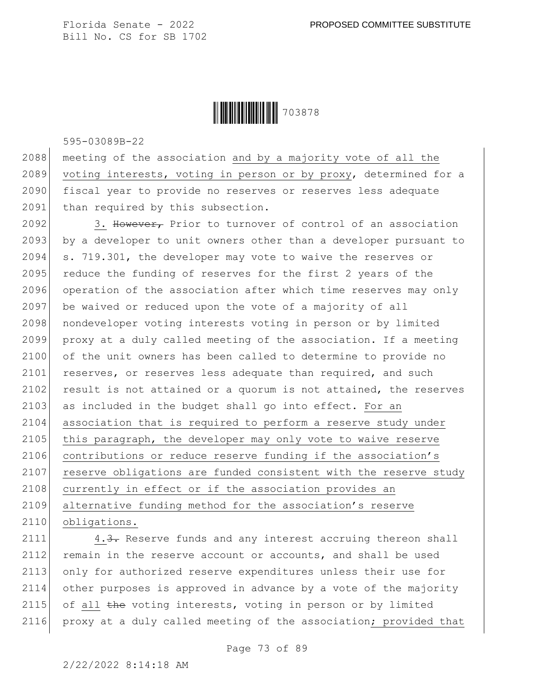

595-03089B-22

2088 meeting of the association and by a majority vote of all the 2089 voting interests, voting in person or by proxy, determined for a 2090 fiscal year to provide no reserves or reserves less adequate 2091 than required by this subsection.

2092 3. However, Prior to turnover of control of an association 2093 by a developer to unit owners other than a developer pursuant to 2094 s. 719.301, the developer may vote to waive the reserves or 2095 reduce the funding of reserves for the first 2 years of the 2096 operation of the association after which time reserves may only 2097 be waived or reduced upon the vote of a majority of all 2098 | nondeveloper voting interests voting in person or by limited 2099 proxy at a duly called meeting of the association. If a meeting 2100 of the unit owners has been called to determine to provide no 2101 reserves, or reserves less adequate than required, and such 2102 result is not attained or a quorum is not attained, the reserves 2103 as included in the budget shall go into effect. For an 2104 association that is required to perform a reserve study under 2105 this paragraph, the developer may only vote to waive reserve 2106 contributions or reduce reserve funding if the association's 2107 reserve obligations are funded consistent with the reserve study 2108 currently in effect or if the association provides an 2109 alternative funding method for the association's reserve 2110 obligations.

2111 4.3. Reserve funds and any interest accruing thereon shall 2112 remain in the reserve account or accounts, and shall be used 2113 only for authorized reserve expenditures unless their use for 2114 other purposes is approved in advance by a vote of the majority 2115 of all the voting interests, voting in person or by limited 2116 proxy at a duly called meeting of the association; provided that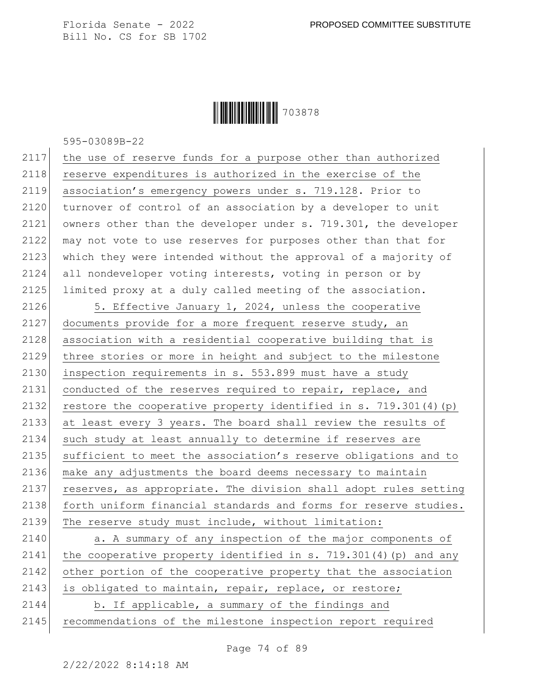Ì703878XÎ703878

595-03089B-22

| 2117 | the use of reserve funds for a purpose other than authorized     |
|------|------------------------------------------------------------------|
| 2118 | reserve expenditures is authorized in the exercise of the        |
| 2119 | association's emergency powers under s. 719.128. Prior to        |
| 2120 | turnover of control of an association by a developer to unit     |
| 2121 | owners other than the developer under s. 719.301, the developer  |
| 2122 | may not vote to use reserves for purposes other than that for    |
| 2123 | which they were intended without the approval of a majority of   |
| 2124 | all nondeveloper voting interests, voting in person or by        |
| 2125 | limited proxy at a duly called meeting of the association.       |
| 2126 | 5. Effective January 1, 2024, unless the cooperative             |
| 2127 | documents provide for a more frequent reserve study, an          |
| 2128 | association with a residential cooperative building that is      |
| 2129 | three stories or more in height and subject to the milestone     |
| 2130 | inspection requirements in s. 553.899 must have a study          |
| 2131 | conducted of the reserves required to repair, replace, and       |
| 2132 | restore the cooperative property identified in s. 719.301(4) (p) |
| 2133 | at least every 3 years. The board shall review the results of    |
| 2134 | such study at least annually to determine if reserves are        |
| 2135 | sufficient to meet the association's reserve obligations and to  |
| 2136 | make any adjustments the board deems necessary to maintain       |
| 2137 | reserves, as appropriate. The division shall adopt rules setting |
| 2138 | forth uniform financial standards and forms for reserve studies. |
| 2139 | The reserve study must include, without limitation:              |
| 2140 | a. A summary of any inspection of the major components of        |
| 2141 | the cooperative property identified in s. 719.301(4) (p) and any |
| 2142 | other portion of the cooperative property that the association   |
| 2143 | is obligated to maintain, repair, replace, or restore;           |
| 2144 | b. If applicable, a summary of the findings and                  |
| 2145 | recommendations of the milestone inspection report required      |

Page 74 of 89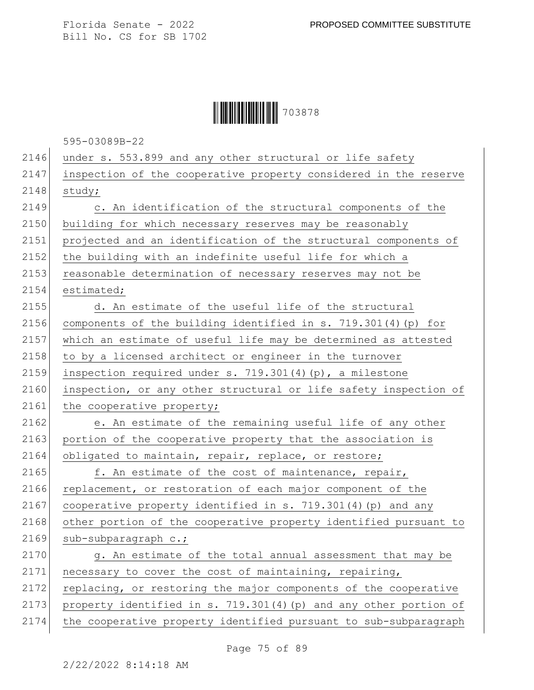

595-03089B-22

| 2146 | under s. 553.899 and any other structural or life safety          |
|------|-------------------------------------------------------------------|
| 2147 | inspection of the cooperative property considered in the reserve  |
| 2148 | study;                                                            |
| 2149 | c. An identification of the structural components of the          |
| 2150 | building for which necessary reserves may be reasonably           |
| 2151 | projected and an identification of the structural components of   |
| 2152 | the building with an indefinite useful life for which a           |
| 2153 | reasonable determination of necessary reserves may not be         |
| 2154 | estimated;                                                        |
| 2155 | d. An estimate of the useful life of the structural               |
| 2156 | components of the building identified in s. 719.301(4) (p) for    |
| 2157 | which an estimate of useful life may be determined as attested    |
| 2158 | to by a licensed architect or engineer in the turnover            |
| 2159 | inspection required under s. 719.301(4)(p), a milestone           |
| 2160 | inspection, or any other structural or life safety inspection of  |
| 2161 | the cooperative property;                                         |
| 2162 | e. An estimate of the remaining useful life of any other          |
| 2163 | portion of the cooperative property that the association is       |
| 2164 | obligated to maintain, repair, replace, or restore;               |
| 2165 | f. An estimate of the cost of maintenance, repair,                |
| 2166 | replacement, or restoration of each major component of the        |
| 2167 | cooperative property identified in s. 719.301(4) (p) and any      |
| 2168 | other portion of the cooperative property identified pursuant to  |
| 2169 | sub-subparagraph c.;                                              |
| 2170 | g. An estimate of the total annual assessment that may be         |
| 2171 | necessary to cover the cost of maintaining, repairing,            |
| 2172 | replacing, or restoring the major components of the cooperative   |
| 2173 |                                                                   |
|      | property identified in s. 719.301(4) (p) and any other portion of |

Page 75 of 89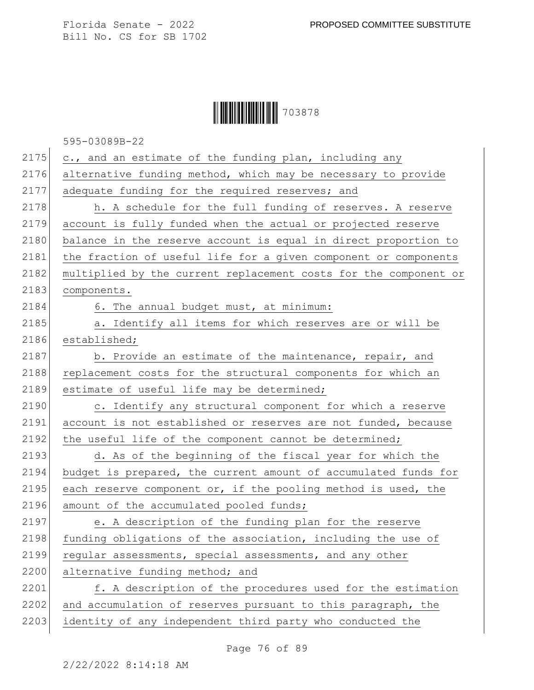## Ì703878XÎ703878

595-03089B-22

| 2175 | c., and an estimate of the funding plan, including any           |
|------|------------------------------------------------------------------|
| 2176 | alternative funding method, which may be necessary to provide    |
| 2177 | adequate funding for the required reserves; and                  |
| 2178 | h. A schedule for the full funding of reserves. A reserve        |
| 2179 | account is fully funded when the actual or projected reserve     |
| 2180 | balance in the reserve account is equal in direct proportion to  |
| 2181 | the fraction of useful life for a given component or components  |
| 2182 | multiplied by the current replacement costs for the component or |
| 2183 | components.                                                      |
| 2184 | 6. The annual budget must, at minimum:                           |
| 2185 | a. Identify all items for which reserves are or will be          |
| 2186 | established;                                                     |
| 2187 | b. Provide an estimate of the maintenance, repair, and           |
| 2188 | replacement costs for the structural components for which an     |
| 2189 | estimate of useful life may be determined;                       |
| 2190 | c. Identify any structural component for which a reserve         |
| 2191 | account is not established or reserves are not funded, because   |
| 2192 | the useful life of the component cannot be determined;           |
| 2193 | d. As of the beginning of the fiscal year for which the          |
| 2194 | budget is prepared, the current amount of accumulated funds for  |
| 2195 | each reserve component or, if the pooling method is used, the    |
| 2196 | amount of the accumulated pooled funds;                          |
| 2197 | e. A description of the funding plan for the reserve             |
| 2198 | funding obligations of the association, including the use of     |
| 2199 | regular assessments, special assessments, and any other          |
| 2200 | alternative funding method; and                                  |
| 2201 | f. A description of the procedures used for the estimation       |
| 2202 | and accumulation of reserves pursuant to this paragraph, the     |
| 2203 | identity of any independent third party who conducted the        |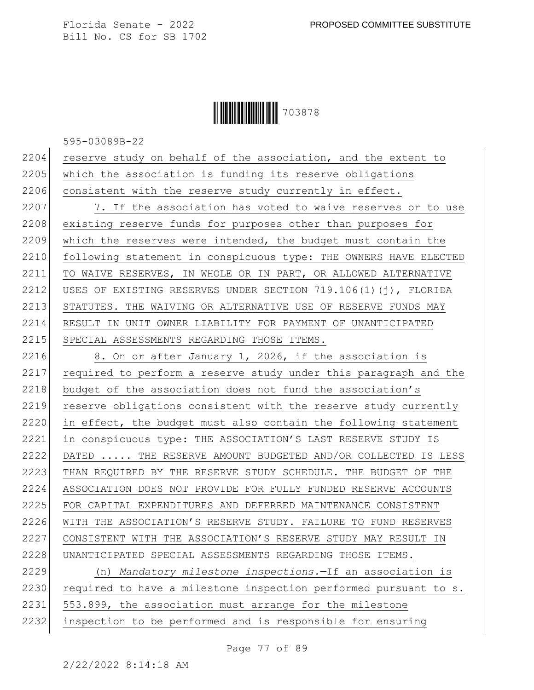**|| || || || || || || || || || ||** 703878

595-03089B-22

 $2204$  reserve study on behalf of the association, and the extent to 2205 which the association is funding its reserve obligations 2206 consistent with the reserve study currently in effect.

2207 7. If the association has voted to waive reserves or to use 2208 existing reserve funds for purposes other than purposes for 2209 which the reserves were intended, the budget must contain the 2210 following statement in conspicuous type: THE OWNERS HAVE ELECTED 2211 TO WAIVE RESERVES, IN WHOLE OR IN PART, OR ALLOWED ALTERNATIVE 2212 USES OF EXISTING RESERVES UNDER SECTION 719.106(1)(j), FLORIDA 2213 STATUTES. THE WAIVING OR ALTERNATIVE USE OF RESERVE FUNDS MAY 2214 RESULT IN UNIT OWNER LIABILITY FOR PAYMENT OF UNANTICIPATED 2215 SPECIAL ASSESSMENTS REGARDING THOSE ITEMS.

2216 8. On or after January 1, 2026, if the association is 2217 required to perform a reserve study under this paragraph and the 2218 budget of the association does not fund the association's 2219 reserve obligations consistent with the reserve study currently 2220 in effect, the budget must also contain the following statement 2221 in conspicuous type: THE ASSOCIATION'S LAST RESERVE STUDY IS 2222 DATED ..... THE RESERVE AMOUNT BUDGETED AND/OR COLLECTED IS LESS 2223 THAN REQUIRED BY THE RESERVE STUDY SCHEDULE. THE BUDGET OF THE 2224 ASSOCIATION DOES NOT PROVIDE FOR FULLY FUNDED RESERVE ACCOUNTS 2225 FOR CAPITAL EXPENDITURES AND DEFERRED MAINTENANCE CONSISTENT 2226 WITH THE ASSOCIATION'S RESERVE STUDY. FAILURE TO FUND RESERVES 2227 CONSISTENT WITH THE ASSOCIATION'S RESERVE STUDY MAY RESULT IN 2228 UNANTICIPATED SPECIAL ASSESSMENTS REGARDING THOSE ITEMS.

2229 (n) *Mandatory milestone inspections.*—If an association is 2230 required to have a milestone inspection performed pursuant to s. 2231 553.899, the association must arrange for the milestone 2232 inspection to be performed and is responsible for ensuring

Page 77 of 89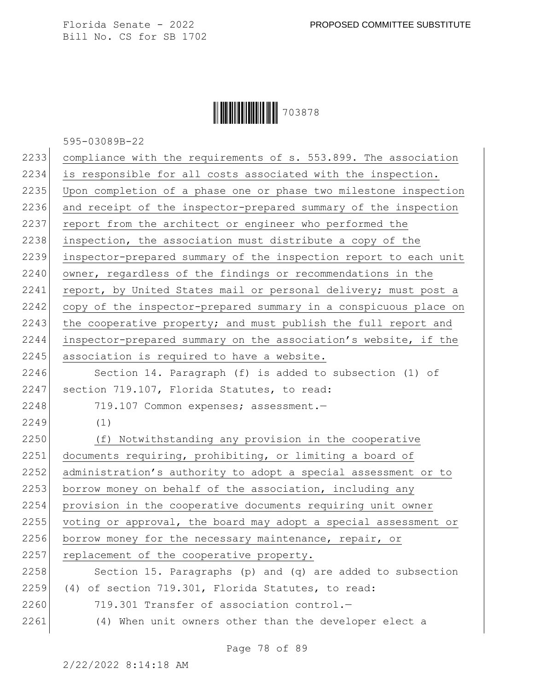## **|| || || || || || || || || || ||** 703878

595-03089B-22

| 2233 | compliance with the requirements of s. 553.899. The association  |
|------|------------------------------------------------------------------|
| 2234 | is responsible for all costs associated with the inspection.     |
| 2235 | Upon completion of a phase one or phase two milestone inspection |
| 2236 | and receipt of the inspector-prepared summary of the inspection  |
| 2237 | report from the architect or engineer who performed the          |
| 2238 | inspection, the association must distribute a copy of the        |
| 2239 | inspector-prepared summary of the inspection report to each unit |
| 2240 | owner, regardless of the findings or recommendations in the      |
| 2241 | report, by United States mail or personal delivery; must post a  |
| 2242 | copy of the inspector-prepared summary in a conspicuous place on |
| 2243 | the cooperative property; and must publish the full report and   |
| 2244 | inspector-prepared summary on the association's website, if the  |
| 2245 | association is required to have a website.                       |
| 2246 | Section 14. Paragraph (f) is added to subsection (1) of          |
| 2247 | section 719.107, Florida Statutes, to read:                      |
| 2248 | 719.107 Common expenses; assessment.-                            |
| 2249 | (1)                                                              |
| 2250 | (f) Notwithstanding any provision in the cooperative             |
| 2251 | documents requiring, prohibiting, or limiting a board of         |
| 2252 | administration's authority to adopt a special assessment or to   |
| 2253 | borrow money on behalf of the association, including any         |
| 2254 | provision in the cooperative documents requiring unit owner      |
| 2255 | voting or approval, the board may adopt a special assessment or  |
| 2256 | borrow money for the necessary maintenance, repair, or           |
| 2257 | replacement of the cooperative property.                         |
| 2258 | Section 15. Paragraphs (p) and (q) are added to subsection       |
| 2259 | (4) of section 719.301, Florida Statutes, to read:               |
| 2260 | 719.301 Transfer of association control.-                        |
| 2261 | (4) When unit owners other than the developer elect a            |
|      |                                                                  |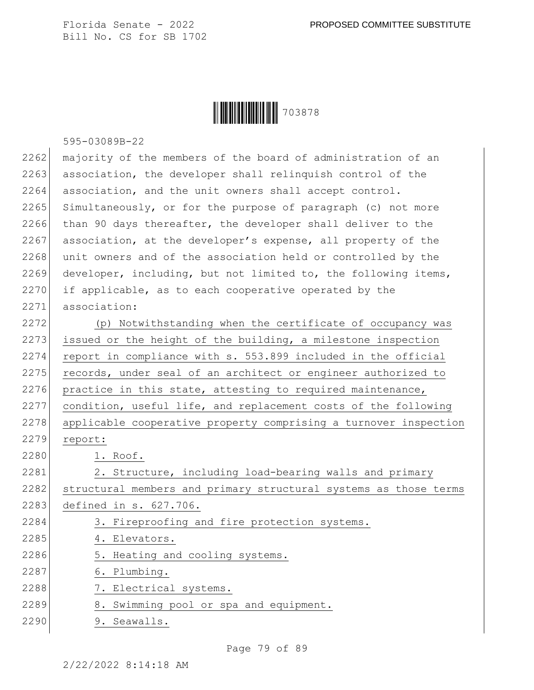**|| || || || || || || || || || ||** 703878

|      | 595-03089B-22                                                    |
|------|------------------------------------------------------------------|
| 2262 | majority of the members of the board of administration of an     |
| 2263 | association, the developer shall relinquish control of the       |
| 2264 | association, and the unit owners shall accept control.           |
| 2265 | Simultaneously, or for the purpose of paragraph (c) not more     |
| 2266 | than 90 days thereafter, the developer shall deliver to the      |
| 2267 | association, at the developer's expense, all property of the     |
| 2268 | unit owners and of the association held or controlled by the     |
| 2269 | developer, including, but not limited to, the following items,   |
| 2270 | if applicable, as to each cooperative operated by the            |
| 2271 | association:                                                     |
| 2272 | (p) Notwithstanding when the certificate of occupancy was        |
| 2273 | issued or the height of the building, a milestone inspection     |
| 2274 | report in compliance with s. 553.899 included in the official    |
| 2275 | records, under seal of an architect or engineer authorized to    |
| 2276 | practice in this state, attesting to required maintenance,       |
| 2277 | condition, useful life, and replacement costs of the following   |
| 2278 | applicable cooperative property comprising a turnover inspection |
| 2279 | report:                                                          |
| 2280 | 1. Roof.                                                         |
| 2281 | 2. Structure, including load-bearing walls and primary           |
| 2282 | structural members and primary structural systems as those terms |
| 2283 | defined in s. 627.706.                                           |
| 2284 | 3. Fireproofing and fire protection systems.                     |
| 2285 | 4. Elevators.                                                    |
| 2286 | 5. Heating and cooling systems.                                  |
| 2287 | 6. Plumbing.                                                     |
| 2288 | 7. Electrical systems.                                           |
| 2289 | 8. Swimming pool or spa and equipment.                           |
| 2290 | 9. Seawalls.                                                     |

Page 79 of 89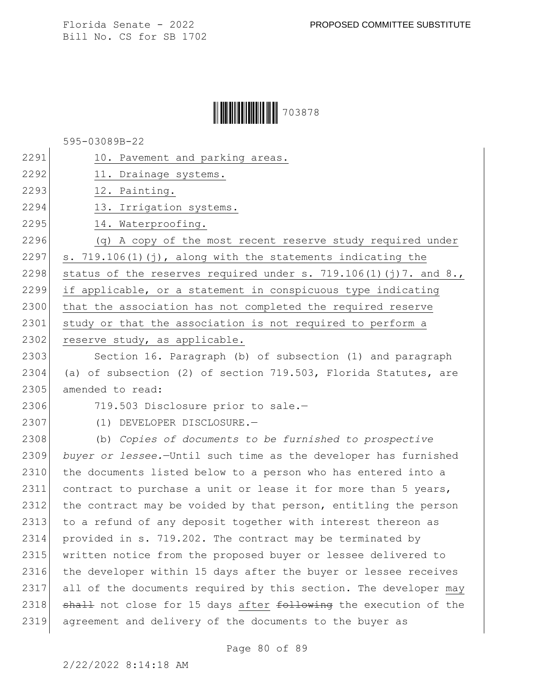Florida Senate - 2022 PROPOSED COMMITTEE SUBSTITUTE

Bill No. CS for SB 1702

## **|| || || || || || || || || || ||** 703878

595-03089B-22

| 2291 | 10. Pavement and parking areas.                                  |
|------|------------------------------------------------------------------|
| 2292 | 11. Drainage systems.                                            |
| 2293 | 12. Painting.                                                    |
| 2294 | 13. Irrigation systems.                                          |
| 2295 | 14. Waterproofing.                                               |
| 2296 | (q) A copy of the most recent reserve study required under       |
| 2297 | s. $719.106(1)(i)$ , along with the statements indicating the    |
| 2298 | status of the reserves required under s. 719.106(1)(j)7. and 8., |
| 2299 | if applicable, or a statement in conspicuous type indicating     |
| 2300 | that the association has not completed the required reserve      |
| 2301 | study or that the association is not required to perform a       |
| 2302 | reserve study, as applicable.                                    |
| 2303 | Section 16. Paragraph (b) of subsection (1) and paragraph        |
| 2304 | (a) of subsection (2) of section 719.503, Florida Statutes, are  |
| 2305 | amended to read:                                                 |
| 2306 | 719.503 Disclosure prior to sale.-                               |
| 2307 | (1) DEVELOPER DISCLOSURE.-                                       |
| 2308 | (b) Copies of documents to be furnished to prospective           |
| 2309 | buyer or lessee.-Until such time as the developer has furnished  |
| 2310 | the documents listed below to a person who has entered into a    |
| 2311 | contract to purchase a unit or lease it for more than 5 years,   |
| 2312 | the contract may be voided by that person, entitling the person  |
| 2313 | to a refund of any deposit together with interest thereon as     |
| 2314 | provided in s. 719.202. The contract may be terminated by        |
| 2315 | written notice from the proposed buyer or lessee delivered to    |
| 2316 | the developer within 15 days after the buyer or lessee receives  |
| 2317 | all of the documents required by this section. The developer may |
| 2318 | shall not close for 15 days after following the execution of the |
| 2319 | agreement and delivery of the documents to the buyer as          |
|      |                                                                  |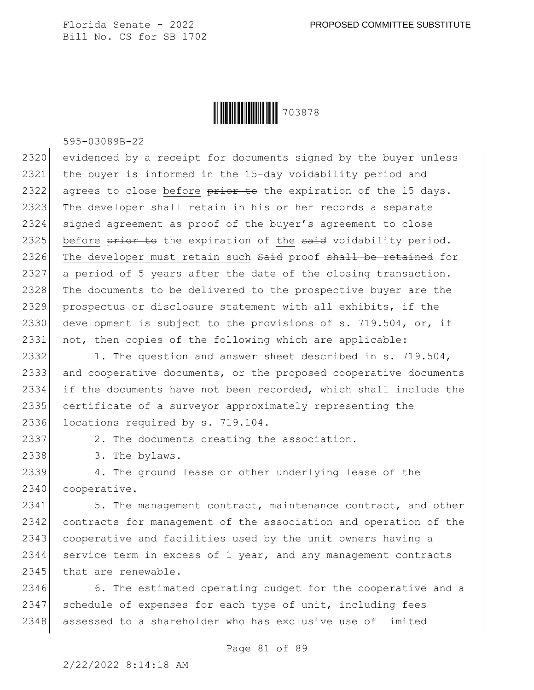

595-03089B-22

2320 evidenced by a receipt for documents signed by the buyer unless 2321 the buyer is informed in the 15-day voidability period and 2322 agrees to close before  $\frac{1}{2}$  and the expiration of the 15 days. 2323 The developer shall retain in his or her records a separate 2324 signed agreement as proof of the buyer's agreement to close 2325 before  $\frac{p}{p}$  before  $\frac{p}{p}$  the expiration of the said voidability period. 2326 The developer must retain such Said proof shall be retained for 2327 a period of 5 years after the date of the closing transaction. 2328 The documents to be delivered to the prospective buyer are the 2329 prospectus or disclosure statement with all exhibits, if the 2330 development is subject to the provisions of s. 719.504, or, if 2331 not, then copies of the following which are applicable:

2332 1. The question and answer sheet described in s. 719.504, 2333 and cooperative documents, or the proposed cooperative documents 2334 if the documents have not been recorded, which shall include the 2335 certificate of a surveyor approximately representing the 2336 locations required by s. 719.104.

2337 2. The documents creating the association.

2338 3. The bylaws.

2339 4. The ground lease or other underlying lease of the 2340 cooperative.

2341 5. The management contract, maintenance contract, and other 2342 contracts for management of the association and operation of the 2343 cooperative and facilities used by the unit owners having a 2344 service term in excess of 1 year, and any management contracts 2345 that are renewable.

2346 6. The estimated operating budget for the cooperative and a 2347 schedule of expenses for each type of unit, including fees 2348 assessed to a shareholder who has exclusive use of limited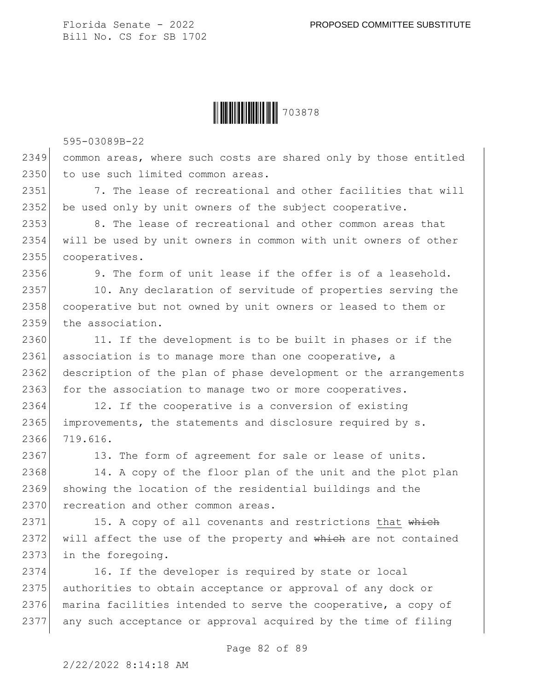

595-03089B-22

2349 common areas, where such costs are shared only by those entitled 2350 to use such limited common areas.

2351 7. The lease of recreational and other facilities that will 2352 be used only by unit owners of the subject cooperative.

2353 8. The lease of recreational and other common areas that 2354 will be used by unit owners in common with unit owners of other 2355 cooperatives.

2356 9. The form of unit lease if the offer is of a leasehold.

2357 10. Any declaration of servitude of properties serving the 2358 cooperative but not owned by unit owners or leased to them or 2359 the association.

2360 11. If the development is to be built in phases or if the 2361 association is to manage more than one cooperative, a 2362 description of the plan of phase development or the arrangements 2363 for the association to manage two or more cooperatives.

2364 12. If the cooperative is a conversion of existing 2365 improvements, the statements and disclosure required by s. 2366 719.616.

2367 13. The form of agreement for sale or lease of units.

2368 14. A copy of the floor plan of the unit and the plot plan 2369 showing the location of the residential buildings and the 2370 recreation and other common areas.

2371 15. A copy of all covenants and restrictions that which 2372 will affect the use of the property and which are not contained 2373 in the foregoing.

 16. If the developer is required by state or local 2375 authorities to obtain acceptance or approval of any dock or marina facilities intended to serve the cooperative, a copy of any such acceptance or approval acquired by the time of filing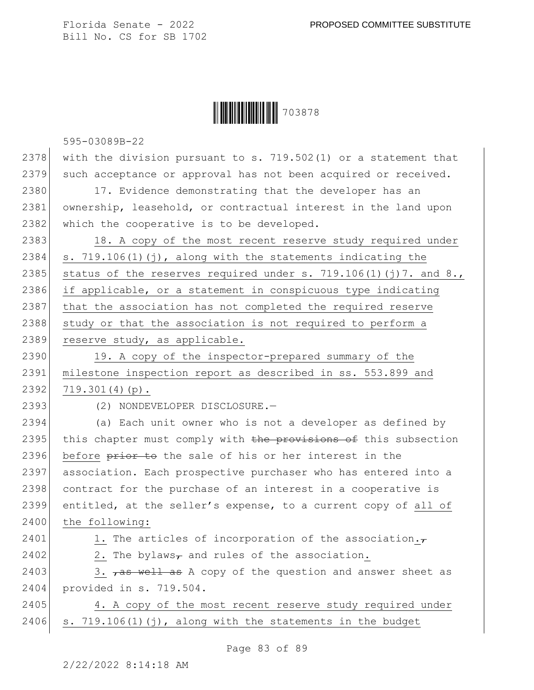

595-03089B-22

2378 with the division pursuant to s. 719.502(1) or a statement that 2379 such acceptance or approval has not been acquired or received.

2380 17. Evidence demonstrating that the developer has an 2381 ownership, leasehold, or contractual interest in the land upon 2382 which the cooperative is to be developed.

2383 18. A copy of the most recent reserve study required under 2384  $\vert$  s. 719.106(1)(j), along with the statements indicating the 2385 status of the reserves required under s. 719.106(1)(j)7. and 8., 2386 if applicable, or a statement in conspicuous type indicating 2387 that the association has not completed the required reserve 2388 study or that the association is not required to perform a 2389 reserve study, as applicable.

2390 19. A copy of the inspector-prepared summary of the 2391 milestone inspection report as described in ss. 553.899 and  $2392$  719.301(4)(p).

2393 (2) NONDEVELOPER DISCLOSURE.

2394 (a) Each unit owner who is not a developer as defined by 2395 this chapter must comply with the provisions of this subsection 2396 before prior to the sale of his or her interest in the 2397 association. Each prospective purchaser who has entered into a 2398 contract for the purchase of an interest in a cooperative is 2399 entitled, at the seller's expense, to a current copy of all of 2400 the following:

2401 1. The articles of incorporation of the association. $\tau$ 2402 2. The bylaws<sub>7</sub> and rules of the association.

2403 3.  $7a5$  well as A copy of the question and answer sheet as 2404 provided in s. 719.504.

2405 4. A copy of the most recent reserve study required under  $2406$  s.  $719.106(1)(j)$ , along with the statements in the budget

Page 83 of 89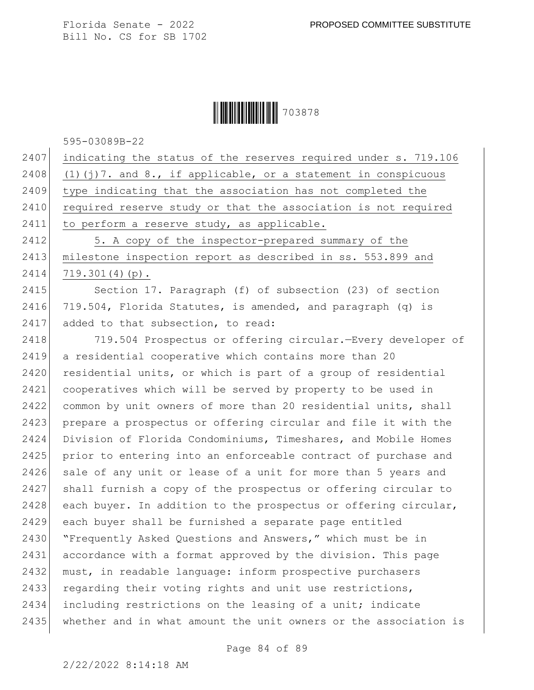## **|| || || || || || || || || || ||** 703878

595-03089B-22

2407 indicating the status of the reserves required under s. 719.106 2408 (1)(j)7. and 8., if applicable, or a statement in conspicuous 2409 type indicating that the association has not completed the 2410 required reserve study or that the association is not required 2411 to perform a reserve study, as applicable. 2412 5. A copy of the inspector-prepared summary of the 2413 milestone inspection report as described in ss. 553.899 and

2414 719.301(4)(p).

2415 Section 17. Paragraph (f) of subsection (23) of section 2416 719.504, Florida Statutes, is amended, and paragraph (q) is 2417 added to that subsection, to read:

2418 719.504 Prospectus or offering circular.—Every developer of 2419 a residential cooperative which contains more than 20 2420 residential units, or which is part of a group of residential 2421 cooperatives which will be served by property to be used in 2422 common by unit owners of more than 20 residential units, shall 2423 prepare a prospectus or offering circular and file it with the 2424 Division of Florida Condominiums, Timeshares, and Mobile Homes 2425 prior to entering into an enforceable contract of purchase and 2426 sale of any unit or lease of a unit for more than 5 years and 2427 shall furnish a copy of the prospectus or offering circular to 2428 each buyer. In addition to the prospectus or offering circular, 2429 each buyer shall be furnished a separate page entitled 2430 "Frequently Asked Questions and Answers," which must be in 2431 accordance with a format approved by the division. This page 2432 must, in readable language: inform prospective purchasers 2433 regarding their voting rights and unit use restrictions, 2434 including restrictions on the leasing of a unit; indicate 2435 whether and in what amount the unit owners or the association is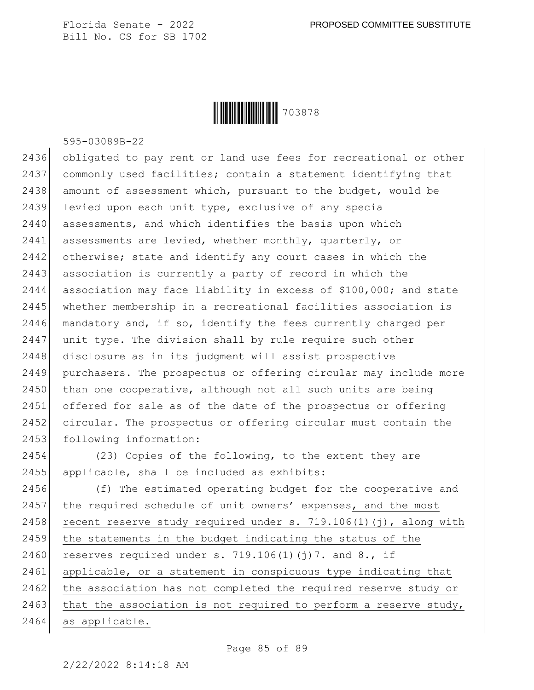

595-03089B-22

2436 obligated to pay rent or land use fees for recreational or other 2437 commonly used facilities; contain a statement identifying that 2438 amount of assessment which, pursuant to the budget, would be 2439 levied upon each unit type, exclusive of any special 2440 assessments, and which identifies the basis upon which 2441 assessments are levied, whether monthly, quarterly, or 2442 otherwise; state and identify any court cases in which the 2443 association is currently a party of record in which the 2444 association may face liability in excess of \$100,000; and state 2445 whether membership in a recreational facilities association is 2446 mandatory and, if so, identify the fees currently charged per 2447 unit type. The division shall by rule require such other 2448 disclosure as in its judgment will assist prospective 2449 purchasers. The prospectus or offering circular may include more 2450 than one cooperative, although not all such units are being 2451 offered for sale as of the date of the prospectus or offering 2452 circular. The prospectus or offering circular must contain the 2453 following information:

2454 (23) Copies of the following, to the extent they are 2455 applicable, shall be included as exhibits:

2456 (f) The estimated operating budget for the cooperative and 2457 the required schedule of unit owners' expenses, and the most 2458 recent reserve study required under s. 719.106(1)(j), along with 2459 the statements in the budget indicating the status of the 2460 reserves required under s.  $719.106(1)(j)7$ . and 8., if 2461 applicable, or a statement in conspicuous type indicating that 2462 the association has not completed the required reserve study or 2463 that the association is not required to perform a reserve study, 2464 as applicable.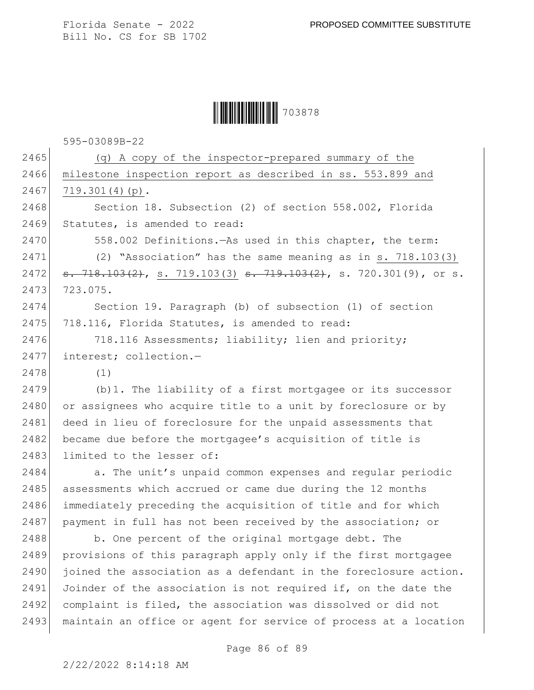Ì703878XÎ703878

595-03089B-22

2465 (q) A copy of the inspector-prepared summary of the 2466 milestone inspection report as described in ss. 553.899 and 2467 719.301(4)(p). 2468 Section 18. Subsection (2) of section 558.002, Florida 2469 Statutes, is amended to read: 2470 558.002 Definitions.—As used in this chapter, the term: 2471 (2) "Association" has the same meaning as in s. 718.103(3) 2472 <del>s. 718.103(2)</del>, s. 719.103(3) <del>s. 719.103(2)</del>, s. 720.301(9), or s. 2473 723.075. 2474 Section 19. Paragraph (b) of subsection (1) of section 2475 718.116, Florida Statutes, is amended to read: 2476 718.116 Assessments; liability; lien and priority; 2477 interest: collection.-2478 (1) 2479 (b)1. The liability of a first mortgagee or its successor 2480 or assignees who acquire title to a unit by foreclosure or by 2481 deed in lieu of foreclosure for the unpaid assessments that 2482 became due before the mortgagee's acquisition of title is 2483 limited to the lesser of: 2484 a. The unit's unpaid common expenses and regular periodic 2485 assessments which accrued or came due during the 12 months 2486 immediately preceding the acquisition of title and for which 2487 payment in full has not been received by the association; or 2488 b. One percent of the original mortgage debt. The 2489 provisions of this paragraph apply only if the first mortgagee 2490 joined the association as a defendant in the foreclosure action. 2491 Joinder of the association is not required if, on the date the 2492 complaint is filed, the association was dissolved or did not 2493 maintain an office or agent for service of process at a location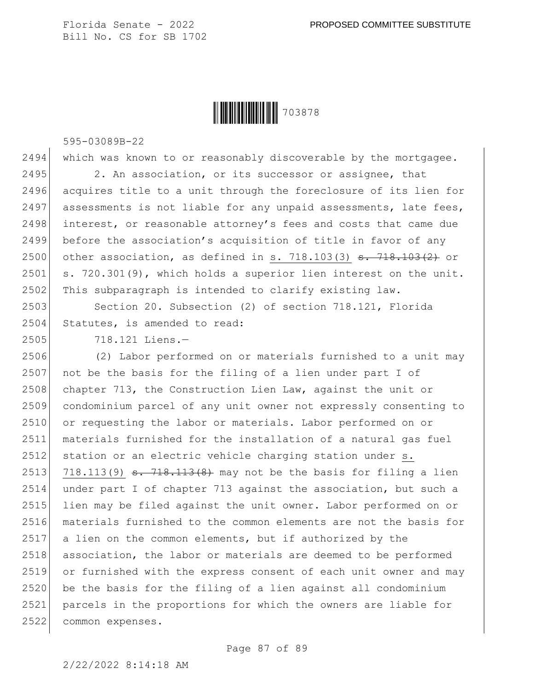

595-03089B-22

2494 which was known to or reasonably discoverable by the mortgagee. 2495 2. An association, or its successor or assignee, that 2496 acquires title to a unit through the foreclosure of its lien for  $2497$  assessments is not liable for any unpaid assessments, late fees, 2498 interest, or reasonable attorney's fees and costs that came due 2499 before the association's acquisition of title in favor of any 2500 other association, as defined in s. 718.103(3)  $\frac{1}{3}$ . 718.103(2) or 2501 s. 720.301(9), which holds a superior lien interest on the unit. 2502 This subparagraph is intended to clarify existing law.

2503 Section 20. Subsection (2) of section 718.121, Florida 2504 Statutes, is amended to read:

2505 718.121 Liens.—

2506 (2) Labor performed on or materials furnished to a unit may 2507 not be the basis for the filing of a lien under part I of 2508 chapter 713, the Construction Lien Law, against the unit or 2509 condominium parcel of any unit owner not expressly consenting to 2510 or requesting the labor or materials. Labor performed on or 2511 materials furnished for the installation of a natural gas fuel 2512 station or an electric vehicle charging station under s. 2513 718.113(9)  $\frac{1}{2513}$   $\frac{1}{318}$ ,  $\frac{113}{8}$  and  $\frac{113}{8}$  may not be the basis for filing a lien 2514 under part I of chapter 713 against the association, but such a 2515 lien may be filed against the unit owner. Labor performed on or 2516 materials furnished to the common elements are not the basis for 2517 a lien on the common elements, but if authorized by the 2518 association, the labor or materials are deemed to be performed 2519 or furnished with the express consent of each unit owner and may 2520 be the basis for the filing of a lien against all condominium 2521 parcels in the proportions for which the owners are liable for 2522 common expenses.

2/22/2022 8:14:18 AM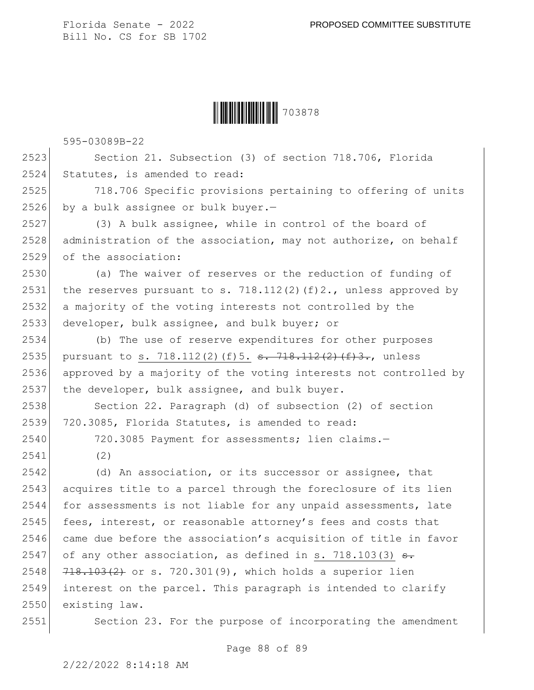

595-03089B-22

2523 Section 21. Subsection (3) of section 718.706, Florida 2524 Statutes, is amended to read:

2525 718.706 Specific provisions pertaining to offering of units 2526 by a bulk assignee or bulk buyer. $-$ 

2527 (3) A bulk assignee, while in control of the board of 2528 administration of the association, may not authorize, on behalf 2529 of the association:

 (a) The waiver of reserves or the reduction of funding of 2531 the reserves pursuant to s. 718.112(2)(f)2., unless approved by a majority of the voting interests not controlled by the developer, bulk assignee, and bulk buyer; or

2534 (b) The use of reserve expenditures for other purposes 2535 pursuant to s. 718.112(2)(f)5.  $\frac{1}{3}$ .  $\frac{1}{2}(2)(\frac{1}{3})$ . unless 2536 approved by a majority of the voting interests not controlled by 2537 the developer, bulk assignee, and bulk buyer.

2538 Section 22. Paragraph (d) of subsection (2) of section 2539 720.3085, Florida Statutes, is amended to read:

2540 720.3085 Payment for assessments; lien claims.—

2541 (2)

2542 (d) An association, or its successor or assignee, that 2543 acquires title to a parcel through the foreclosure of its lien 2544 for assessments is not liable for any unpaid assessments, late 2545 fees, interest, or reasonable attorney's fees and costs that  $2546$  came due before the association's acquisition of title in favor 2547 of any other association, as defined in s. 718.103(3)  $\frac{1}{100}$  $2548$   $718.103(2)$  or s. 720.301(9), which holds a superior lien 2549 interest on the parcel. This paragraph is intended to clarify 2550 existing law.

2551 Section 23. For the purpose of incorporating the amendment